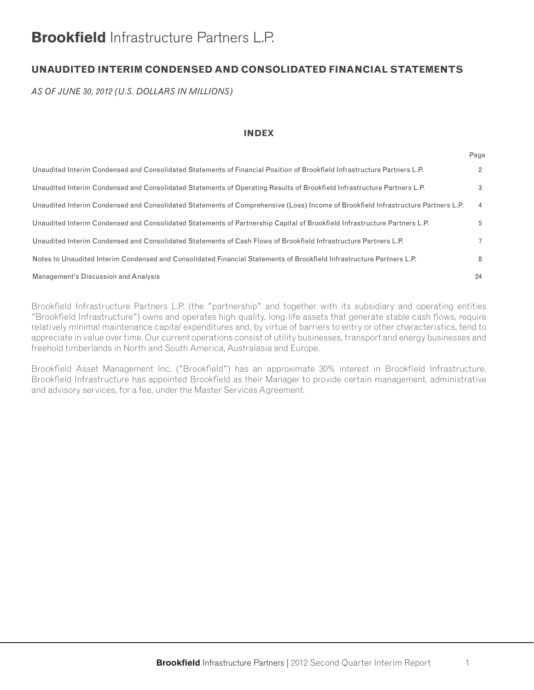## **Brookfield** Infrastructure Partners L.P.

## **UNAUDITED INTERIM CONDENSED AND CONSOLIDATED FINANCIAL STATEMENTS**

*AS OF JUNE 30, 2012 (U.S. DOLLARS IN MILLIONS)*

#### **INDEX**

|                                                                                                                                   | ı ay∈          |
|-----------------------------------------------------------------------------------------------------------------------------------|----------------|
| Unaudited Interim Condensed and Consolidated Statements of Financial Position of Brookfield Infrastructure Partners L.P.          | $\overline{2}$ |
| Unaudited Interim Condensed and Consolidated Statements of Operating Results of Brookfield Infrastructure Partners L.P.           | 3              |
| Unaudited Interim Condensed and Consolidated Statements of Comprehensive (Loss) Income of Brookfield Infrastructure Partners L.P. | $\overline{4}$ |
| Unaudited Interim Condensed and Consolidated Statements of Partnership Capital of Brookfield Infrastructure Partners L.P.         | 5              |
| Unaudited Interim Condensed and Consolidated Statements of Cash Flows of Brookfield Infrastructure Partners L.P.                  | $\overline{7}$ |
| Notes to Unaudited Interim Condensed and Consolidated Financial Statements of Brookfield Infrastructure Partners L.P.             | 8              |
| Management's Discussion and Analysis                                                                                              | 24             |

Brookfield Infrastructure Partners L.P. (the "partnership" and together with its subsidiary and operating entities "Brookfield Infrastructure") owns and operates high quality, long-life assets that generate stable cash flows, require relatively minimal maintenance capital expenditures and, by virtue of barriers to entry or other characteristics, tend to appreciate in value over time. Our current operations consist of utility businesses, transport and energy businesses and freehold timberlands in North and South America, Australasia and Europe.

Brookfield Asset Management Inc. ("Brookfield") has an approximate 30% interest in Brookfield Infrastructure. Brookfield Infrastructure has appointed Brookfield as their Manager to provide certain management, administrative and advisory services, for a fee, under the Master Services Agreement.

 $P_2$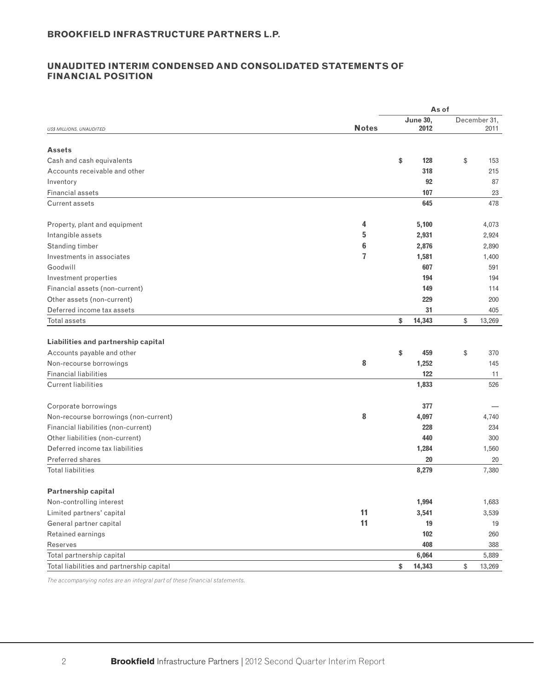### **UNAUDITED INTERIM CONDENSED AND CONSOLIDATED STATEMENTS OF FINANCIAL POSITION**

|                                           |              | As of           |                |
|-------------------------------------------|--------------|-----------------|----------------|
|                                           |              | <b>June 30,</b> | December 31,   |
| <b>US\$ MILLIONS, UNAUDITED</b>           | <b>Notes</b> | 2012            | 2011           |
| <b>Assets</b>                             |              |                 |                |
| Cash and cash equivalents                 |              | \$<br>128       | \$<br>153      |
| Accounts receivable and other             |              | 318             | 215            |
| Inventory                                 |              | 92              | 87             |
| <b>Financial assets</b>                   |              | 107             | 23             |
| Current assets                            |              | 645             | 478            |
| Property, plant and equipment             | 4            | 5,100           | 4,073          |
| Intangible assets                         | 5            |                 |                |
| Standing timber                           | 6            | 2,931<br>2,876  | 2,924<br>2,890 |
| Investments in associates                 | 7            |                 |                |
| Goodwill                                  |              | 1,581<br>607    | 1,400<br>591   |
| Investment properties                     |              | 194             | 194            |
| Financial assets (non-current)            |              | 149             | 114            |
| Other assets (non-current)                |              | 229             | 200            |
| Deferred income tax assets                |              | 31              | 405            |
| Total assets                              |              | \$<br>14,343    | \$<br>13,269   |
|                                           |              |                 |                |
| Liabilities and partnership capital       |              |                 |                |
| Accounts payable and other                |              | \$<br>459       | \$<br>370      |
| Non-recourse borrowings                   | 8            | 1,252           | 145            |
| <b>Financial liabilities</b>              |              | 122             | 11             |
| <b>Current liabilities</b>                |              | 1,833           | 526            |
|                                           |              |                 |                |
| Corporate borrowings                      |              | 377             |                |
| Non-recourse borrowings (non-current)     | 8            | 4,097           | 4,740          |
| Financial liabilities (non-current)       |              | 228             | 234            |
| Other liabilities (non-current)           |              | 440             | 300            |
| Deferred income tax liabilities           |              | 1,284           | 1,560          |
| <b>Preferred shares</b>                   |              | 20              | 20             |
| <b>Total liabilities</b>                  |              | 8,279           | 7,380          |
| Partnership capital                       |              |                 |                |
| Non-controlling interest                  |              | 1,994           | 1,683          |
| Limited partners' capital                 | 11           | 3,541           | 3,539          |
| General partner capital                   | 11           | 19              | 19             |
| Retained earnings                         |              | 102             | 260            |
| Reserves                                  |              | 408             | 388            |
| Total partnership capital                 |              | 6,064           | 5,889          |
| Total liabilities and partnership capital |              | \$<br>14,343    | \$<br>13,269   |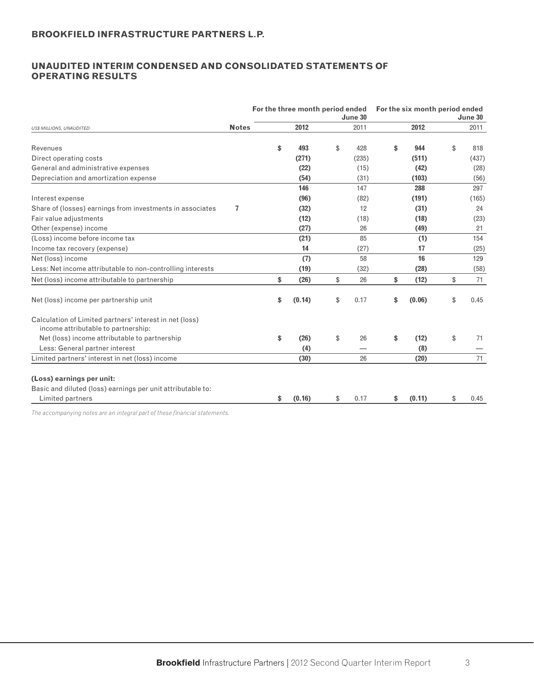### **UNAUDITED INTERIM CONDENSED AND CONSOLIDATED STATEMENTS OF OPERATING RESULTS**

|                                                                                                |                | For the three month period ended |        | June 30    | For the six month period ended | June 30    |
|------------------------------------------------------------------------------------------------|----------------|----------------------------------|--------|------------|--------------------------------|------------|
| <b>US\$ MILLIONS, UNAUDITED</b>                                                                | <b>Notes</b>   |                                  | 2012   | 2011       | 2012                           | 2011       |
| Revenues                                                                                       |                | \$                               | 493    | \$<br>428  | \$<br>944                      | \$<br>818  |
| Direct operating costs                                                                         |                |                                  | (271)  | (235)      | (511)                          | (437)      |
| General and administrative expenses                                                            |                |                                  | (22)   | (15)       | (42)                           | (28)       |
| Depreciation and amortization expense                                                          |                |                                  | (54)   | (31)       | (103)                          | (56)       |
|                                                                                                |                |                                  | 146    | 147        | 288                            | 297        |
| Interest expense                                                                               |                |                                  | (96)   | (82)       | (191)                          | (165)      |
| Share of (losses) earnings from investments in associates                                      | $\overline{7}$ |                                  | (32)   | 12         | (31)                           | 24         |
| Fair value adjustments                                                                         |                |                                  | (12)   | (18)       | (18)                           | (23)       |
| Other (expense) income                                                                         |                |                                  | (27)   | 26         | (49)                           | 21         |
| (Loss) income before income tax                                                                |                |                                  | (21)   | 85         | (1)                            | 154        |
| Income tax recovery (expense)                                                                  |                |                                  | 14     | (27)       | 17                             | (25)       |
| Net (loss) income                                                                              |                |                                  | (7)    | 58         | 16                             | 129        |
| Less: Net income attributable to non-controlling interests                                     |                |                                  | (19)   | (32)       | (28)                           | (58)       |
| Net (loss) income attributable to partnership                                                  |                | \$                               | (26)   | \$<br>26   | \$<br>(12)                     | \$<br>71   |
| Net (loss) income per partnership unit                                                         |                | \$                               | (0.14) | \$<br>0.17 | \$<br>(0.06)                   | \$<br>0.45 |
| Calculation of Limited partners' interest in net (loss)<br>income attributable to partnership: |                |                                  |        |            |                                |            |
| Net (loss) income attributable to partnership                                                  |                | \$                               | (26)   | \$<br>26   | \$<br>(12)                     | \$<br>71   |
| Less: General partner interest                                                                 |                |                                  | (4)    |            | (8)                            |            |
| Limited partners' interest in net (loss) income                                                |                |                                  | (30)   | 26         | (20)                           | 71         |
| (Loss) earnings per unit:                                                                      |                |                                  |        |            |                                |            |
| Basic and diluted (loss) earnings per unit attributable to:                                    |                |                                  |        |            |                                |            |
| Limited partners                                                                               |                | \$                               | (0.16) | \$<br>0.17 | \$<br>(0.11)                   | \$<br>0.45 |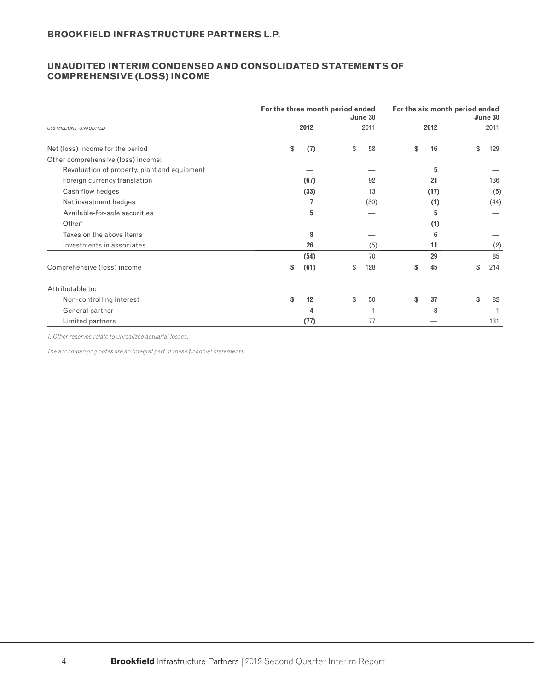### **UNAUDITED INTERIM CONDENSED AND CONSOLIDATED STATEMENTS OF COMPREHENSIVE (LOSS) INCOME**

|                                              | For the three month period ended |      | June 30   |          | For the six month period ended | June 30 |
|----------------------------------------------|----------------------------------|------|-----------|----------|--------------------------------|---------|
| <b>US\$ MILLIONS, UNAUDITED</b>              |                                  | 2012 | 2011      | 2012     |                                | 2011    |
| Net (loss) income for the period             | \$                               | (7)  | \$<br>58  | \$<br>16 | \$                             | 129     |
| Other comprehensive (loss) income:           |                                  |      |           |          |                                |         |
| Revaluation of property, plant and equipment |                                  |      |           | 5        |                                |         |
| Foreign currency translation                 |                                  | (67) | 92        | 21       |                                | 136     |
| Cash flow hedges                             |                                  | (33) | 13        | (17)     |                                | (5)     |
| Net investment hedges                        |                                  |      | (30)      | (1)      |                                | (44)    |
| Available-for-sale securities                |                                  | 5    |           | 5        |                                |         |
| Other <sup>1</sup>                           |                                  |      |           | (1)      |                                |         |
| Taxes on the above items                     |                                  | 8    |           | 6        |                                |         |
| Investments in associates                    |                                  | 26   | (5)       | 11       |                                | (2)     |
|                                              |                                  | (54) | 70        | 29       |                                | 85      |
| Comprehensive (loss) income                  | \$                               | (61) | \$<br>128 | \$<br>45 | \$                             | 214     |
| Attributable to:                             |                                  |      |           |          |                                |         |
| Non-controlling interest                     | \$                               | 12   | \$<br>50  | \$<br>37 | \$                             | 82      |
| General partner                              |                                  | 4    |           | 8        |                                |         |
| Limited partners                             |                                  | (77) | 77        |          |                                | 131     |

*1. Other reserves relate to unrealized actuarial losses.*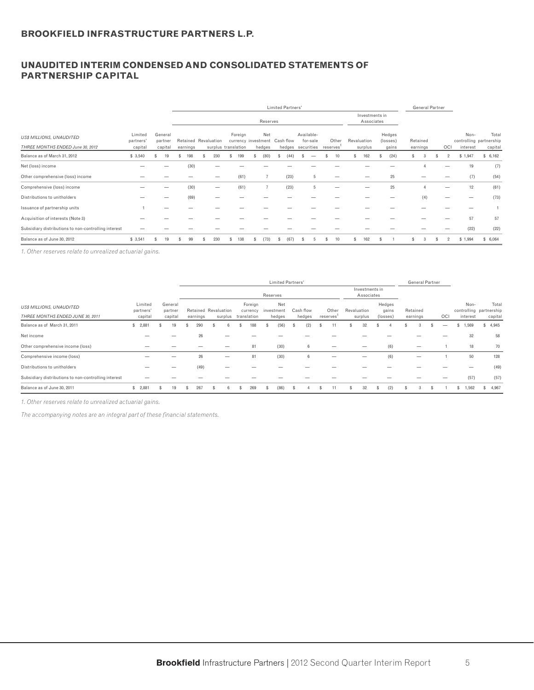### **UNAUDITED INTERIM CONDENSED AND CONSOLIDATED STATEMENTS OF PARTNERSHIP CAPITAL**

|                                                                     |                                 |                               |          |                                             |         |                                      | <b>Limited Partners'</b> |                                             |                    |                              |     |                             |          | General Partner |                |                  |                                             |
|---------------------------------------------------------------------|---------------------------------|-------------------------------|----------|---------------------------------------------|---------|--------------------------------------|--------------------------|---------------------------------------------|--------------------|------------------------------|-----|-----------------------------|----------|-----------------|----------------|------------------|---------------------------------------------|
|                                                                     |                                 |                               |          |                                             |         | Reserves                             |                          |                                             |                    | Investments in<br>Associates |     |                             |          |                 |                |                  |                                             |
| <b>US\$ MILLIONS, UNAUDITED</b><br>THREE MONTHS ENDED June 30, 2012 | Limited<br>partners'<br>capital | General<br>partner<br>capital | earnings | Retained Revaluation<br>surplus translation | Foreign | Net<br>currency investment<br>hedges | Cash flow                | Available-<br>for-sale<br>hedges securities | Other<br>reserves' | Revaluation<br>surplus       |     | Hedges<br>(losses)<br>gains | Retained | earnings        | OCI            | Non-<br>interest | Total<br>controlling partnership<br>capital |
| Balance as of March 31, 2012                                        | \$3,540                         | 19                            | 198      | 230                                         | 199     | (80)                                 | (44)                     |                                             | 10                 | 162                          | \$. | (24)                        | \$       | 3               | $\mathfrak{p}$ | \$1,947          | \$6,162                                     |
| Net (loss) income                                                   |                                 |                               | (30)     |                                             |         |                                      |                          |                                             |                    |                              |     |                             |          |                 |                | 19               | (7)                                         |
| Other comprehensive (loss) income                                   |                                 |                               |          |                                             | (61)    |                                      | (23)                     | 5                                           |                    |                              |     | 25                          |          | –               |                | (7)              | (54)                                        |
| Comprehensive (loss) income                                         |                                 |                               | (30)     | –                                           | (61)    | $\overline{7}$                       | (23)                     | 5                                           |                    |                              |     | 25                          |          | Δ               | –              | 12               | (61)                                        |
| Distributions to unitholders                                        |                                 |                               | (69)     |                                             |         |                                      |                          |                                             |                    |                              |     |                             |          | (4)             |                |                  | (73)                                        |
| Issuance of partnership units                                       |                                 |                               |          |                                             |         |                                      |                          |                                             |                    |                              |     |                             |          |                 |                |                  |                                             |
| Acquisition of interests (Note 3)                                   |                                 |                               |          |                                             |         |                                      |                          |                                             |                    |                              |     |                             |          |                 |                | 57               | 57                                          |
| Subsidiary distributions to non-controlling interest                |                                 |                               |          |                                             |         |                                      |                          |                                             |                    |                              |     |                             |          |                 |                | (22)             | (22)                                        |
| Balance as of June 30, 2012                                         | \$3,541                         | 19                            | 99       | 230                                         | 138     | (73)<br>э                            |                          |                                             |                    | 162                          |     |                             |          |                 |                | \$1,994          | \$6,064                                     |

*1. Other reserves relate to unrealized actuarial gains.*

|                                                                     |                                 |                               |                                  |   |                                            | <b>Limited Partners'</b>    |                     |                   |                              |   |                             | <b>General Partner</b> |     |                  |                                             |
|---------------------------------------------------------------------|---------------------------------|-------------------------------|----------------------------------|---|--------------------------------------------|-----------------------------|---------------------|-------------------|------------------------------|---|-----------------------------|------------------------|-----|------------------|---------------------------------------------|
|                                                                     |                                 |                               |                                  |   |                                            | Reserves                    |                     |                   | Investments in<br>Associates |   |                             |                        |     |                  |                                             |
| <b>US\$ MILLIONS, UNAUDITED</b><br>THREE MONTHS ENDED JUNE 30, 2011 | Limited<br>partners'<br>capital | General<br>partner<br>capital | Retained Revaluation<br>earnings |   | Foreign<br>currency<br>surplus translation | Net<br>investment<br>hedges | Cash flow<br>hedges | Other<br>reserves | Revaluation<br>surplus       |   | Hedges<br>gains<br>(losses) | Retained<br>earnings   | OCI | Non-<br>interest | Total<br>controlling partnership<br>capital |
| Balance as of March 31, 2011                                        | 2,88'<br>\$.                    |                               | 290                              |   | 188                                        | (56)                        | (2)                 |                   | 32                           |   |                             |                        |     | 1,569            | \$4,945                                     |
| Net income                                                          |                                 |                               | 26                               |   |                                            |                             |                     |                   |                              |   |                             |                        |     | 32               | 58                                          |
| Other comprehensive income (loss)                                   |                                 |                               |                                  |   | 81                                         | (30)                        | 6                   |                   |                              |   | (6)                         |                        |     | 18               | 70                                          |
| Comprehensive income (loss)                                         |                                 |                               | 26                               | _ | 81                                         | (30)                        | $6\phantom{1}$      |                   |                              |   | (6)                         |                        |     | 50               | 128                                         |
| Distributions to unitholders                                        |                                 |                               | (49)                             |   |                                            |                             |                     |                   |                              |   |                             |                        |     |                  | (49)                                        |
| Subsidiary distributions to non-controlling interest                |                                 |                               |                                  |   |                                            |                             |                     |                   |                              |   |                             |                        |     | (57)             | (57)                                        |
| Balance as of June 30, 2011                                         | 2,881<br>s                      |                               | 267                              |   | 269                                        | (86)                        |                     |                   | 32                           | s | (2)                         |                        |     | 1,562<br>s.      | \$4,967                                     |

*1. Other reserves relate to unrealized actuarial gains.*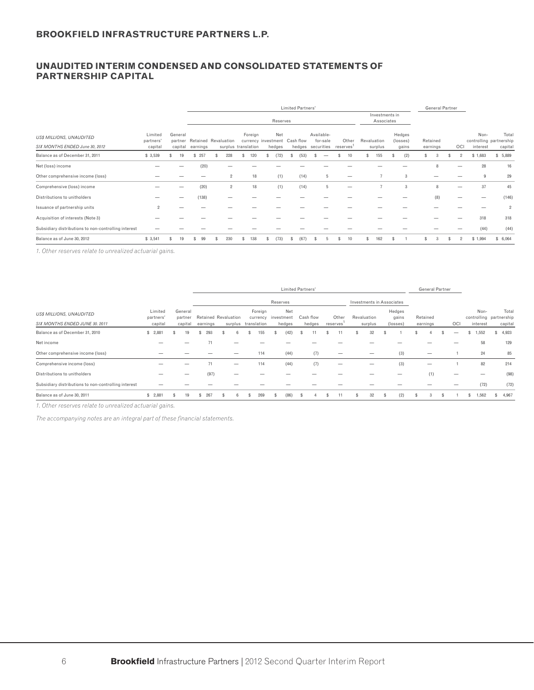### **UNAUDITED INTERIM CONDENSED AND CONSOLIDATED STATEMENTS OF PARTNERSHIP CAPITAL**

|                                                                   |                                 |                               |          |                                             |   |         |                               |          | Limited Partners' |                                             |                    |             |                              |                             |     | <b>General Partner</b> |                |                  |                                            |
|-------------------------------------------------------------------|---------------------------------|-------------------------------|----------|---------------------------------------------|---|---------|-------------------------------|----------|-------------------|---------------------------------------------|--------------------|-------------|------------------------------|-----------------------------|-----|------------------------|----------------|------------------|--------------------------------------------|
|                                                                   |                                 |                               |          |                                             |   |         |                               | Reserves |                   |                                             |                    |             | Investments in<br>Associates |                             |     |                        |                |                  |                                            |
| <b>US\$ MILLIONS, UNAUDITED</b><br>SIX MONTHS ENDED June 30, 2012 | Limited<br>partners'<br>capital | General<br>partner<br>capital | earnings | Retained Revaluation<br>surplus translation |   | Foreign | currency investment<br>hedges | Net      | Cash flow         | Available-<br>for-sale<br>hedges securities | Other<br>reserves' | Revaluation | surplus                      | Hedges<br>(losses)<br>gains |     | Retained<br>earnings   | OCI            | Non-<br>interest | Tota<br>controlling partnership<br>capital |
| Balance as of December 31, 2011                                   | \$3,539                         | 19                            | 257      | 228                                         | S | 120     | S                             | (72)     | (53)              |                                             | 10                 |             | 155                          | (2)                         | \$. | 3                      | $\overline{2}$ | \$1,683          | \$5,889                                    |
| Net (loss) income                                                 |                                 |                               | (20)     |                                             |   |         |                               |          |                   |                                             |                    |             |                              |                             |     | Я                      |                | 28               | 16                                         |
| Other comprehensive income (loss)                                 |                                 |                               |          | $\overline{2}$                              |   | 18      |                               | (1)      | (14)              | 5                                           | -                  |             | ÷,                           | 3                           |     | _                      |                | 9                | 29                                         |
| Comprehensive (loss) income                                       |                                 |                               | (20)     | $\overline{2}$                              |   | 18      |                               | (1)      | (14)              | 5                                           |                    |             | 7                            | 3                           |     | 8                      |                | 37               | 45                                         |
| Distributions to unitholders                                      |                                 |                               | (138)    |                                             |   |         |                               |          |                   |                                             |                    |             |                              |                             |     | (8)                    |                |                  | (146)                                      |
| Issuance of partnership units                                     | $\overline{2}$                  |                               |          |                                             |   |         |                               |          |                   |                                             |                    |             |                              |                             |     |                        |                |                  | $\overline{2}$                             |
| Acquisition of interests (Note 3)                                 |                                 |                               |          |                                             |   |         |                               |          |                   |                                             |                    |             |                              |                             |     |                        |                | 318              | 318                                        |
| Subsidiary distributions to non-controlling interest              |                                 |                               |          |                                             |   |         |                               |          |                   |                                             |                    |             |                              |                             |     |                        |                | (44)             | (44)                                       |
| Balance as of June 30, 2012                                       | \$3,541                         | 19                            | 99       | 230                                         |   | 138     |                               | (73)     | (67               |                                             |                    |             | 162                          |                             |     |                        |                | \$1,994          | \$6,064                                    |

*1. Other reserves relate to unrealized actuarial gains.*

|                                                      |                      |                    |                             |   |                     |                                |    | <b>Limited Partners'</b> |     |           |           |                                  |     |                 |   | <b>General Partner</b> |     |    |          |     |                                  |
|------------------------------------------------------|----------------------|--------------------|-----------------------------|---|---------------------|--------------------------------|----|--------------------------|-----|-----------|-----------|----------------------------------|-----|-----------------|---|------------------------|-----|----|----------|-----|----------------------------------|
|                                                      |                      |                    |                             |   |                     |                                |    | Reserves                 |     |           |           | <b>Investments in Associates</b> |     |                 |   |                        |     |    |          |     |                                  |
| US\$ MILLIONS, UNAUDITED                             | Limited<br>partners' | General<br>partner | <b>Retained Revaluation</b> |   |                     | Foreign<br>currency investment |    | Net                      |     | Cash flow | Other     | Revaluation                      |     | Hedges<br>gains |   | Retained               |     |    | Non-     |     | Total<br>controlling partnership |
| SIX MONTHS ENDED JUNE 30, 2011                       | capital              | capital            | earnings                    |   | surplus translation |                                |    | hedges                   |     | hedges    | reserves' | surplus                          |     | (losses)        |   | earnings               | OCI |    | interest |     | capital                          |
| Balance as of December 31, 2010                      | 2,881<br>s.          | 19                 | 293                         |   |                     | 55                             |    | (42)                     |     |           |           | 32                               |     |                 |   |                        |     | s. | 1,552    |     | \$4,923                          |
| Net income                                           |                      |                    |                             |   |                     |                                |    |                          |     |           |           |                                  |     |                 |   |                        |     |    | 58       |     | 129                              |
| Other comprehensive income (loss)                    |                      |                    |                             |   |                     | 114                            |    | (44)                     |     | (7)       |           |                                  |     | (3)             |   |                        |     |    | 24       |     | 85                               |
| Comprehensive income (loss)                          |                      |                    | 71                          |   | -                   | 114                            |    | (44)                     |     | (7)       | –         | –                                |     | (3)             |   | —                      |     |    | 82       |     | 214                              |
| Distributions to unitholders                         |                      |                    | (97)                        |   |                     |                                |    |                          |     |           |           |                                  |     |                 |   | (1)                    | —   |    |          |     | (98)                             |
| Subsidiary distributions to non-controlling interest |                      |                    |                             |   |                     |                                |    |                          |     |           |           |                                  |     |                 |   |                        |     |    | (72)     |     | (72)                             |
| Balance as of June 30, 2011                          | 2,881<br>s.          | 19                 | 267<br>\$.                  | ж |                     | 269                            | £. | (86)                     | \$. |           |           | 32                               | \$. | (2)             | S |                        |     | \$ | 1,562    | SS- | 4,967                            |

*1. Other reserves relate to unrealized actuarial gains.*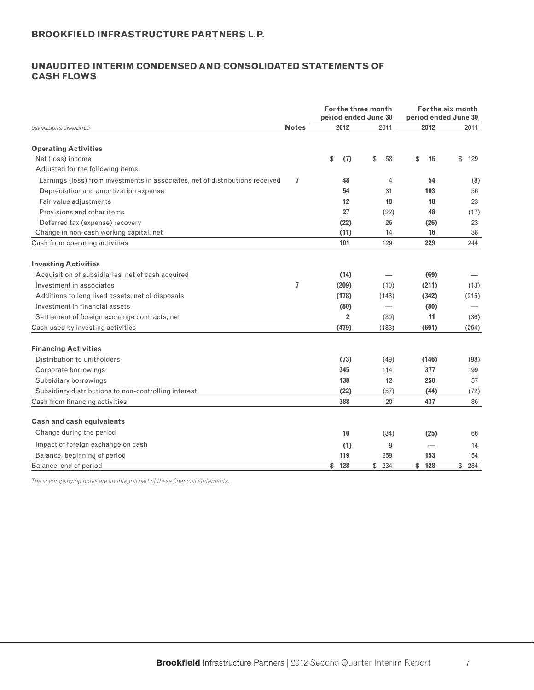### **UNAUDITED INTERIM CONDENSED AND CONSOLIDATED STATEMENTS OF CASH FLOWS**

|                                                                               |                |      |                | For the three month<br>period ended June 30 |       |                          | For the six month<br>period ended June 30 |
|-------------------------------------------------------------------------------|----------------|------|----------------|---------------------------------------------|-------|--------------------------|-------------------------------------------|
| US\$ MILLIONS, UNAUDITED                                                      | <b>Notes</b>   | 2012 |                |                                             | 2011  | 2012                     | 2011                                      |
| <b>Operating Activities</b>                                                   |                |      |                |                                             |       |                          |                                           |
| Net (loss) income                                                             |                | \$   | (7)            | \$                                          | 58    | \$<br>16                 | \$<br>129                                 |
| Adjusted for the following items:                                             |                |      |                |                                             |       |                          |                                           |
| Earnings (loss) from investments in associates, net of distributions received | $\overline{7}$ |      | 48             |                                             | 4     | 54                       | (8)                                       |
| Depreciation and amortization expense                                         |                |      | 54             |                                             | 31    | 103                      | 56                                        |
| Fair value adjustments                                                        |                |      | 12             |                                             | 18    | 18                       | 23                                        |
| Provisions and other items                                                    |                |      | 27             |                                             | (22)  | 48                       | (17)                                      |
| Deferred tax (expense) recovery                                               |                |      | (22)           |                                             | 26    | (26)                     | 23                                        |
| Change in non-cash working capital, net                                       |                |      | (11)           |                                             | 14    | 16                       | 38                                        |
| Cash from operating activities                                                |                |      | 101            |                                             | 129   | 229                      | 244                                       |
| <b>Investing Activities</b>                                                   |                |      |                |                                             |       |                          |                                           |
| Acquisition of subsidiaries, net of cash acquired                             |                |      | (14)           |                                             |       | (69)                     |                                           |
| Investment in associates                                                      | 7              |      | (209)          |                                             | (10)  | (211)                    | (13)                                      |
| Additions to long lived assets, net of disposals                              |                |      | (178)          |                                             | (143) | (342)                    | (215)                                     |
| Investment in financial assets                                                |                |      | (80)           |                                             |       | (80)                     |                                           |
| Settlement of foreign exchange contracts, net                                 |                |      | $\overline{2}$ |                                             | (30)  | 11                       | (36)                                      |
| Cash used by investing activities                                             |                |      | (479)          |                                             | (183) | (691)                    | (264)                                     |
| <b>Financing Activities</b>                                                   |                |      |                |                                             |       |                          |                                           |
| Distribution to unitholders                                                   |                |      | (73)           |                                             | (49)  | (146)                    | (98)                                      |
| Corporate borrowings                                                          |                |      | 345            |                                             | 114   | 377                      | 199                                       |
| Subsidiary borrowings                                                         |                |      | 138            |                                             | 12    | 250                      | 57                                        |
| Subsidiary distributions to non-controlling interest                          |                |      | (22)           |                                             | (57)  | (44)                     | (72)                                      |
| Cash from financing activities                                                |                |      | 388            |                                             | 20    | 437                      | 86                                        |
| Cash and cash equivalents                                                     |                |      |                |                                             |       |                          |                                           |
| Change during the period                                                      |                |      | 10             |                                             | (34)  | (25)                     | 66                                        |
| Impact of foreign exchange on cash                                            |                |      | (1)            |                                             | 9     | $\overline{\phantom{0}}$ | 14                                        |
| Balance, beginning of period                                                  |                |      | 119            |                                             | 259   | 153                      | 154                                       |
| Balance, end of period                                                        |                | \$   | 128            | \$                                          | 234   | \$ 128                   | \$<br>234                                 |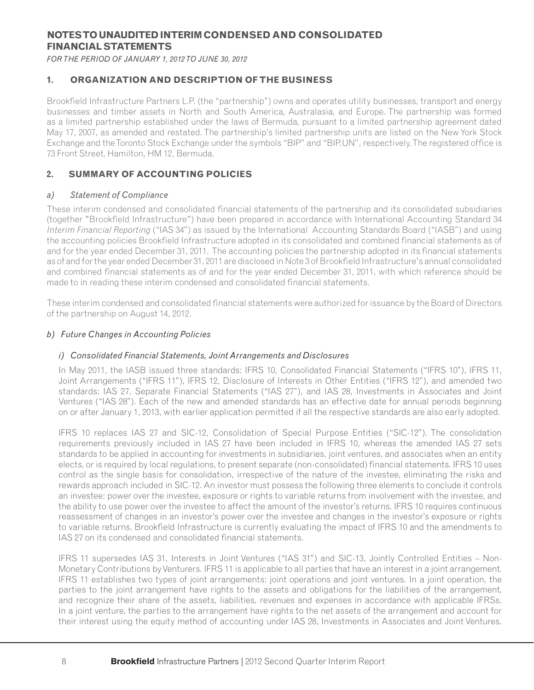### **NOTES TO UNAUDITED INTERIM CONDENSED AND CONSOLIDATED FINANCIAL STATEMENTS**

*FOR THE PERIOD OF JANUARY 1, 2012 TO JUNE 30, 2012*

### **1. ORGANIZATION AND DESCRIPTION OF THE BUSINESS**

Brookfield Infrastructure Partners L.P. (the "partnership") owns and operates utility businesses, transport and energy businesses and timber assets in North and South America, Australasia, and Europe. The partnership was formed as a limited partnership established under the laws of Bermuda, pursuant to a limited partnership agreement dated May 17, 2007, as amended and restated. The partnership's limited partnership units are listed on the New York Stock Exchange and the Toronto Stock Exchange under the symbols "BIP" and "BIP.UN", respectively. The registered office is 73 Front Street, Hamilton, HM 12, Bermuda.

### **2. SUMMARY OF ACCOUNTING POLICIES**

### *a) Statement of Compliance*

These interim condensed and consolidated financial statements of the partnership and its consolidated subsidiaries (together "Brookfield Infrastructure") have been prepared in accordance with International Accounting Standard 34 *Interim Financial Reporting* ("IAS 34") as issued by the International Accounting Standards Board ("IASB") and using the accounting policies Brookfield Infrastructure adopted in its consolidated and combined financial statements as of and for the year ended December 31, 2011. The accounting policies the partnership adopted in its financial statements as of and for the year ended December 31, 2011 are disclosed in Note 3 of Brookfield Infrastructure's annual consolidated and combined financial statements as of and for the year ended December 31, 2011, with which reference should be made to in reading these interim condensed and consolidated financial statements.

These interim condensed and consolidated financial statements were authorized for issuance by the Board of Directors of the partnership on August 14, 2012.

### *b) Future Changes in Accounting Policies*

#### *i) Consolidated Financial Statements, Joint Arrangements and Disclosures*

In May 2011, the IASB issued three standards: IFRS 10, Consolidated Financial Statements ("IFRS 10"), IFRS 11, Joint Arrangements ("IFRS 11"), IFRS 12, Disclosure of Interests in Other Entities ("IFRS 12"), and amended two standards: IAS 27, Separate Financial Statements ("IAS 27"), and IAS 28, Investments in Associates and Joint Ventures ("IAS 28"). Each of the new and amended standards has an effective date for annual periods beginning on or after January 1, 2013, with earlier application permitted if all the respective standards are also early adopted.

IFRS 10 replaces IAS 27 and SIC-12, Consolidation of Special Purpose Entities ("SIC-12"). The consolidation requirements previously included in IAS 27 have been included in IFRS 10, whereas the amended IAS 27 sets standards to be applied in accounting for investments in subsidiaries, joint ventures, and associates when an entity elects, or is required by local requlations, to present separate (non-consolidated) financial statements. IFRS 10 uses control as the single basis for consolidation, irrespective of the nature of the investee, eliminating the risks and rewards approach included in SIC-12. An investor must possess the following three elements to conclude it controls an investee: power over the investee, exposure or rights to variable returns from involvement with the investee, and the ability to use power over the investee to affect the amount of the investor's returns. IFRS 10 requires continuous reassessment of changes in an investor's power over the investee and changes in the investor's exposure or rights to variable returns. Brookfield Infrastructure is currently evaluating the impact of IFRS 10 and the amendments to IAS 27 on its condensed and consolidated financial statements.

IFRS 11 supersedes IAS 31, Interests in Joint Ventures ("IAS 31") and SIC-13, Jointly Controlled Entities – Non-Monetary Contributions by Venturers. IFRS 11 is applicable to all parties that have an interest in a joint arrangement. IFRS 11 establishes two types of joint arrangements: joint operations and joint ventures. In a joint operation, the parties to the joint arrangement have rights to the assets and obligations for the liabilities of the arrangement, and recognize their share of the assets, liabilities, revenues and expenses in accordance with applicable IFRSs. In a joint venture, the parties to the arrangement have rights to the net assets of the arrangement and account for their interest using the equity method of accounting under IAS 28, Investments in Associates and Joint Ventures.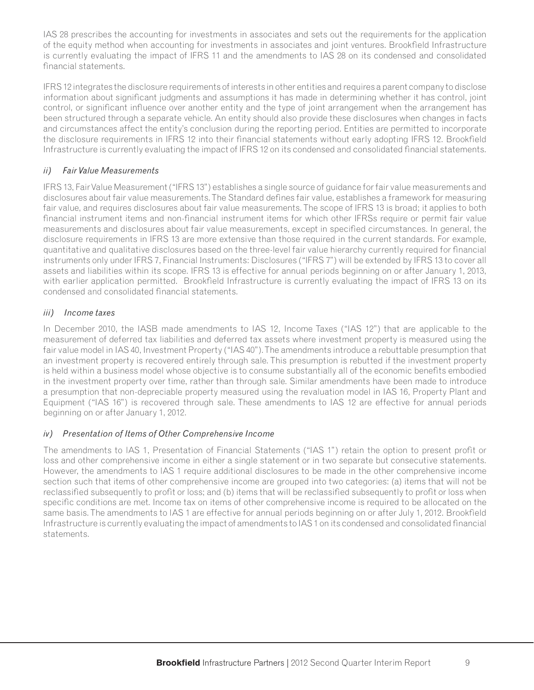IAS 28 prescribes the accounting for investments in associates and sets out the requirements for the application of the equity method when accounting for investments in associates and joint ventures. Brookfield Infrastructure is currently evaluating the impact of IFRS 11 and the amendments to IAS 28 on its condensed and consolidated financial statements.

IFRS 12 integrates the disclosure requirements of interests in other entities and requires a parent company to disclose information about significant judgments and assumptions it has made in determining whether it has control, joint control, or significant influence over another entity and the type of joint arrangement when the arrangement has been structured through a separate vehicle. An entity should also provide these disclosures when changes in facts and circumstances affect the entity's conclusion during the reporting period. Entities are permitted to incorporate the disclosure requirements in IFRS 12 into their financial statements without early adopting IFRS 12. Brookfield Infrastructure is currently evaluating the impact of IFRS 12 on its condensed and consolidated financial statements.

### *ii) Fair Value Measurements*

IFRS 13, Fair Value Measurement ("IFRS 13") establishes a single source of guidance for fair value measurements and disclosures about fair value measurements. The Standard defines fair value, establishes a framework for measuring fair value, and requires disclosures about fair value measurements. The scope of IFRS 13 is broad; it applies to both financial instrument items and non-financial instrument items for which other IFRSs require or permit fair value measurements and disclosures about fair value measurements, except in specified circumstances. In general, the disclosure requirements in IFRS 13 are more extensive than those required in the current standards. For example, quantitative and qualitative disclosures based on the three-level fair value hierarchy currently required for financial instruments only under IFRS 7, Financial Instruments: Disclosures ("IFRS 7") will be extended by IFRS 13 to cover all assets and liabilities within its scope. IFRS 13 is effective for annual periods beginning on or after January 1, 2013, with earlier application permitted. Brookfield Infrastructure is currently evaluating the impact of IFRS 13 on its condensed and consolidated financial statements.

#### *iii) Income taxes*  $iii)$

In December 2010, the IASB made amendments to IAS 12, Income Taxes ("IAS 12") that are applicable to the measurement of deferred tax liabilities and deferred tax assets where investment property is measured using the fair value model in IAS 40, Investment Property ("IAS 40"). The amendments introduce a rebuttable presumption that an investment property is recovered entirely through sale. This presumption is rebutted if the investment property is held within a business model whose objective is to consume substantially all of the economic benefits embodied in the investment property over time, rather than through sale. Similar amendments have been made to introduce a presumption that non-depreciable property measured using the revaluation model in IAS 16, Property Plant and Equipment ("IAS 16") is recovered through sale. These amendments to IAS 12 are effective for annual periods beginning on or after January 1, 2012.

### *iv) Presentation of Items of Other Comprehensive Income*

The amendments to IAS 1, Presentation of Financial Statements ("IAS 1") retain the option to present profit or loss and other comprehensive income in either a single statement or in two separate but consecutive statements. However, the amendments to lAS 1 require additional disclosures to be made in the other comprehensive income section such that items of other comprehensive income are grouped into two categories: (a) items that will not be reclassified subsequently to profit or loss; and (b) items that will be reclassified subsequently to profit or loss when specific conditions are met. Income tax on items of other comprehensive income is required to be allocated on the same basis. The amendments to IAS 1 are effective for annual periods beginning on or after July 1, 2012. Brookfield Infrastructure is currently evaluating the impact of amendments to IAS 1 on its condensed and consolidated financial statements.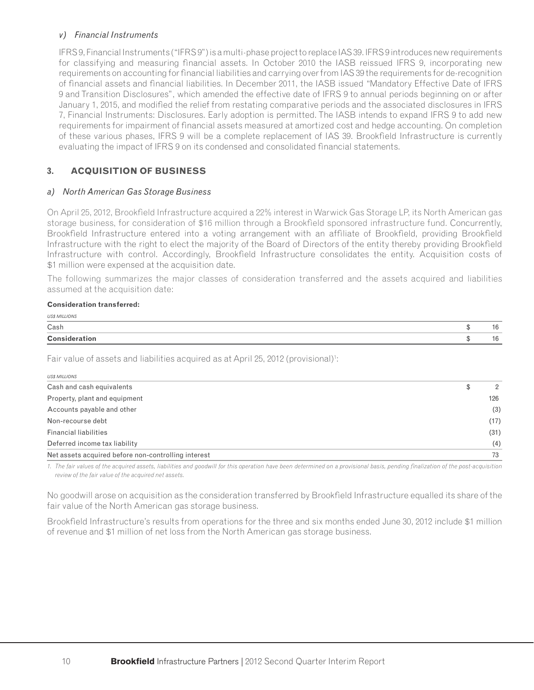#### *v) Financial Instruments*

IFRS 9, Financial Instruments ("IFRS 9") is a multi-phase project to replace IAS 39. IFRS 9 introduces new requirements for classifying and measuring financial assets. In October 2010 the IASB reissued IFRS 9, incorporating new requirements on accounting for financial liabilities and carrying over from IAS 39 the requirements for de-recognition of financial assets and financial liabilities. In December 2011, the IASB issued "Mandatory Effective Date of IFRS 9 and Transition Disclosures", which amended the effective date of IFRS 9 to annual periods beginning on or after January 1, 2015, and modified the relief from restating comparative periods and the associated disclosures in IFRS 7, Financial Instruments: Disclosures. Early adoption is permitted. The IASB intends to expand IFRS 9 to add new requirements for impairment of financial assets measured at amortized cost and hedge accounting. On completion of these various phases, IFRS 9 will be a complete replacement of IAS 39. Brookfield Infrastructure is currently evaluating the impact of IFRS 9 on its condensed and consolidated financial statements.

### **3. ACQUISITION OF BUSINESS**

### *a) North American Gas Storage Business*

On April 25, 2012, Brookfield Infrastructure acquired a 22% interest in Warwick Gas Storage LP, its North American gas storage business, for consideration of \$16 million through a Brookfield sponsored infrastructure fund. Concurrently, Brookfield Infrastructure entered into a voting arrangement with an affiliate of Brookfield, providing Brookfield Infrastructure with the right to elect the majority of the Board of Directors of the entity thereby providing Brookfield Infrastructure with control. Accordingly, Brookfield Infrastructure consolidates the entity. Acquisition costs of \$1 million were expensed at the acquisition date.

The following summarizes the major classes of consideration transferred and the assets acquired and liabilities assumed at the acquisition date:

#### **Consideration transferred:**

| <b>Consideration</b> |  |
|----------------------|--|
| Cash                 |  |
| US\$ MILLIONS        |  |

Fair value of assets and liabilities acquired as at April 25, 2012 (provisional)<sup>1</sup>:

| US\$ MILLIONS                                       |               |
|-----------------------------------------------------|---------------|
| Cash and cash equivalents                           | $\mathcal{P}$ |
| Property, plant and equipment                       | 126           |
| Accounts payable and other                          | (3)           |
| Non-recourse debt                                   | (17)          |
| <b>Financial liabilities</b>                        | (31)          |
| Deferred income tax liability                       | (4)           |
| Net assets acquired before non-controlling interest | 73            |

1. The fair values of the acquired assets, liabilities and goodwill for this operation have been determined on a provisional basis, pending finalization of the post-acquisition *review of the fair value of the acquired net assets.*

No goodwill arose on acquisition as the consideration transferred by Brookfield Infrastructure equalled its share of the fair value of the North American gas storage business.

Brookfield Infrastructure's results from operations for the three and six months ended June 30, 2012 include \$1 million of revenue and \$1 million of net loss from the North American gas storage business.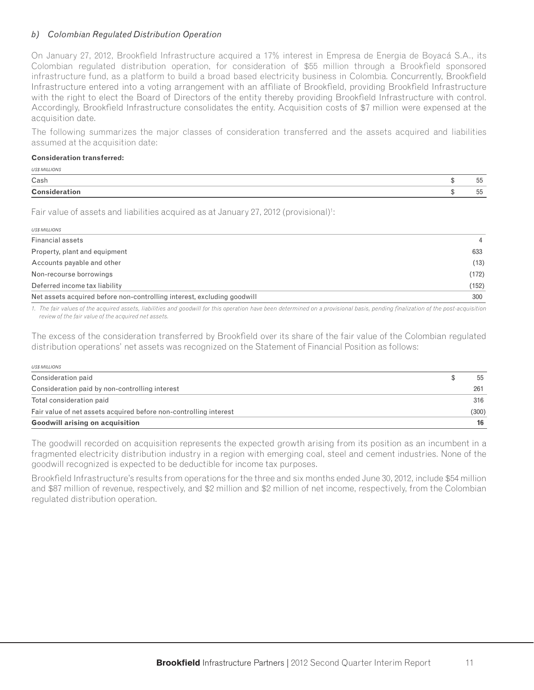#### *b) Colombian Regulated Distribution Operation*

On January 27, 2012, Brookfield Infrastructure acquired a 17% interest in Empresa de Energia de Boyacá S.A., its Colombian regulated distribution operation, for consideration of \$55 million through a Brookfield sponsored infrastructure fund, as a platform to build a broad based electricity business in Colombia. Concurrently, Brookfield Infrastructure entered into a voting arrangement with an affiliate of Brookfield, providing Brookfield Infrastructure with the right to elect the Board of Directors of the entity thereby providing Brookfield Infrastructure with control. Accordingly, Brookfield Infrastructure consolidates the entity. Acquisition costs of \$7 million were expensed at the acquisition date.

The following summarizes the major classes of consideration transferred and the assets acquired and liabilities assumed at the acquisition date:

#### **Consideration transferred:**

| <b>Consideration</b> | 55            |
|----------------------|---------------|
| Cash                 | $- -$<br>. 55 |
| <b>US\$ MILLIONS</b> |               |

Fair value of assets and liabilities acquired as at January 27, 2012 (provisional)<sup>1</sup>:

| <b>USS MILLIONS</b>                                                     |                |
|-------------------------------------------------------------------------|----------------|
| Financial assets                                                        | $\overline{4}$ |
| Property, plant and equipment                                           | 633            |
| Accounts payable and other                                              | (13)           |
| Non-recourse borrowings                                                 | (172)          |
| Deferred income tax liability                                           | (152)          |
| Net assets acquired before non-controlling interest, excluding goodwill | 300            |

1. The fair values of the acquired assets, liabilities and goodwill for this operation have been determined on a provisional basis, pending finalization of the post-acquisition *review of the fair value of the acquired net assets.*

The excess of the consideration transferred by Brookfield over its share of the fair value of the Colombian regulated distribution operations' net assets was recognized on the Statement of Financial Position as follows:

| <b>US\$ MILLIONS</b>                                              |  |     |  |  |
|-------------------------------------------------------------------|--|-----|--|--|
| Consideration paid                                                |  | 55  |  |  |
| Consideration paid by non-controlling interest                    |  | 261 |  |  |
| Total consideration paid                                          |  | 316 |  |  |
| Fair value of net assets acquired before non-controlling interest |  |     |  |  |
| <b>Goodwill arising on acquisition</b>                            |  | 16  |  |  |

The goodwill recorded on acquisition represents the expected growth arising from its position as an incumbent in a fragmented electricity distribution industry in a region with emerging coal, steel and cement industries. None of the goodwill recognized is expected to be deductible for income tax purposes.

Brookfield Infrastructure's results from operations for the three and six months ended June 30, 2012, include \$54 million and \$87 million of revenue, respectively, and \$2 million and \$2 million of net income, respectively, from the Colombian regulated distribution operation.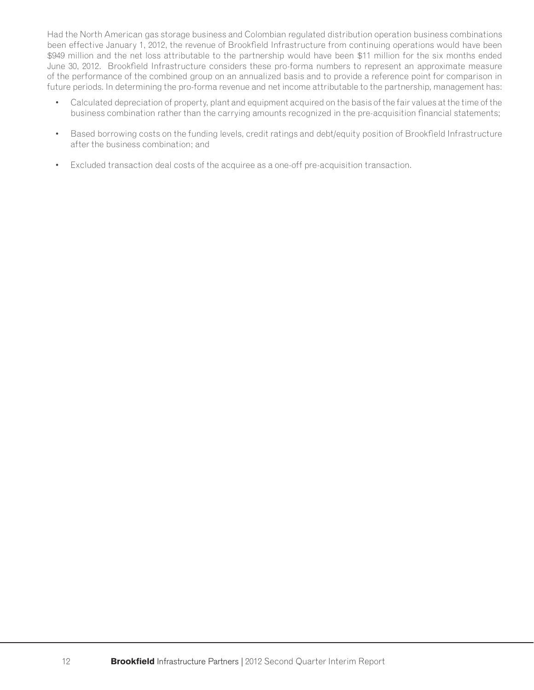Had the North American gas storage business and Colombian regulated distribution operation business combinations been effective January 1, 2012, the revenue of Brookfield Infrastructure from continuing operations would have been \$949 million and the net loss attributable to the partnership would have been \$11 million for the six months ended June 30, 2012. Brookfield Infrastructure considers these pro-forma numbers to represent an approximate measure of the performance of the combined group on an annualized basis and to provide a reference point for comparison in future periods. In determining the pro-forma revenue and net income attributable to the partnership, management has:

- Calculated depreciation of property, plant and equipment acquired on the basis of the fair values at the time of the business combination rather than the carrying amounts recognized in the pre-acquisition financial statements;
- Based borrowing costs on the funding levels, credit ratings and debt/equity position of Brookfield Infrastructure after the business combination; and
- Excluded transaction deal costs of the acquiree as a one-off pre-acquisition transaction.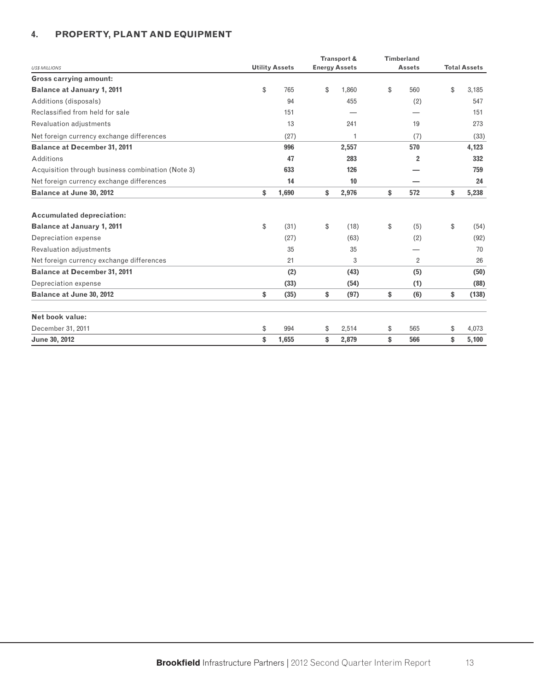### **4. PROPERTY, PLANT AND EQUIPMENT**

|                                                   |                       | Transport &          | <b>Timberland</b> |                     |       |  |  |
|---------------------------------------------------|-----------------------|----------------------|-------------------|---------------------|-------|--|--|
| <b>US\$ MILLIONS</b>                              | <b>Utility Assets</b> | <b>Energy Assets</b> | <b>Assets</b>     | <b>Total Assets</b> |       |  |  |
| <b>Gross carrying amount:</b>                     |                       |                      |                   |                     |       |  |  |
| <b>Balance at January 1, 2011</b>                 | \$<br>765             | \$<br>1.860          | \$<br>560         | \$                  | 3,185 |  |  |
| Additions (disposals)                             | 94                    | 455                  | (2)               |                     | 547   |  |  |
| Reclassified from held for sale                   | 151                   |                      |                   |                     | 151   |  |  |
| Revaluation adjustments                           | 13                    | 241                  | 19                |                     | 273   |  |  |
| Net foreign currency exchange differences         | (27)                  | 1                    | (7)               |                     | (33)  |  |  |
| <b>Balance at December 31, 2011</b>               | 996                   | 2,557                | 570               |                     | 4,123 |  |  |
| Additions                                         | 47                    | 283                  | $\overline{2}$    |                     | 332   |  |  |
| Acquisition through business combination (Note 3) | 633                   | 126                  |                   |                     | 759   |  |  |
| Net foreign currency exchange differences         | 14                    | 10                   |                   |                     | 24    |  |  |
| Balance at June 30, 2012                          | \$<br>1,690           | \$<br>2,976          | \$<br>572         | \$                  | 5,238 |  |  |
| <b>Accumulated depreciation:</b>                  |                       |                      |                   |                     |       |  |  |
| <b>Balance at January 1, 2011</b>                 | \$<br>(31)            | \$<br>(18)           | \$<br>(5)         | \$                  | (54)  |  |  |
| Depreciation expense                              | (27)                  | (63)                 | (2)               |                     | (92)  |  |  |
| Revaluation adjustments                           | 35                    | 35                   |                   |                     | 70    |  |  |
| Net foreign currency exchange differences         | 21                    | 3                    | $\overline{2}$    |                     | 26    |  |  |
| <b>Balance at December 31, 2011</b>               | (2)                   | (43)                 | (5)               |                     | (50)  |  |  |
| Depreciation expense                              | (33)                  | (54)                 | (1)               |                     | (88)  |  |  |
| Balance at June 30, 2012                          | \$<br>(35)            | \$<br>(97)           | \$<br>(6)         | \$                  | (138) |  |  |
| Net book value:                                   |                       |                      |                   |                     |       |  |  |
| December 31, 2011                                 | \$<br>994             | \$<br>2,514          | \$<br>565         | \$                  | 4,073 |  |  |
| June 30, 2012                                     | \$<br>1,655           | \$<br>2,879          | \$<br>566         | \$                  | 5,100 |  |  |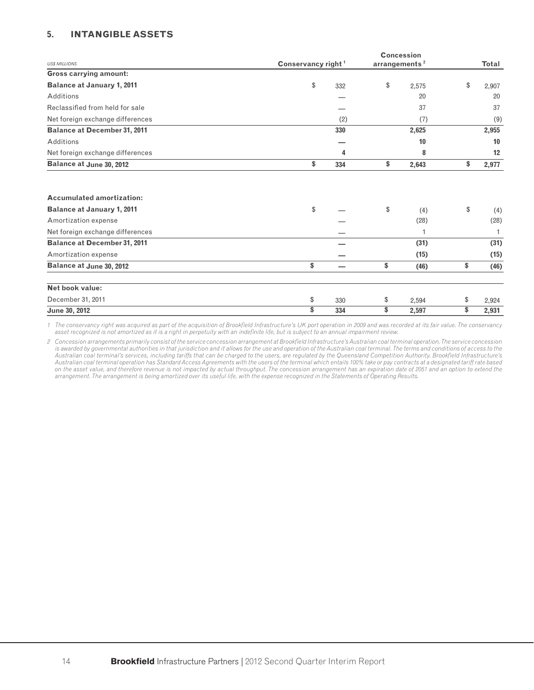#### **5. INTANGIBLE ASSETS**

|                                     |                                |     | <b>Concession</b>         |              |  |
|-------------------------------------|--------------------------------|-----|---------------------------|--------------|--|
| <b>US\$ MILLIONS</b>                | Conservancy right <sup>1</sup> |     | arrangements <sup>2</sup> | <b>Total</b> |  |
| <b>Gross carrying amount:</b>       |                                |     |                           |              |  |
| <b>Balance at January 1, 2011</b>   | \$                             | 332 | \$<br>2,575               | \$<br>2,907  |  |
| Additions                           |                                |     | 20                        | 20           |  |
| Reclassified from held for sale     |                                |     | 37                        | 37           |  |
| Net foreign exchange differences    |                                | (2) | (7)                       | (9)          |  |
| <b>Balance at December 31, 2011</b> |                                | 330 | 2,625                     | 2,955        |  |
| Additions                           |                                |     | 10                        | 10           |  |
| Net foreign exchange differences    |                                | 4   | 8                         | 12           |  |
| <b>Balance at June 30, 2012</b>     | \$                             | 334 | \$<br>2,643               | \$<br>2,977  |  |
| <b>Accumulated amortization:</b>    |                                |     |                           |              |  |
| <b>Balance at January 1, 2011</b>   | \$                             |     | \$<br>(4)                 | \$<br>(4)    |  |
| Amortization expense                |                                |     | (28)                      | (28)         |  |
| Net foreign exchange differences    |                                |     |                           |              |  |
| <b>Balance at December 31, 2011</b> |                                |     | (31)                      | (31)         |  |
| Amortization expense                |                                |     | (15)                      | (15)         |  |
| <b>Balance at June 30, 2012</b>     | \$                             | -   | \$<br>(46)                | \$<br>(46)   |  |
| Net book value:                     |                                |     |                           |              |  |
| December 31, 2011                   | \$                             | 330 | \$<br>2,594               | \$<br>2,924  |  |
| June 30, 2012                       | \$                             | 334 | \$<br>2,597               | \$<br>2,931  |  |

*1 The conservancy right was acquired as part of the acquisition of Brookfi eld Infrastructure's UK port operation in 2009 and was recorded at its fair value. The conservancy asset recognized is not amortized as it is a right in perpetuity with an indefi nite life, but is subject to an annual impairment review.*

2 Concession arrangements primarily consist of the service concession arrangement at Brookfield Infrastructure's Australian coal terminal operation. The service concession is awarded by governmental authorities in that jurisdiction and it allows for the use and operation of the Australian coal terminal. The terms and conditions of access to the Australian coal terminal's services, including tariffs that can be charged to the users, are regulated by the Queensland Competition Authority. Brookfield Infrastructure's *Australian coal terminal operation has Standard Access Agreements with the users of the terminal which entails 100% take or pay contracts at a designated tariff rate based on the asset value, and therefore revenue is not impacted by actual throughput. The concession arrangement has an expiration date of 2051 and an option to extend the arrangement. The arrangement is being amortized over its useful life, with the expense recognized in the Statements of Operating Results.*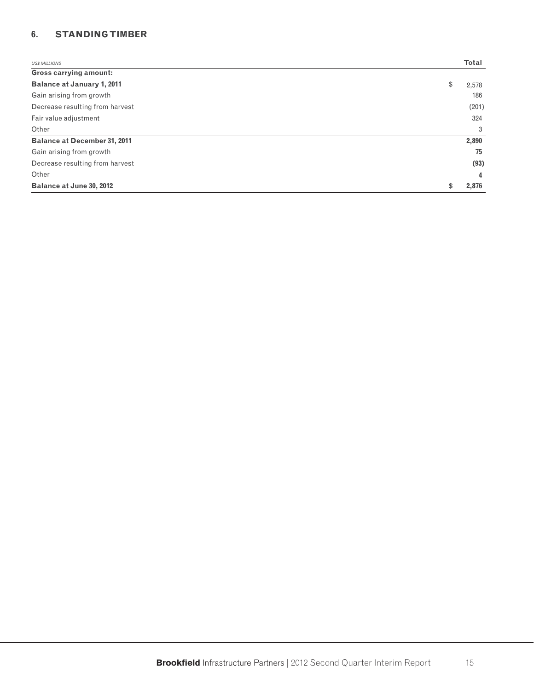### **6. STANDING TIMBER**

| <b>US\$ MILLIONS</b>                | <b>Total</b> |
|-------------------------------------|--------------|
| <b>Gross carrying amount:</b>       |              |
| <b>Balance at January 1, 2011</b>   | \$<br>2,578  |
| Gain arising from growth            | 186          |
| Decrease resulting from harvest     | (201)        |
| Fair value adjustment               | 324          |
| Other                               | 3            |
| <b>Balance at December 31, 2011</b> | 2,890        |
| Gain arising from growth            | 75           |
| Decrease resulting from harvest     | (93)         |
| Other                               | 4            |
| Balance at June 30, 2012            | \$<br>2,876  |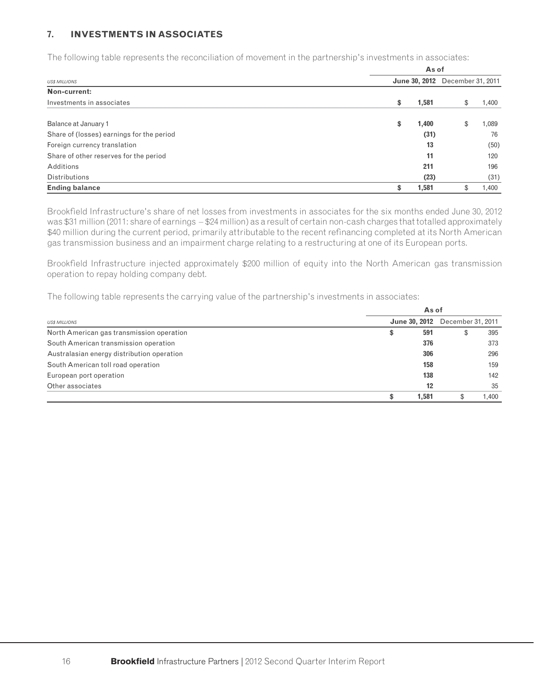#### **7. INVESTMENTS IN ASSOCIATES**

The following table represents the reconciliation of movement in the partnership's investments in associates:

|                                           | As of |               |                   |       |  |  |  |  |  |
|-------------------------------------------|-------|---------------|-------------------|-------|--|--|--|--|--|
| <b>US\$ MILLIONS</b>                      |       | June 30, 2012 | December 31, 2011 |       |  |  |  |  |  |
| Non-current:                              |       |               |                   |       |  |  |  |  |  |
| Investments in associates                 | \$    | 1,581         | \$                | 1,400 |  |  |  |  |  |
| Balance at January 1                      | \$    | 1,400         | \$                | 1,089 |  |  |  |  |  |
| Share of (losses) earnings for the period |       | (31)          |                   | 76    |  |  |  |  |  |
| Foreign currency translation              |       | 13            |                   | (50)  |  |  |  |  |  |
| Share of other reserves for the period    |       | 11            |                   | 120   |  |  |  |  |  |
| Additions                                 |       | 211           |                   | 196   |  |  |  |  |  |
| <b>Distributions</b>                      |       | (23)          |                   | (31)  |  |  |  |  |  |
| <b>Ending balance</b>                     | \$    | 1,581         | \$                | 1,400 |  |  |  |  |  |

Brookfield Infrastructure's share of net losses from investments in associates for the six months ended June 30, 2012 was \$31 million (2011: share of earnings – \$24 million) as a result of certain non-cash charges that totalled approximately \$40 million during the current period, primarily attributable to the recent refinancing completed at its North American gas transmission business and an impairment charge relating to a restructuring at one of its European ports.

Brookfield Infrastructure injected approximately \$200 million of equity into the North American gas transmission operation to repay holding company debt.

The following table represents the carrying value of the partnership's investments in associates:

|                                            |                      | As of |                   |       |  |  |  |  |  |  |
|--------------------------------------------|----------------------|-------|-------------------|-------|--|--|--|--|--|--|
| <b>USS MILLIONS</b>                        | <b>June 30, 2012</b> |       | December 31, 2011 |       |  |  |  |  |  |  |
| North American gas transmission operation  | Φ                    | 591   |                   | 395   |  |  |  |  |  |  |
| South American transmission operation      |                      | 376   |                   | 373   |  |  |  |  |  |  |
| Australasian energy distribution operation |                      | 306   |                   | 296   |  |  |  |  |  |  |
| South American toll road operation         |                      | 158   |                   | 159   |  |  |  |  |  |  |
| European port operation                    |                      | 138   |                   | 142   |  |  |  |  |  |  |
| Other associates                           |                      | 12    |                   | 35    |  |  |  |  |  |  |
|                                            |                      | 1.581 |                   | 1.400 |  |  |  |  |  |  |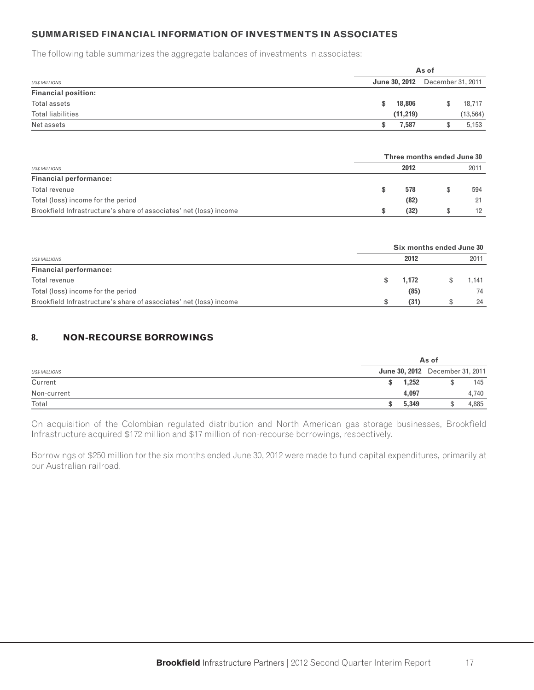### **SUMMARISED FINANCIAL INFORMATION OF INVESTMENTS IN ASSOCIATES**

The following table summarizes the aggregate balances of investments in associates:

|                            |     | As of     |                                        |           |  |  |  |  |  |
|----------------------------|-----|-----------|----------------------------------------|-----------|--|--|--|--|--|
| <b>US\$ MILLIONS</b>       |     |           | <b>June 30, 2012</b> December 31, 2011 |           |  |  |  |  |  |
| <b>Financial position:</b> |     |           |                                        |           |  |  |  |  |  |
| Total assets               | SS. | 18,806    |                                        | 18,717    |  |  |  |  |  |
| <b>Total liabilities</b>   |     | (11, 219) |                                        | (13, 564) |  |  |  |  |  |
| Net assets                 |     | 7.587     |                                        | 5,153     |  |  |  |  |  |

|                                                                    | Three months ended June 30 |  |      |  |  |  |  |  |
|--------------------------------------------------------------------|----------------------------|--|------|--|--|--|--|--|
| <b>US\$ MILLIONS</b>                                               | 2012                       |  | 2011 |  |  |  |  |  |
| <b>Financial performance:</b>                                      |                            |  |      |  |  |  |  |  |
| Total revenue                                                      | 578                        |  | 594  |  |  |  |  |  |
| Total (loss) income for the period                                 | (82)                       |  | 21   |  |  |  |  |  |
| Brookfield Infrastructure's share of associates' net (loss) income | (32)                       |  | 12   |  |  |  |  |  |

|                                                                    | Six months ended June 30 |       |  |       |  |  |  |  |
|--------------------------------------------------------------------|--------------------------|-------|--|-------|--|--|--|--|
| <b>USS MILLIONS</b>                                                |                          | 2012  |  | 2011  |  |  |  |  |
| <b>Financial performance:</b>                                      |                          |       |  |       |  |  |  |  |
| Total revenue                                                      |                          | 1,172 |  | 1.141 |  |  |  |  |
| Total (loss) income for the period                                 |                          | (85)  |  | 74    |  |  |  |  |
| Brookfield Infrastructure's share of associates' net (loss) income |                          | (31)  |  | 24    |  |  |  |  |

### **8. NON-RECOURSE BORROWINGS**

|                      |                                 | As of |       |
|----------------------|---------------------------------|-------|-------|
| <b>US\$ MILLIONS</b> | June 30, 2012 December 31, 2011 |       |       |
| Current              | 1,252                           |       | 145   |
| Non-current          | 4,097                           |       | 4.740 |
| Total                | 5,349                           |       | 4,885 |

On acquisition of the Colombian regulated distribution and North American gas storage businesses, Brookfield Infrastructure acquired \$172 million and \$17 million of non-recourse borrowings, respectively.

Borrowings of \$250 million for the six months ended June 30, 2012 were made to fund capital expenditures, primarily at our Australian railroad.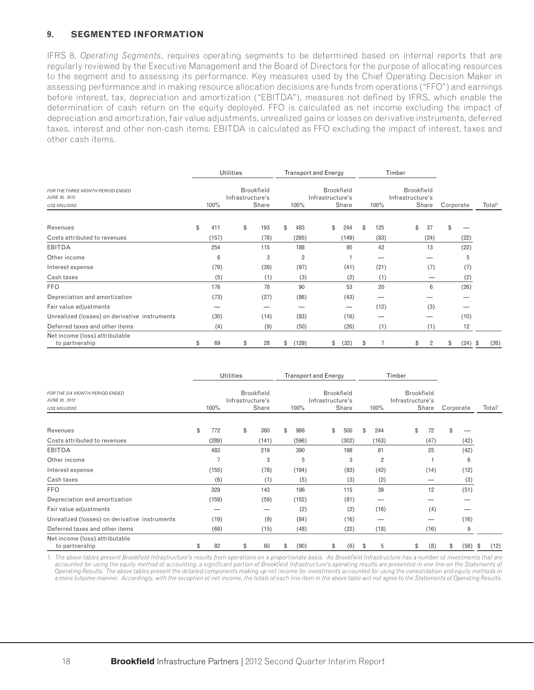#### **9. SEGMENTED INFORMATION**

IFRS 8, *Operating Segments*, requires operating segments to be determined based on internal reports that are regularly reviewed by the Executive Management and the Board of Directors for the purpose of allocating resources to the segment and to assessing its performance. Key measures used by the Chief Operating Decision Maker in assessing performance and in making resource allocation decisions are funds from operations ("FFO") and earnings before interest, tax, depreciation and amortization ("EBITDA"), measures not defined by IFRS, which enable the determination of cash return on the equity deployed. FFO is calculated as net income excluding the impact of depreciation and amortization, fair value adjustments, unrealized gains or losses on derivative instruments, deferred taxes, interest and other non-cash items. EBITDA is calculated as FFO excluding the impact of interest, taxes and other cash items.

|                                                                           | <b>Utilities</b> |                  |    |                            |    | <b>Transport and Energy</b> |                  |    |                                 |    | Timber |                  |                   |                |           |                    |      |
|---------------------------------------------------------------------------|------------------|------------------|----|----------------------------|----|-----------------------------|------------------|----|---------------------------------|----|--------|------------------|-------------------|----------------|-----------|--------------------|------|
| FOR THE THREE MONTH PERIOD ENDED<br>JUNE 30, 2012<br><b>US\$ MILLIONS</b> | 100%             | Infrastructure's |    | <b>Brookfield</b><br>Share |    | 100%                        | Infrastructure's |    | <b>Brookfield</b><br>Share      |    | 100%   | Infrastructure's | <b>Brookfield</b> | Share          | Corporate | Total <sup>1</sup> |      |
|                                                                           |                  |                  |    |                            |    |                             |                  |    |                                 |    |        |                  |                   |                |           |                    |      |
| Revenues                                                                  | \$<br>411        |                  | \$ | 193                        | \$ | 483                         |                  | \$ | 244                             | \$ | 125    |                  | \$                | 37             | \$        |                    |      |
| Costs attributed to revenues                                              | (157)            |                  |    | (78)                       |    | (295)                       |                  |    | (149)                           |    | (83)   |                  |                   | (24)           |           | (22)               |      |
| <b>EBITDA</b>                                                             | 254              |                  |    | 115                        |    | 188                         |                  |    | 95                              |    | 42     |                  |                   | 13             |           | (22)               |      |
| Other income                                                              | 6                |                  |    | 3                          |    | $\overline{2}$              |                  |    |                                 |    |        |                  |                   |                |           | 5                  |      |
| Interest expense                                                          | (79)             |                  |    | (39)                       |    | (97)                        |                  |    | (41)                            |    | (21)   |                  |                   | (7)            |           | (7)                |      |
| Cash taxes                                                                | (5)              |                  |    | (1)                        |    | (3)                         |                  |    | (2)                             |    | (1)    |                  |                   | —              |           | (2)                |      |
| <b>FFO</b>                                                                | 176              |                  |    | 78                         |    | 90                          |                  |    | 53                              |    | 20     |                  |                   | 6              |           | (26)               |      |
| Depreciation and amortization                                             | (73)             |                  |    | (27)                       |    | (86)                        |                  |    | (43)                            |    |        |                  |                   |                |           |                    |      |
| Fair value adjustments                                                    | _                |                  |    | -                          |    | _                           |                  |    | $\hspace{0.1mm}-\hspace{0.1mm}$ |    | (12)   |                  |                   | (3)            |           |                    |      |
| Unrealized (losses) on derivative instruments                             | (30)             |                  |    | (14)                       |    | (83)                        |                  |    | (16)                            |    |        |                  |                   |                |           | (10)               |      |
| Deferred taxes and other items                                            | (4)              |                  |    | (9)                        |    | (50)                        |                  |    | (26)                            |    | (1)    |                  |                   | (1)            |           | 12                 |      |
| Net income (loss) attributable<br>to partnership                          | \$<br>69         |                  | \$ | 28                         | \$ | (129)                       |                  | \$ | (32)                            | S  |        |                  | S                 | $\overline{2}$ | \$        | $(24)$ \$          | (26) |

|                                                                         |           | Utilities        |                            |    |       | <b>Transport and Energy</b> |                            |    |                | Timber           |                            |            |                    |  |
|-------------------------------------------------------------------------|-----------|------------------|----------------------------|----|-------|-----------------------------|----------------------------|----|----------------|------------------|----------------------------|------------|--------------------|--|
| FOR THE SIX MONTH PERIOD ENDED<br>JUNE 30, 2012<br><b>US\$ MILLIONS</b> | 100%      | Infrastructure's | <b>Brookfield</b><br>Share |    | 100%  | Infrastructure's            | <b>Brookfield</b><br>Share |    | 100%           | Infrastructure's | <b>Brookfield</b><br>Share | Corporate  | Total <sup>1</sup> |  |
|                                                                         |           |                  |                            |    |       |                             |                            |    |                |                  |                            |            |                    |  |
| Revenues                                                                | \$<br>772 | \$               | 360                        | \$ | 986   | \$                          | 500                        | \$ | 244            | \$               | 72                         | \$         |                    |  |
| Costs attributed to revenues                                            | (289)     |                  | (141)                      |    | (596) |                             | (302)                      |    | (163)          |                  | (47)                       | (42)       |                    |  |
| <b>EBITDA</b>                                                           | 483       |                  | 219                        |    | 390   |                             | 198                        |    | 81             |                  | 25                         | (42)       |                    |  |
| Other income                                                            | 7         |                  | 3                          |    | 5     |                             | 3                          |    | $\overline{2}$ |                  |                            | 6          |                    |  |
| Interest expense                                                        | (155)     |                  | (78)                       |    | (194) |                             | (83)                       |    | (42)           |                  | (14)                       | (12)       |                    |  |
| Cash taxes                                                              | (6)       |                  | (1)                        |    | (5)   |                             | (3)                        |    | (2)            |                  |                            | (3)        |                    |  |
| <b>FFO</b>                                                              | 329       |                  | 143                        |    | 196   |                             | 115                        |    | 39             |                  | 12                         | (51)       |                    |  |
| Depreciation and amortization                                           | (159)     |                  | (59)                       |    | (152) |                             | (81)                       |    |                |                  |                            |            |                    |  |
| Fair value adjustments                                                  |           |                  |                            |    | (2)   |                             | (2)                        |    | (16)           |                  | (4)                        |            |                    |  |
| Unrealized (losses) on derivative instruments                           | (19)      |                  | (9)                        |    | (84)  |                             | (16)                       |    |                |                  |                            | (16)       |                    |  |
| Deferred taxes and other items                                          | (69)      |                  | (15)                       |    | (48)  |                             | (22)                       |    | (18)           |                  | (16)                       | 9          |                    |  |
| Net income (loss) attributable<br>to partnership                        | \$<br>82  | \$               | 60                         | S  | (90)  | \$                          | (6)                        | S  | 5              | \$               | (8)                        | \$<br>(58) | (12)<br>\$         |  |

1. The above tables present Brookfield Infrastructure's results from operations on a proportionate basis. As Brookfield Infrastructure has a number of investments that are accounted for using the equity method of accounting, a significant portion of Brookfield Infrastructure's operating results are presented in one line on the Statements of *Operating Results. The above tables present the detailed components making up net income for investments accounted for using the consolidation and equity methods in a more fulsome manner. Accordingly, with the exception of net income, the totals of each line item in the above table will not agree to the Statements of Operating Results.*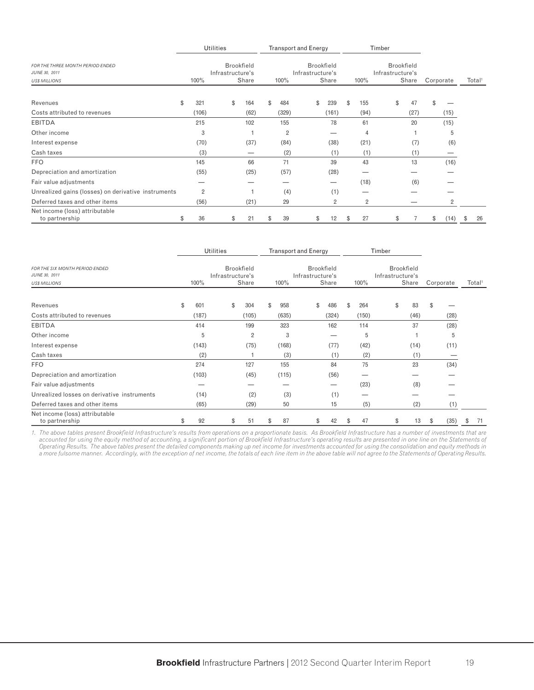|                                                                                  |                | <b>Utilities</b> |                            |                | <b>Transport and Energy</b> |                            |    |                | Timber           |                            |                |                    |
|----------------------------------------------------------------------------------|----------------|------------------|----------------------------|----------------|-----------------------------|----------------------------|----|----------------|------------------|----------------------------|----------------|--------------------|
| <b>FOR THE THREE MONTH PERIOD ENDED</b><br>JUNE 30, 2011<br><b>US\$ MILLIONS</b> | 100%           | Infrastructure's | <b>Brookfield</b><br>Share | 100%           | Infrastructure's            | <b>Brookfield</b><br>Share |    | 100%           | Infrastructure's | <b>Brookfield</b><br>Share | Corporate      | Total <sup>1</sup> |
| Revenues                                                                         | \$<br>321      |                  | \$<br>164                  | \$<br>484      |                             | \$<br>239                  | \$ | 155            | \$               | 47                         | \$             |                    |
| Costs attributed to revenues                                                     | (106)          |                  | (62)                       | (329)          |                             | (161)                      |    | (94)           |                  | (27)                       | (15)           |                    |
| <b>EBITDA</b>                                                                    | 215            |                  | 102                        | 155            |                             | 78                         |    | 61             |                  | 20                         | (15)           |                    |
| Other income                                                                     | 3              |                  |                            | $\overline{2}$ |                             |                            |    | 4              |                  |                            | 5              |                    |
| Interest expense                                                                 | (70)           |                  | (37)                       | (84)           |                             | (38)                       |    | (21)           |                  | (7)                        | (6)            |                    |
| Cash taxes                                                                       | (3)            |                  |                            | (2)            |                             | (1)                        |    | (1)            |                  | (1)                        |                |                    |
| <b>FFO</b>                                                                       | 145            |                  | 66                         | 71             |                             | 39                         |    | 43             |                  | 13                         | (16)           |                    |
| Depreciation and amortization                                                    | (55)           |                  | (25)                       | (57)           |                             | (28)                       |    |                |                  |                            |                |                    |
| Fair value adjustments                                                           |                |                  |                            |                |                             |                            |    | (18)           |                  | (6)                        |                |                    |
| Unrealized gains (losses) on derivative instruments                              | $\overline{2}$ |                  |                            | (4)            |                             | (1)                        |    |                |                  |                            |                |                    |
| Deferred taxes and other items                                                   | (56)           |                  | (21)                       | 29             |                             | $\overline{2}$             |    | $\overline{2}$ |                  |                            | $\overline{2}$ |                    |
| Net income (loss) attributable<br>to partnership                                 | \$<br>36       |                  | \$<br>21                   | \$<br>39       |                             | \$<br>12                   | S  | 27             | \$               |                            | \$<br>(14)     | \$<br>26           |

|                                                                         |           | <b>Utilities</b> |                            |           | <b>Transport and Energy</b> |                            |           | Timber           |                            |            |                    |
|-------------------------------------------------------------------------|-----------|------------------|----------------------------|-----------|-----------------------------|----------------------------|-----------|------------------|----------------------------|------------|--------------------|
| FOR THE SIX MONTH PERIOD ENDED<br>JUNE 30, 2011<br><b>US\$ MILLIONS</b> | 100%      | Infrastructure's | <b>Brookfield</b><br>Share | 100%      | Infrastructure's            | <b>Brookfield</b><br>Share | 100%      | Infrastructure's | <b>Brookfield</b><br>Share | Corporate  | Total <sup>1</sup> |
| Revenues                                                                | \$<br>601 | \$               | 304                        | \$<br>958 | \$                          | 486                        | \$<br>264 | \$               | 83                         | \$         |                    |
| Costs attributed to revenues                                            | (187)     |                  | (105)                      | (635)     |                             | (324)                      | (150)     |                  | (46)                       | (28)       |                    |
| <b>EBITDA</b>                                                           | 414       |                  | 199                        | 323       |                             | 162                        | 114       |                  | 37                         | (28)       |                    |
| Other income                                                            | 5         |                  | $\overline{2}$             | 3         |                             | –                          | 5         |                  |                            | 5          |                    |
| Interest expense                                                        | (143)     |                  | (75)                       | (168)     |                             | (77)                       | (42)      |                  | (14)                       | (11)       |                    |
| Cash taxes                                                              | (2)       |                  |                            | (3)       |                             | (1)                        | (2)       |                  | (1)                        |            |                    |
| <b>FFO</b>                                                              | 274       |                  | 127                        | 155       |                             | 84                         | 75        |                  | 23                         | (34)       |                    |
| Depreciation and amortization                                           | (103)     |                  | (45)                       | (115)     |                             | (56)                       |           |                  |                            |            |                    |
| Fair value adjustments                                                  |           |                  |                            |           |                             | —                          | (23)      |                  | (8)                        |            |                    |
| Unrealized losses on derivative instruments                             | (14)      |                  | (2)                        | (3)       |                             | (1)                        |           |                  |                            |            |                    |
| Deferred taxes and other items                                          | (65)      |                  | (29)                       | 50        |                             | 15                         | (5)       |                  | (2)                        | (1)        |                    |
| Net income (loss) attributable<br>to partnership                        | \$<br>92  | \$               | 51                         | \$<br>87  | \$                          | 42                         | \$<br>47  | \$               | 13                         | \$<br>(35) | \$<br>71           |

1. The above tables present Brookfield Infrastructure's results from operations on a proportionate basis. As Brookfield Infrastructure has a number of investments that are accounted for using the equity method of accounting, a significant portion of Brookfield Infrastructure's operating results are presented in one line on the Statements of *Operating Results. The above tables present the detailed components making up net income for investments accounted for using the consolidation and equity methods in a more fulsome manner. Accordingly, with the exception of net income, the totals of each line item in the above table will not agree to the Statements of Operating Results.*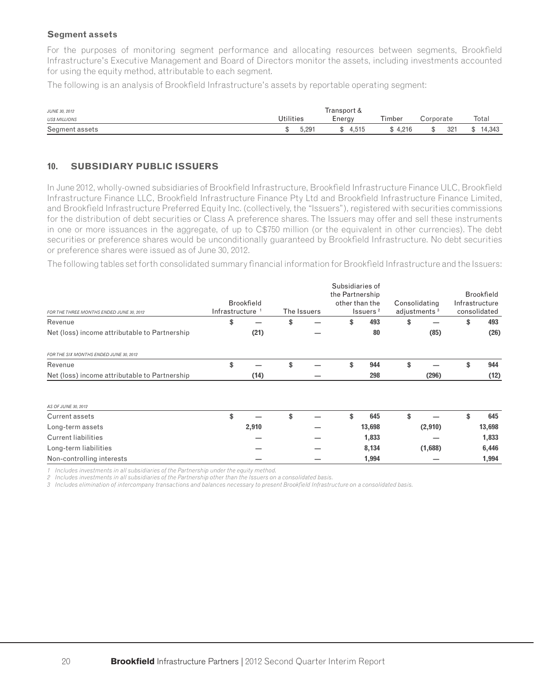#### **Segment assets**

For the purposes of monitoring segment performance and allocating resources between segments, Brookfield Infrastructure's Executive Management and Board of Directors monitor the assets, including investments accounted for using the equity method, attributable to each segment.

The following is an analysis of Brookfield Infrastructure's assets by reportable operating segment:

| <b>JUNE 30, 2012</b> |                  | Transport & |         |           |        |
|----------------------|------------------|-------------|---------|-----------|--------|
| <b>US\$ MILLIONS</b> | <b>Utilities</b> | Energy      | Timber  | Corporate | Total  |
| Segment assets       | 5.291            | \$4.515     | \$4.216 | 321       | 14.343 |

### **10. SUBSIDIARY PUBLIC ISSUERS**

In June 2012, wholly-owned subsidiaries of Brookfield Infrastructure, Brookfield Infrastructure Finance ULC, Brookfield Infrastructure Finance LLC, Brookfield Infrastructure Finance Pty Ltd and Brookfield Infrastructure Finance Limited, and Brookfield Infrastructure Preferred Equity Inc. (collectively, the "Issuers"), registered with securities commissions for the distribution of debt securities or Class A preference shares. The Issuers may offer and sell these instruments in one or more issuances in the aggregate, of up to C\$750 million (or the equivalent in other currencies). The debt securities or preference shares would be unconditionally guaranteed by Brookfield Infrastructure. No debt securities or preference shares were issued as of June 30, 2012.

The following tables set forth consolidated summary financial information for Brookfield Infrastructure and the Issuers:

|                                               |                |                   |             | Subsidiaries of |                      |                          |                   |
|-----------------------------------------------|----------------|-------------------|-------------|-----------------|----------------------|--------------------------|-------------------|
|                                               |                |                   |             | the Partnership |                      |                          | <b>Brookfield</b> |
|                                               |                | <b>Brookfield</b> |             |                 | other than the       | Consolidating            | Infrastructure    |
| FOR THE THREE MONTHS ENDED JUNE 30, 2012      | Infrastructure |                   | The Issuers |                 | Issuers <sup>2</sup> | adjustments <sup>3</sup> | consolidated      |
| Revenue                                       | \$             |                   | \$          | \$              | 493                  | \$                       | \$<br>493         |
| Net (loss) income attributable to Partnership |                | (21)              |             |                 | 80                   | (85)                     | (26)              |
| FOR THE SIX MONTHS ENDED JUNE 30, 2012        |                |                   |             |                 |                      |                          |                   |
| Revenue                                       | \$             |                   | \$          | \$              | 944                  | \$                       | \$<br>944         |
| Net (loss) income attributable to Partnership |                | (14)              |             |                 | 298                  | (296)                    | (12)              |
| AS OF JUNE 30, 2012                           |                |                   |             |                 |                      |                          |                   |
| Current assets                                | \$             |                   | \$          | \$              | 645                  | \$                       | \$<br>645         |
| Long-term assets                              |                | 2,910             |             |                 | 13,698               | (2,910)                  | 13,698            |
| <b>Current liabilities</b>                    |                |                   |             |                 | 1,833                |                          | 1,833             |
| Long-term liabilities                         |                |                   |             |                 | 8,134                | (1,688)                  | 6,446             |
| Non-controlling interests                     |                |                   |             |                 | 1,994                |                          | 1,994             |

*1 Includes investments in all subsidiaries of the Partnership under the equity method.*

*2 Includes investments in all subsidiaries of the Partnership other than the Issuers on a consolidated basis.*

*3 Includes elimination of intercompany transactions and balances necessary to present Brookfi eld Infrastructure on a consolidated basis.*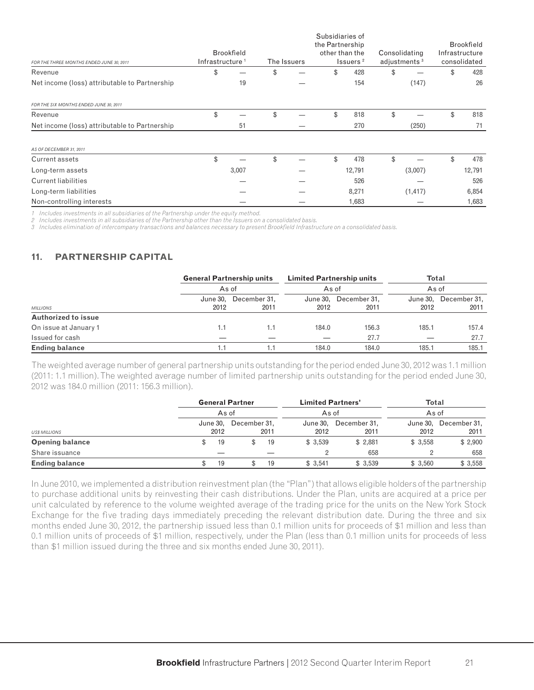| FOR THE THREE MONTHS ENDED JUNE 30, 2011      | Infrastructure <sup>1</sup> | <b>Brookfield</b> | The Issuers | Subsidiaries of<br>the Partnership<br>other than the | Issuers <sup>2</sup> | Consolidating<br>adjustments <sup>3</sup> |     | <b>Brookfield</b><br>Infrastructure<br>consolidated |
|-----------------------------------------------|-----------------------------|-------------------|-------------|------------------------------------------------------|----------------------|-------------------------------------------|-----|-----------------------------------------------------|
| Revenue                                       | \$                          |                   | \$          | \$                                                   | 428                  | \$                                        | \$  | 428                                                 |
| Net income (loss) attributable to Partnership |                             | 19                |             |                                                      | 154                  | (147)                                     |     | 26                                                  |
| FOR THE SIX MONTHS ENDED JUNE 30, 2011        |                             |                   |             |                                                      |                      |                                           |     |                                                     |
| Revenue                                       | \$                          |                   | \$          | \$                                                   | 818                  | \$                                        | \$  | 818                                                 |
| Net income (loss) attributable to Partnership |                             | 51                |             |                                                      | 270                  | (250)                                     |     | 71                                                  |
| AS OF DECEMBER 31, 2011                       |                             |                   |             |                                                      |                      |                                           |     |                                                     |
| Current assets                                | \$                          |                   | \$          | \$                                                   | 478                  | \$                                        | \$. | 478                                                 |
| Long-term assets                              |                             | 3,007             |             |                                                      | 12,791               | (3,007)                                   |     | 12,791                                              |
| <b>Current liabilities</b>                    |                             |                   |             |                                                      | 526                  |                                           |     | 526                                                 |
| Long-term liabilities                         |                             |                   |             |                                                      | 8,271                | (1, 417)                                  |     | 6,854                                               |
| Non-controlling interests                     |                             |                   |             |                                                      | 1,683                |                                           |     | 1,683                                               |

*1 Includes investments in all subsidiaries of the Partnership under the equity method.*

*2 Includes investments in all subsidiaries of the Partnership other than the Issuers on a consolidated basis.*

*3 Includes elimination of intercompany transactions and balances necessary to present Brookfi eld Infrastructure on a consolidated basis.*

### **11. PARTNERSHIP CAPITAL**

|                            | <b>General Partnership units</b> |                      | <b>Limited Partnership units</b> |                               | <b>Total</b>     |                      |
|----------------------------|----------------------------------|----------------------|----------------------------------|-------------------------------|------------------|----------------------|
|                            |                                  | As of<br>As of       |                                  |                               | As of            |                      |
| <b>MILLIONS</b>            | June 30,<br>2012                 | December 31,<br>2011 | 2012                             | June 30, December 31,<br>2011 | June 30.<br>2012 | December 31,<br>2011 |
| <b>Authorized to issue</b> |                                  |                      |                                  |                               |                  |                      |
| On issue at January 1      | 1.1                              | 1.1                  | 184.0                            | 156.3                         | 185.1            | 157.4                |
| Issued for cash            |                                  |                      |                                  | 27.7                          |                  | 27.7                 |
| <b>Ending balance</b>      |                                  | 1.1                  | 184.0                            | 184.0                         | 185.1            | 185.1                |

The weighted average number of general partnership units outstanding for the period ended June 30, 2012 was 1.1 million (2011: 1.1 million). The weighted average number of limited partnership units outstanding for the period ended June 30, 2012 was 184.0 million (2011: 156.3 million).

|                        | <b>General Partner</b> |                      | <b>Limited Partners'</b> |                      | <b>Total</b> |                               |
|------------------------|------------------------|----------------------|--------------------------|----------------------|--------------|-------------------------------|
|                        | As of                  |                      |                          | As of                | As of        |                               |
| <b>US\$ MILLIONS</b>   | June 30,<br>2012       | December 31.<br>2011 | June 30,<br>2012         | December 31.<br>2011 | 2012         | June 30, December 31,<br>2011 |
| <b>Opening balance</b> | 19                     | 19                   | \$3,539                  | \$2.881              | \$3.558      | \$2,900                       |
| Share issuance         |                        |                      |                          | 658                  | 2            | 658                           |
| <b>Ending balance</b>  | 19                     | 19                   | \$3,541                  | \$3,539              | \$3,560      | \$3,558                       |

In June 2010, we implemented a distribution reinvestment plan (the "Plan") that allows eligible holders of the partnership to purchase additional units by reinvesting their cash distributions. Under the Plan, units are acquired at a price per unit calculated by reference to the volume weighted average of the trading price for the units on the New York Stock Exchange for the five trading days immediately preceding the relevant distribution date. During the three and six months ended June 30, 2012, the partnership issued less than 0.1 million units for proceeds of \$1 million and less than 0.1 million units of proceeds of \$1 million, respectively, under the Plan (less than 0.1 million units for proceeds of less than \$1 million issued during the three and six months ended June 30, 2011).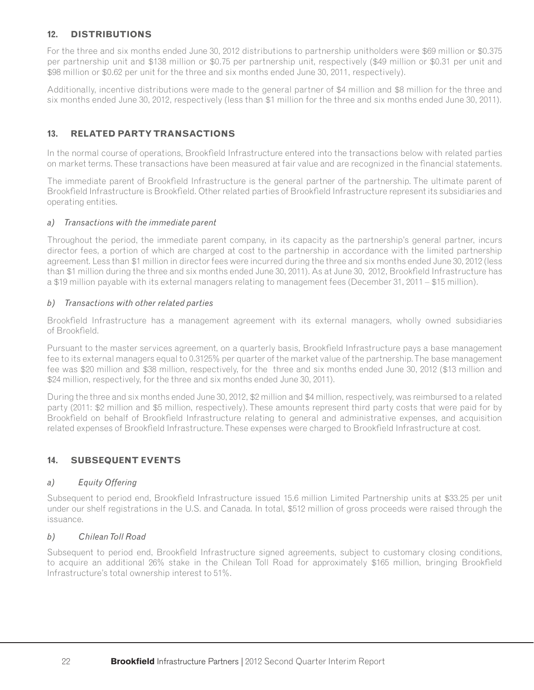### **12. DISTRIBUTIONS**

For the three and six months ended June 30, 2012 distributions to partnership unitholders were \$69 million or \$0.375 per partnership unit and \$138 million or \$0.75 per partnership unit, respectively (\$49 million or \$0.31 per unit and \$98 million or \$0.62 per unit for the three and six months ended June 30, 2011, respectively).

Additionally, incentive distributions were made to the general partner of \$4 million and \$8 million for the three and six months ended June 30, 2012, respectively (less than \$1 million for the three and six months ended June 30, 2011).

### **13. RELATED PARTY TRANSACTIONS**

In the normal course of operations, Brookfield Infrastructure entered into the transactions below with related parties on market terms. These transactions have been measured at fair value and are recognized in the financial statements.

The immediate parent of Brookfield Infrastructure is the general partner of the partnership. The ultimate parent of Brookfield Infrastructure is Brookfield. Other related parties of Brookfield Infrastructure represent its subsidiaries and operating entities.

### *a) Transactions with the immediate parent*

Throughout the period, the immediate parent company, in its capacity as the partnership's general partner, incurs director fees, a portion of which are charged at cost to the partnership in accordance with the limited partnership agreement. Less than \$1 million in director fees were incurred during the three and six months ended June 30, 2012 (less than \$1 million during the three and six months ended June 30, 2011). As at June 30, 2012, Brookfield Infrastructure has a \$19 million payable with its external managers relating to management fees (December 31, 2011 – \$15 million).

### *b) Transactions with other related parties*

Brookfield Infrastructure has a management agreement with its external managers, wholly owned subsidiaries of Brookfield.

Pursuant to the master services agreement, on a quarterly basis, Brookfield Infrastructure pays a base management fee to its external managers equal to 0.3125% per quarter of the market value of the partnership. The base management fee was \$20 million and \$38 million, respectively, for the three and six months ended June 30, 2012 (\$13 million and \$24 million, respectively, for the three and six months ended June 30, 2011).

During the three and six months ended June 30, 2012, \$2 million and \$4 million, respectively, was reimbursed to a related party (2011: \$2 million and \$5 million, respectively). These amounts represent third party costs that were paid for by Brookfield on behalf of Brookfield Infrastructure relating to general and administrative expenses, and acquisition related expenses of Brookfield Infrastructure. These expenses were charged to Brookfield Infrastructure at cost.

### **14. SUBSEQUENT EVENTS**

### *a) Equity Offering*

Subsequent to period end, Brookfield Infrastructure issued 15.6 million Limited Partnership units at \$33.25 per unit under our shelf registrations in the U.S. and Canada. In total, \$512 million of gross proceeds were raised through the issuance.

#### *b) Chilean Toll Road*

Subsequent to period end, Brookfield Infrastructure signed agreements, subject to customary closing conditions, to acquire an additional 26% stake in the Chilean Toll Road for approximately \$165 million, bringing Brookfield Infrastructure's total ownership interest to 51%.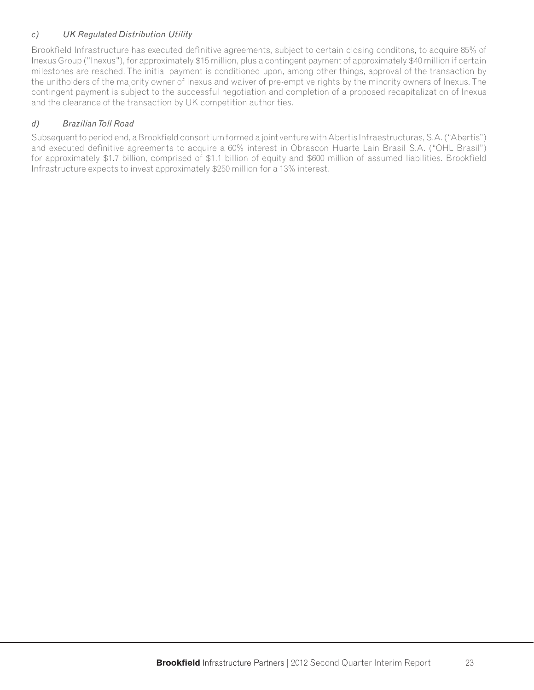### *c) UK Regulated Distribution Utility*

Brookfield Infrastructure has executed definitive agreements, subject to certain closing conditons, to acquire 85% of Inexus Group ("Inexus"), for approximately \$15 million, plus a contingent payment of approximately \$40 million if certain milestones are reached. The initial payment is conditioned upon, among other things, approval of the transaction by the unitholders of the majority owner of Inexus and waiver of pre-emptive rights by the minority owners of Inexus. The contingent payment is subject to the successful negotiation and completion of a proposed recapitalization of Inexus and the clearance of the transaction by UK competition authorities.

### *d) Brazilian Toll Road*

Subsequent to period end, a Brookfield consortium formed a joint venture with Abertis Infraestructuras, S.A. ("Abertis") and executed definitive agreements to acquire a 60% interest in Obrascon Huarte Lain Brasil S.A. ("OHL Brasil") for approximately \$1.7 billion, comprised of \$1.1 billion of equity and \$600 million of assumed liabilities. Brookfield Infrastructure expects to invest approximately \$250 million for a 13% interest.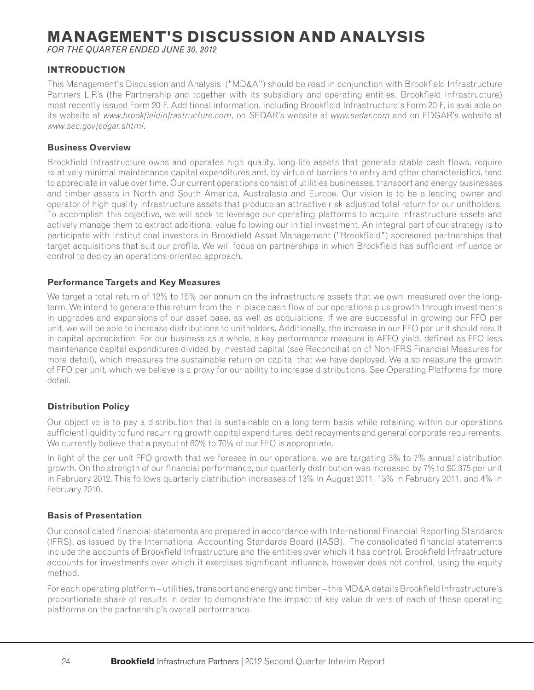# **MANAGEMENT'S DISCUSSION AND ANALYSIS**

*FOR THE QUARTER ENDED JUNE 30, 2012*

### **INTRODUCTION**

This Management's Discussion and Analysis ("MD&A") should be read in conjunction with Brookfield Infrastructure Partners L.P.'s (the Partnership and together with its subsidiary and operating entities, Brookfield Infrastructure) most recently issued Form 20-F. Additional information, including Brookfield Infrastructure's Form 20-F, is available on its website at *www.brookfieldinfrastructure.com*, on SEDAR's website at *www.sedar.com* and on EDGAR's website at *www.sec.gov/edgar.shtml.*

#### **Business Overview**

Brookfield Infrastructure owns and operates high quality, long-life assets that generate stable cash flows, require relatively minimal maintenance capital expenditures and, by virtue of barriers to entry and other characteristics, tend to appreciate in value over time. Our current operations consist of utilities businesses, transport and energy businesses and timber assets in North and South America, Australasia and Europe. Our vision is to be a leading owner and operator of high quality infrastructure assets that produce an attractive risk-adjusted total return for our unitholders. To accomplish this objective, we will seek to leverage our operating platforms to acquire infrastructure assets and actively manage them to extract additional value following our initial investment. An integral part of our strategy is to participate with institutional investors in Brookfield Asset Management ("Brookfield") sponsored partnerships that target acquisitions that suit our profile. We will focus on partnerships in which Brookfield has sufficient influence or control to deploy an operations-oriented approach.

#### **Performance Targets and Key Measures**

We target a total return of 12% to 15% per annum on the infrastructure assets that we own, measured over the longterm. We intend to generate this return from the in-place cash flow of our operations plus growth through investments in upgrades and expansions of our asset base, as well as acquisitions. If we are successful in growing our FFO per unit, we will be able to increase distributions to unitholders. Additionally, the increase in our FFO per unit should result in capital appreciation. For our business as a whole, a key performance measure is AFFO yield, defined as FFO less maintenance capital expenditures divided by invested capital (see Reconciliation of Non-IFRS Financial Measures for more detail), which measures the sustainable return on capital that we have deployed. We also measure the growth of FFO per unit, which we believe is a proxy for our ability to increase distributions. See Operating Platforms for more detail.

#### **Distribution Policy**

Our objective is to pay a distribution that is sustainable on a long-term basis while retaining within our operations sufficient liquidity to fund recurring growth capital expenditures, debt repayments and general corporate requirements. We currently believe that a payout of 60% to 70% of our FFO is appropriate.

In light of the per unit FFO growth that we foresee in our operations, we are targeting 3% to 7% annual distribution growth. On the strength of our financial performance, our quarterly distribution was increased by 7% to \$0.375 per unit in February 2012. This follows quarterly distribution increases of 13% in August 2011, 13% in February 2011, and 4% in February 2010.

#### **Basis of Presentation**

Our consolidated financial statements are prepared in accordance with International Financial Reporting Standards (IFRS), as issued by the International Accounting Standards Board (IASB). The consolidated financial statements include the accounts of Brookfield Infrastructure and the entities over which it has control. Brookfield Infrastructure accounts for investments over which it exercises significant influence, however does not control, using the equity method.

For each operating platform – utilities, transport and energy and timber – this MD&A details Brookfield Infrastructure's proportionate share of results in order to demonstrate the impact of key value drivers of each of these operating platforms on the partnership's overall performance.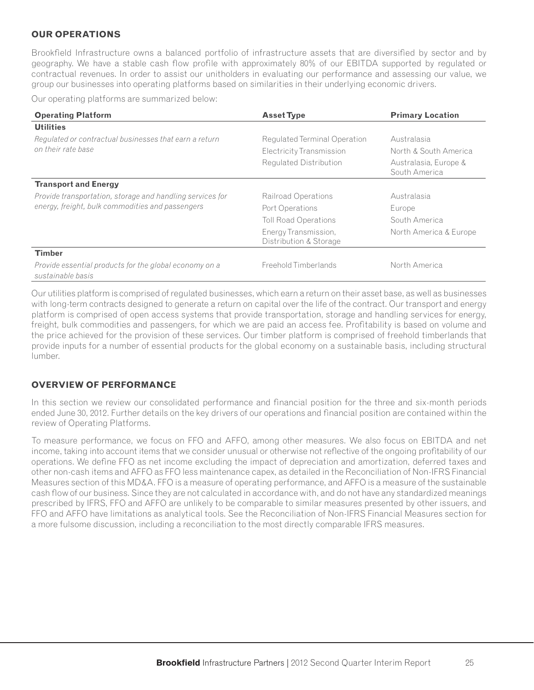### **OUR OPERATIONS**

Brookfield Infrastructure owns a balanced portfolio of infrastructure assets that are diversified by sector and by geography. We have a stable cash flow profile with approximately 80% of our EBITDA supported by regulated or contractual revenues. In order to assist our unitholders in evaluating our performance and assessing our value, we group our businesses into operating platforms based on similarities in their underlying economic drivers.

Our operating platforms are summarized below:

| <b>Operating Platform</b>                                                   | <b>Asset Type</b>                              | <b>Primary Location</b>                |
|-----------------------------------------------------------------------------|------------------------------------------------|----------------------------------------|
| <b>Utilities</b>                                                            |                                                |                                        |
| Regulated or contractual businesses that earn a return                      | Regulated Terminal Operation                   | Australasia                            |
| on their rate base                                                          | Electricity Transmission                       | North & South America                  |
|                                                                             | Regulated Distribution                         | Australasia, Europe &<br>South America |
| <b>Transport and Energy</b>                                                 |                                                |                                        |
| Provide transportation, storage and handling services for                   | Railroad Operations                            | Australasia                            |
| energy, freight, bulk commodities and passengers                            | Port Operations                                | Europe                                 |
|                                                                             | <b>Toll Road Operations</b>                    | South America                          |
|                                                                             | Energy Transmission,<br>Distribution & Storage | North America & Europe                 |
| <b>Timber</b>                                                               |                                                |                                        |
| Provide essential products for the global economy on a<br>sustainable basis | Freehold Timberlands                           | North America                          |

Our utilities platform is comprised of regulated businesses, which earn a return on their asset base, as well as businesses with long-term contracts designed to generate a return on capital over the life of the contract. Our transport and energy platform is comprised of open access systems that provide transportation, storage and handling services for energy, freight, bulk commodities and passengers, for which we are paid an access fee. Profitability is based on volume and the price achieved for the provision of these services. Our timber platform is comprised of freehold timberlands that provide inputs for a number of essential products for the global economy on a sustainable basis, including structural lumber.

#### **OVERVIEW OF PERFORMANCE**

In this section we review our consolidated performance and financial position for the three and six-month periods ended June 30, 2012. Further details on the key drivers of our operations and financial position are contained within the review of Operating Platforms.

To measure performance, we focus on FFO and AFFO, among other measures. We also focus on EBITDA and net income, taking into account items that we consider unusual or otherwise not reflective of the ongoing profitability of our operations. We define FFO as net income excluding the impact of depreciation and amortization, deferred taxes and other non-cash items and AFFO as FFO less maintenance capex, as detailed in the Reconciliation of Non-IFRS Financial Measures section of this MD&A. FFO is a measure of operating performance, and AFFO is a measure of the sustainable cash flow of our business. Since they are not calculated in accordance with, and do not have any standardized meanings prescribed by IFRS, FFO and AFFO are unlikely to be comparable to similar measures presented by other issuers, and FFO and AFFO have limitations as analytical tools. See the Reconciliation of Non-IFRS Financial Measures section for a more fulsome discussion, including a reconciliation to the most directly comparable IFRS measures.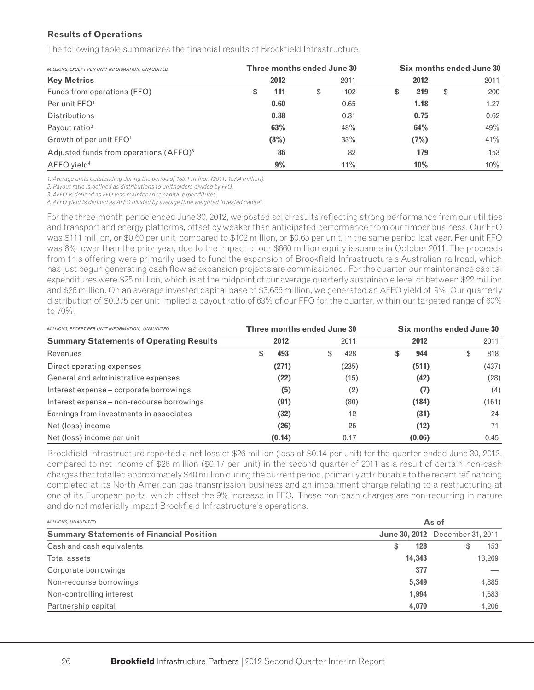#### **Results of Operations**

The following table summarizes the financial results of Brookfield Infrastructure.

| MILLIONS, EXCEPT PER UNIT INFORMATION, UNAUDITED   | Three months ended June 30 |    | Six months ended June 30 |  |      |    |      |  |
|----------------------------------------------------|----------------------------|----|--------------------------|--|------|----|------|--|
| <b>Key Metrics</b>                                 | 2012                       |    | 2011                     |  | 2012 |    | 2011 |  |
| Funds from operations (FFO)                        | \$<br>111                  | \$ | 102                      |  | 219  | \$ | 200  |  |
| Per unit FFO <sup>1</sup>                          | 0.60                       |    | 0.65                     |  | 1.18 |    | 1.27 |  |
| <b>Distributions</b>                               | 0.38                       |    | 0.31                     |  | 0.75 |    | 0.62 |  |
| Payout ratio <sup>2</sup>                          | 63%                        |    | 48%                      |  | 64%  |    | 49%  |  |
| Growth of per unit FFO <sup>1</sup>                | (8%)                       |    | 33%                      |  | (7%) |    | 41%  |  |
| Adjusted funds from operations (AFFO) <sup>3</sup> | 86                         |    | 82                       |  | 179  |    | 153  |  |
| AFFO yield <sup>4</sup>                            | 9%                         |    | 11%                      |  | 10%  |    | 10%  |  |

*1. Average units outstanding during the period of 185.1 million (2011: 157.4 million).*

2. Payout ratio is defined as distributions to unitholders divided by FFO.

*3. AFFO is defi ned as FFO less maintenance capital expenditures.*

4. AFFO yield is defined as AFFO divided by average time weighted invested capital.

For the three-month period ended June 30, 2012, we posted solid results reflecting strong performance from our utilities and transport and energy platforms, offset by weaker than anticipated performance from our timber business. Our FFO was \$111 million, or \$0.60 per unit, compared to \$102 million, or \$0.65 per unit, in the same period last year. Per unit FFO was 8% lower than the prior year, due to the impact of our \$660 million equity issuance in October 2011. The proceeds from this offering were primarily used to fund the expansion of Brookfield Infrastructure's Australian railroad, which has just begun generating cash flow as expansion projects are commissioned. For the quarter, our maintenance capital expenditures were \$25 million, which is at the midpoint of our average quarterly sustainable level of between \$22 million and \$26 million. On an average invested capital base of \$3,656 million, we generated an AFFO yield of 9%. Our quarterly distribution of \$0.375 per unit implied a payout ratio of 63% of our FFO for the quarter, within our targeted range of 60% to 70%.

| MILLIONS, EXCEPT PER UNIT INFORMATION, UNAUDITED | Three months ended June 30 |           | Six months ended June 30 |        |  |       |  |  |
|--------------------------------------------------|----------------------------|-----------|--------------------------|--------|--|-------|--|--|
| <b>Summary Statements of Operating Results</b>   | 2012                       | 2011      |                          | 2012   |  | 2011  |  |  |
| Revenues                                         | 493                        | \$<br>428 | S                        | 944    |  | 818   |  |  |
| Direct operating expenses                        | (271)                      | (235)     |                          | (511)  |  | (437) |  |  |
| General and administrative expenses              | (22)                       | (15)      |                          | (42)   |  | (28)  |  |  |
| Interest expense – corporate borrowings          | (5)                        | (2)       |                          | (7)    |  | (4)   |  |  |
| Interest expense – non-recourse borrowings       | (91)                       | (80)      |                          | (184)  |  | (161) |  |  |
| Earnings from investments in associates          | (32)                       | 12        |                          | (31)   |  | 24    |  |  |
| Net (loss) income                                | (26)                       | 26        |                          | (12)   |  | 71    |  |  |
| Net (loss) income per unit                       | (0.14)                     | 0.17      |                          | (0.06) |  | 0.45  |  |  |

Brookfield Infrastructure reported a net loss of \$26 million (loss of \$0.14 per unit) for the quarter ended June 30, 2012, compared to net income of \$26 million (\$0.17 per unit) in the second quarter of 2011 as a result of certain non-cash charges that totalled approximately \$40 million during the current period, primarily attributable to the recent refinancing completed at its North American gas transmission business and an impairment charge relating to a restructuring at one of its European ports, which offset the 9% increase in FFO. These non-cash charges are non-recurring in nature and do not materially impact Brookfield Infrastructure's operations.

| <b>MILLIONS, UNAUDITED</b>                      |        | As of                                  |  |  |  |  |  |  |
|-------------------------------------------------|--------|----------------------------------------|--|--|--|--|--|--|
| <b>Summary Statements of Financial Position</b> |        | <b>June 30, 2012</b> December 31, 2011 |  |  |  |  |  |  |
| Cash and cash equivalents                       | 128    | 153                                    |  |  |  |  |  |  |
| Total assets                                    | 14,343 | 13,269                                 |  |  |  |  |  |  |
| Corporate borrowings                            | 377    |                                        |  |  |  |  |  |  |
| Non-recourse borrowings                         | 5,349  | 4.885                                  |  |  |  |  |  |  |
| Non-controlling interest                        | 1,994  | 1.683                                  |  |  |  |  |  |  |
| Partnership capital                             | 4,070  | 4,206                                  |  |  |  |  |  |  |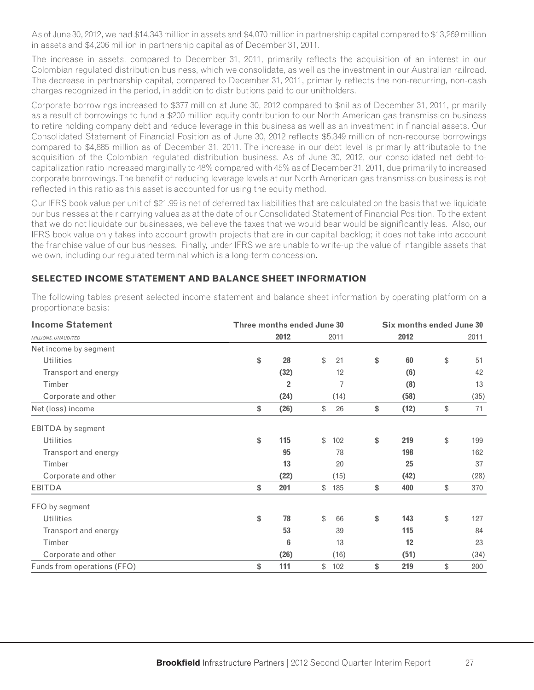As of June 30, 2012, we had \$14,343 million in assets and \$4,070 million in partnership capital compared to \$13,269 million in assets and \$4,206 million in partnership capital as of December 31, 2011.

The increase in assets, compared to December 31, 2011, primarily reflects the acquisition of an interest in our Colombian regulated distribution business, which we consolidate, as well as the investment in our Australian railroad. The decrease in partnership capital, compared to December 31, 2011, primarily reflects the non-recurring, non-cash charges recognized in the period, in addition to distributions paid to our unitholders.

Corporate borrowings increased to \$377 million at June 30, 2012 compared to \$nil as of December 31, 2011, primarily as a result of borrowings to fund a \$200 million equity contribution to our North American gas transmission business to retire holding company debt and reduce leverage in this business as well as an investment in financial assets. Our Consolidated Statement of Financial Position as of June 30, 2012 reflects \$5,349 million of non-recourse borrowings compared to \$4,885 million as of December 31, 2011. The increase in our debt level is primarily attributable to the acquisition of the Colombian regulated distribution business. As of June 30, 2012, our consolidated net debt-tocapitalization ratio increased marginally to 48% compared with 45% as of December 31, 2011, due primarily to increased corporate borrowings. The benefit of reducing leverage levels at our North American gas transmission business is not reflected in this ratio as this asset is accounted for using the equity method.

Our IFRS book value per unit of \$21.99 is net of deferred tax liabilities that are calculated on the basis that we liquidate our businesses at their carrying values as at the date of our Consolidated Statement of Financial Position. To the extent that we do not liquidate our businesses, we believe the taxes that we would bear would be significantly less. Also, our IFRS book value only takes into account growth projects that are in our capital backlog; it does not take into account the franchise value of our businesses. Finally, under IFRS we are unable to write-up the value of intangible assets that we own, including our regulated terminal which is a long-term concession.

### **SELECTED INCOME STATEMENT AND BALANCE SHEET INFORMATION**

| <b>Income Statement</b>     | Three months ended June 30 |      | Six months ended June 30 |    |      |    |      |  |
|-----------------------------|----------------------------|------|--------------------------|----|------|----|------|--|
| MILLIONS, UNAUDITED         | 2012                       | 2011 |                          |    | 2012 |    | 2011 |  |
| Net income by segment       |                            |      |                          |    |      |    |      |  |
| <b>Utilities</b>            | \$<br>28                   | \$   | 21                       | \$ | 60   | \$ | 51   |  |
| Transport and energy        | (32)                       |      | 12                       |    | (6)  |    | 42   |  |
| Timber                      | $\overline{2}$             |      | 7                        |    | (8)  |    | 13   |  |
| Corporate and other         | (24)                       |      | (14)                     |    | (58) |    | (35) |  |
| Net (loss) income           | \$<br>(26)                 | \$   | 26                       | \$ | (12) | \$ | 71   |  |
| <b>EBITDA</b> by segment    |                            |      |                          |    |      |    |      |  |
| <b>Utilities</b>            | \$<br>115                  | \$   | 102                      | \$ | 219  | \$ | 199  |  |
| Transport and energy        | 95                         |      | 78                       |    | 198  |    | 162  |  |
| Timber                      | 13                         |      | 20                       |    | 25   |    | 37   |  |
| Corporate and other         | (22)                       |      | (15)                     |    | (42) |    | (28) |  |
| <b>EBITDA</b>               | \$<br>201                  | \$   | 185                      | \$ | 400  | \$ | 370  |  |
| FFO by segment              |                            |      |                          |    |      |    |      |  |
| <b>Utilities</b>            | \$<br>78                   | \$   | 66                       | \$ | 143  | \$ | 127  |  |
| Transport and energy        | 53                         |      | 39                       |    | 115  |    | 84   |  |
| Timber                      | $6\phantom{1}$             |      | 13                       |    | 12   |    | 23   |  |
| Corporate and other         | (26)                       |      | (16)                     |    | (51) |    | (34) |  |
| Funds from operations (FFO) | \$<br>111                  | \$   | 102                      | \$ | 219  | \$ | 200  |  |

The following tables present selected income statement and balance sheet information by operating platform on a proportionate basis: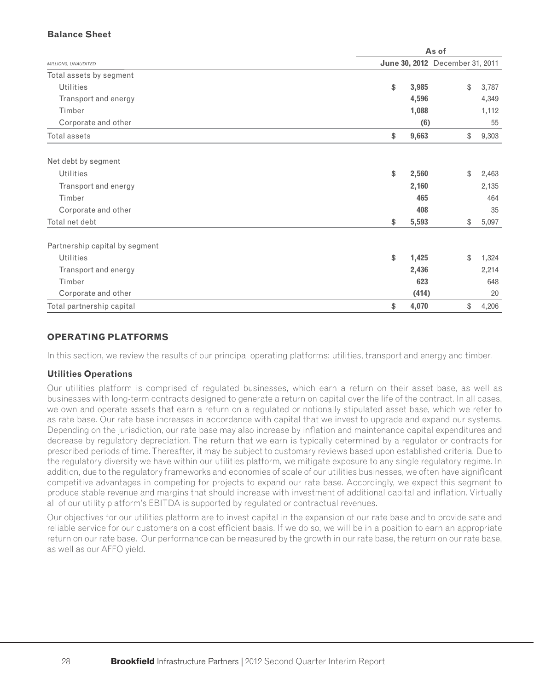### **Balance Sheet**

|                                |             | As of                           |       |
|--------------------------------|-------------|---------------------------------|-------|
| MILLIONS, UNAUDITED            |             | June 30, 2012 December 31, 2011 |       |
| Total assets by segment        |             |                                 |       |
| <b>Utilities</b>               | \$<br>3,985 | \$                              | 3,787 |
| Transport and energy           | 4,596       |                                 | 4,349 |
| Timber                         | 1,088       |                                 | 1,112 |
| Corporate and other            |             | (6)                             | 55    |
| Total assets                   | 9,663<br>\$ | \$                              | 9,303 |
| Net debt by segment            |             |                                 |       |
| <b>Utilities</b>               | 2,560<br>\$ | \$                              | 2,463 |
| Transport and energy           | 2,160       |                                 | 2,135 |
| Timber                         |             | 465                             | 464   |
| Corporate and other            |             | 408                             | 35    |
| Total net debt                 | 5,593<br>\$ | \$                              | 5,097 |
| Partnership capital by segment |             |                                 |       |
| <b>Utilities</b>               | \$<br>1,425 | \$                              | 1,324 |
| Transport and energy           | 2,436       |                                 | 2,214 |
| Timber                         |             | 623                             | 648   |
| Corporate and other            |             | (414)                           | 20    |
| Total partnership capital      | \$<br>4,070 | \$                              | 4,206 |

### **OPERATING PLATFORMS**

In this section, we review the results of our principal operating platforms: utilities, transport and energy and timber.

#### **Utilities Operations**

Our utilities platform is comprised of regulated businesses, which earn a return on their asset base, as well as businesses with long-term contracts designed to generate a return on capital over the life of the contract. In all cases, we own and operate assets that earn a return on a regulated or notionally stipulated asset base, which we refer to as rate base. Our rate base increases in accordance with capital that we invest to upgrade and expand our systems. Depending on the jurisdiction, our rate base may also increase by inflation and maintenance capital expenditures and decrease by regulatory depreciation. The return that we earn is typically determined by a regulator or contracts for prescribed periods of time. Thereafter, it may be subject to customary reviews based upon established criteria. Due to the regulatory diversity we have within our utilities platform, we mitigate exposure to any single regulatory regime. In addition, due to the regulatory frameworks and economies of scale of our utilities businesses, we often have significant competitive advantages in competing for projects to expand our rate base. Accordingly, we expect this segment to produce stable revenue and margins that should increase with investment of additional capital and inflation. Virtually all of our utility platform's EBITDA is supported by regulated or contractual revenues.

Our objectives for our utilities platform are to invest capital in the expansion of our rate base and to provide safe and reliable service for our customers on a cost efficient basis. If we do so, we will be in a position to earn an appropriate return on our rate base. Our performance can be measured by the growth in our rate base, the return on our rate base, as well as our AFFO yield.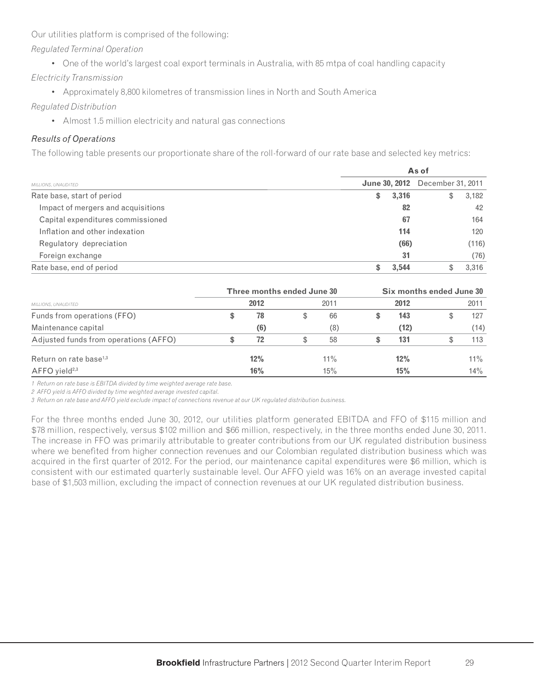Our utilities platform is comprised of the following:

*Regulated Terminal Operation*

• One of the world's largest coal export terminals in Australia, with 85 mtpa of coal handling capacity

*Electricity Transmission*

• Approximately 8,800 kilometres of transmission lines in North and South America

### *Regulated Distribution*

• Almost 1.5 million electricity and natural gas connections

### *Results of Operations*

The following table presents our proportionate share of the roll-forward of our rate base and selected key metrics:

|                                    |             | As of                                  |
|------------------------------------|-------------|----------------------------------------|
| MILLIONS, UNAUDITED                |             | <b>June 30, 2012</b> December 31, 2011 |
| Rate base, start of period         | 3,316<br>\$ | 3,182<br>J                             |
| Impact of mergers and acquisitions |             | 82<br>42                               |
| Capital expenditures commissioned  |             | 67<br>164                              |
| Inflation and other indexation     | 114         | 120                                    |
| Regulatory depreciation            |             | (66)<br>(116)                          |
| Foreign exchange                   |             | 31<br>(76)                             |
| Rate base, end of period           | 3,544       | 3,316                                  |

|                                                    |    | Three months ended June 30 |        | Six months ended June 30 |      |  |        |  |  |
|----------------------------------------------------|----|----------------------------|--------|--------------------------|------|--|--------|--|--|
| MILLIONS, UNAUDITED<br>Funds from operations (FFO) |    | 2012                       | 2011   |                          | 2012 |  | 2011   |  |  |
|                                                    | S. | 78                         | 66     |                          | 143  |  | 127    |  |  |
| Maintenance capital                                |    | (6)                        | (8)    |                          | (12) |  | (14)   |  |  |
| Adjusted funds from operations (AFFO)              |    | 72                         | 58     |                          | 131  |  | 113    |  |  |
| Return on rate base <sup>1,3</sup>                 |    | 12%                        | $11\%$ |                          | 12%  |  | $11\%$ |  |  |
| $AFFO$ yield <sup>2,3</sup>                        |    | 16%                        | 15%    |                          | 15%  |  | 14%    |  |  |

*1 Return on rate base is EBITDA divided by time weighted average rate base.*

*2 AFFO yield is AFFO divided by time weighted average invested capital.*

*3 Return on rate base and AFFO yield exclude impact of connections revenue at our UK regulated distribution business.* 

For the three months ended June 30, 2012, our utilities platform generated EBITDA and FFO of \$115 million and \$78 million, respectively, versus \$102 million and \$66 million, respectively, in the three months ended June 30, 2011. The increase in FFO was primarily attributable to greater contributions from our UK regulated distribution business where we benefited from higher connection revenues and our Colombian regulated distribution business which was acquired in the first quarter of 2012. For the period, our maintenance capital expenditures were \$6 million, which is consistent with our estimated quarterly sustainable level. Our AFFO yield was 16% on an average invested capital base of \$1,503 million, excluding the impact of connection revenues at our UK regulated distribution business.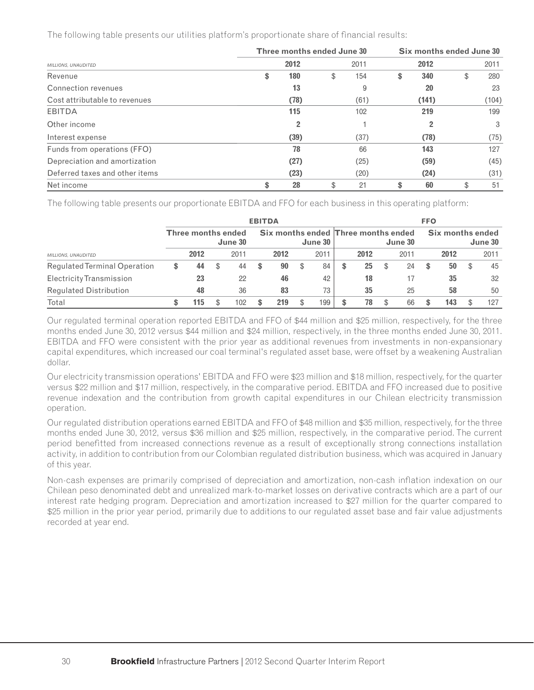The following table presents our utilities platform's proportionate share of financial results:

|                                | Three months ended June 30 | Six months ended June 30 |    |       |    |       |  |
|--------------------------------|----------------------------|--------------------------|----|-------|----|-------|--|
| MILLIONS, UNAUDITED            | 2012                       | 2011                     |    | 2012  |    | 2011  |  |
| Revenue                        | \$<br>180                  | \$<br>154                | \$ | 340   | \$ | 280   |  |
| Connection revenues            | 13                         | 9                        |    | 20    |    | 23    |  |
| Cost attributable to revenues  | (78)                       | (61)                     |    | (141) |    | (104) |  |
| <b>EBITDA</b>                  | 115                        | 102                      |    | 219   |    | 199   |  |
| Other income                   |                            |                          |    |       |    | 3     |  |
| Interest expense               | (39)                       | (37)                     |    | (78)  |    | (75)  |  |
| Funds from operations (FFO)    | 78                         | 66                       |    | 143   |    | 127   |  |
| Depreciation and amortization  | (27)                       | (25)                     |    | (59)  |    | (45)  |  |
| Deferred taxes and other items | (23)                       | (20)                     |    | (24)  |    | (31)  |  |
| Net income                     | \$<br>28                   | \$<br>21                 | \$ | 60    | \$ | 51    |  |

The following table presents our proportionate EBITDA and FFO for each business in this operating platform:

|                               |   |                           |          | <b>EBITDA</b> |      |   |         |   |                                     |         | <b>FFO</b> |                  |         |
|-------------------------------|---|---------------------------|----------|---------------|------|---|---------|---|-------------------------------------|---------|------------|------------------|---------|
|                               |   | <b>Three months ended</b> | June 30  |               |      |   | June 30 |   | Six months ended Three months ended | June 30 |            | Six months ended | June 30 |
| MILLIONS, UNAUDITED           |   | 2012                      | 2011     |               | 2012 |   | 2011    |   | 2012                                | 2011    |            | 2012             | 2011    |
| Regulated Terminal Operation  | S | 44                        | \$<br>44 | S             | 90   | S | 84      | ъ | 25                                  | 24      | S          | 50               | 45      |
| Electricity Transmission      |   | 23                        | 22       |               | 46   |   | 42      |   | 18                                  | 17      |            | 35               | 32      |
| <b>Regulated Distribution</b> |   | 48                        | 36       |               | 83   |   | 73      |   | 35                                  | 25      |            | 58               | 50      |
| Total                         |   | 115                       | 102      |               | 219  |   | 199     |   | 78                                  | 66      |            | 143              | 127     |

Our regulated terminal operation reported EBITDA and FFO of \$44 million and \$25 million, respectively, for the three months ended June 30, 2012 versus \$44 million and \$24 million, respectively, in the three months ended June 30, 2011. EBITDA and FFO were consistent with the prior year as additional revenues from investments in non-expansionary capital expenditures, which increased our coal terminal's regulated asset base, were offset by a weakening Australian dollar.

Our electricity transmission operations' EBITDA and FFO were \$23 million and \$18 million, respectively, for the quarter versus \$22 million and \$17 million, respectively, in the comparative period. EBITDA and FFO increased due to positive revenue indexation and the contribution from growth capital expenditures in our Chilean electricity transmission operation.

Our regulated distribution operations earned EBITDA and FFO of \$48 million and \$35 million, respectively, for the three months ended June 30, 2012, versus \$36 million and \$25 million, respectively, in the comparative period. The current period benefitted from increased connections revenue as a result of exceptionally strong connections installation activity, in addition to contribution from our Colombian regulated distribution business, which was acquired in January of this year.

Non-cash expenses are primarily comprised of depreciation and amortization, non-cash inflation indexation on our Chilean peso denominated debt and unrealized mark-to-market losses on derivative contracts which are a part of our interest rate hedging program. Depreciation and amortization increased to \$27 million for the quarter compared to \$25 million in the prior year period, primarily due to additions to our regulated asset base and fair value adjustments recorded at year end.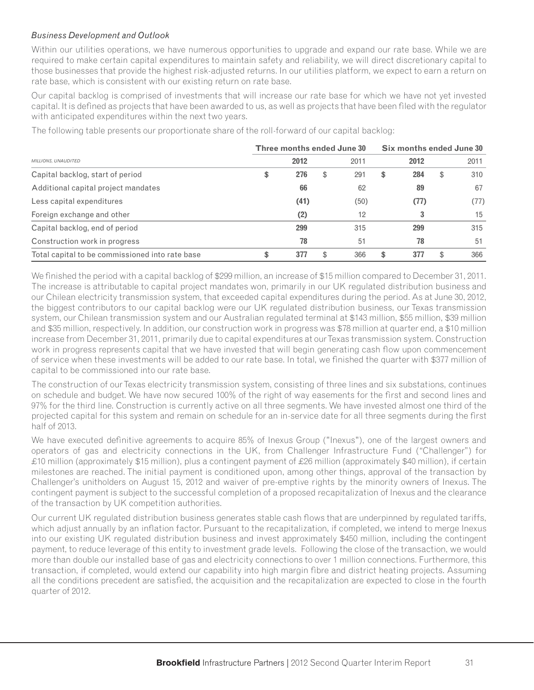### *Business Development and Outlook*

Within our utilities operations, we have numerous opportunities to upgrade and expand our rate base. While we are required to make certain capital expenditures to maintain safety and reliability, we will direct discretionary capital to those businesses that provide the highest risk-adjusted returns. In our utilities platform, we expect to earn a return on rate base, which is consistent with our existing return on rate base.

Our capital backlog is comprised of investments that will increase our rate base for which we have not yet invested capital. It is defined as projects that have been awarded to us, as well as projects that have been filed with the regulator with anticipated expenditures within the next two years.

|                                                 | Three months ended June 30 |    | Six months ended June 30 |    |      |     |      |  |  |
|-------------------------------------------------|----------------------------|----|--------------------------|----|------|-----|------|--|--|
| MILLIONS, UNAUDITED                             | 2012                       |    | 2011                     |    | 2012 |     | 2011 |  |  |
| Capital backlog, start of period                | \$<br>276                  | \$ | 291                      | \$ | 284  | \$  | 310  |  |  |
| Additional capital project mandates             | 66                         |    | 62                       |    | 89   |     | 67   |  |  |
| Less capital expenditures                       | (41)                       |    | (50)                     |    | (77) |     | (77) |  |  |
| Foreign exchange and other                      | (2)                        |    | 12                       |    | 3    |     | 15   |  |  |
| Capital backlog, end of period                  | 299                        |    | 315                      |    | 299  |     | 315  |  |  |
| Construction work in progress                   | 78                         |    | 51                       |    | 78   |     | 51   |  |  |
| Total capital to be commissioned into rate base | \$<br>377                  | \$ | 366                      | \$ | 377  | \$. | 366  |  |  |

The following table presents our proportionate share of the roll-forward of our capital backlog:

We finished the period with a capital backlog of \$299 million, an increase of \$15 million compared to December 31, 2011. The increase is attributable to capital project mandates won, primarily in our UK regulated distribution business and our Chilean electricity transmission system, that exceeded capital expenditures during the period. As at June 30, 2012, the biggest contributors to our capital backlog were our UK regulated distribution business, our Texas transmission system, our Chilean transmission system and our Australian regulated terminal at \$143 million, \$55 million, \$39 million and \$35 million, respectively. In addition, our construction work in progress was \$78 million at quarter end, a \$10 million increase from December 31, 2011, primarily due to capital expenditures at our Texas transmission system. Construction work in progress represents capital that we have invested that will begin generating cash flow upon commencement of service when these investments will be added to our rate base. In total, we finished the quarter with \$377 million of capital to be commissioned into our rate base.

The construction of our Texas electricity transmission system, consisting of three lines and six substations, continues on schedule and budget. We have now secured 100% of the right of way easements for the first and second lines and 97% for the third line. Construction is currently active on all three segments. We have invested almost one third of the projected capital for this system and remain on schedule for an in-service date for all three segments during the first half of 2013.

We have executed definitive agreements to acquire 85% of Inexus Group ("Inexus"), one of the largest owners and operators of gas and electricity connections in the UK, from Challenger Infrastructure Fund ("Challenger") for £10 million (approximately \$15 million), plus a contingent payment of £26 million (approximately \$40 million), if certain milestones are reached. The initial payment is conditioned upon, among other things, approval of the transaction by Challenger's unitholders on August 15, 2012 and waiver of pre-emptive rights by the minority owners of Inexus. The contingent payment is subject to the successful completion of a proposed recapitalization of Inexus and the clearance of the transaction by UK competition authorities.

Our current UK regulated distribution business generates stable cash flows that are underpinned by regulated tariffs, which adjust annually by an inflation factor. Pursuant to the recapitalization, if completed, we intend to merge Inexus into our existing UK regulated distribution business and invest approximately \$450 million, including the contingent payment, to reduce leverage of this entity to investment grade levels. Following the close of the transaction, we would more than double our installed base of gas and electricity connections to over 1 million connections. Furthermore, this transaction, if completed, would extend our capability into high margin fibre and district heating projects. Assuming all the conditions precedent are satisfied, the acquisition and the recapitalization are expected to close in the fourth quarter of 2012.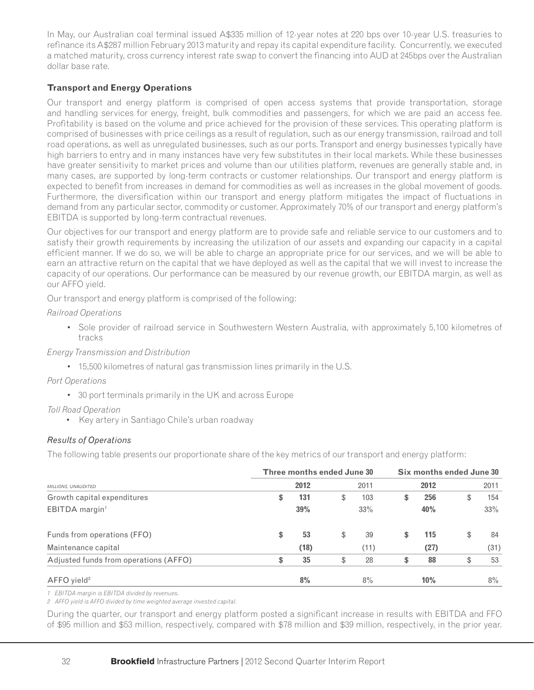In May, our Australian coal terminal issued A\$335 million of 12-year notes at 220 bps over 10-year U.S. treasuries to refinance its A\$287 million February 2013 maturity and repay its capital expenditure facility. Concurrently, we executed a matched maturity, cross currency interest rate swap to convert the financing into AUD at 245bps over the Australian dollar base rate.

### **Transport and Energy Operations**

Our transport and energy platform is comprised of open access systems that provide transportation, storage and handling services for energy, freight, bulk commodities and passengers, for which we are paid an access fee. Profitability is based on the volume and price achieved for the provision of these services. This operating platform is comprised of businesses with price ceilings as a result of regulation, such as our energy transmission, railroad and toll road operations, as well as unregulated businesses, such as our ports. Transport and energy businesses typically have high barriers to entry and in many instances have very few substitutes in their local markets. While these businesses have greater sensitivity to market prices and volume than our utilities platform, revenues are generally stable and, in many cases, are supported by long-term contracts or customer relationships. Our transport and energy platform is expected to benefit from increases in demand for commodities as well as increases in the global movement of goods. Furthermore, the diversification within our transport and energy platform mitigates the impact of fluctuations in demand from any particular sector, commodity or customer. Approximately 70% of our transport and energy platform's EBITDA is supported by long-term contractual revenues.

Our objectives for our transport and energy platform are to provide safe and reliable service to our customers and to satisfy their growth requirements by increasing the utilization of our assets and expanding our capacity in a capital efficient manner. If we do so, we will be able to charge an appropriate price for our services, and we will be able to earn an attractive return on the capital that we have deployed as well as the capital that we will invest to increase the capacity of our operations. Our performance can be measured by our revenue growth, our EBITDA margin, as well as our AFFO yield.

Our transport and energy platform is comprised of the following:

*Railroad Operations*

• Sole provider of railroad service in Southwestern Western Australia, with approximately 5,100 kilometres of tracks

*Energy Transmission and Distribution*

• 15,500 kilometres of natural gas transmission lines primarily in the U.S.

*Port Operations*

• 30 port terminals primarily in the UK and across Europe

*Toll Road Operation*

• Key artery in Santiago Chile's urban roadway

### *Results of Operations*

The following table presents our proportionate share of the key metrics of our transport and energy platform:

|                                       | Three months ended June 30 |    | Six months ended June 30 |    |      |    |      |  |  |  |
|---------------------------------------|----------------------------|----|--------------------------|----|------|----|------|--|--|--|
| MILLIONS, UNAUDITED                   | 2012                       |    | 2011                     |    | 2012 |    | 2011 |  |  |  |
| Growth capital expenditures           | \$<br>131                  | \$ | 103                      | \$ | 256  | S. | 154  |  |  |  |
| EBITDA margin <sup>1</sup>            | 39%                        |    | 33%                      |    | 40%  |    | 33%  |  |  |  |
| Funds from operations (FFO)           | \$<br>53                   | \$ | 39                       | \$ | 115  | \$ | 84   |  |  |  |
| Maintenance capital                   | (18)                       |    | (11)                     |    | (27) |    | (31) |  |  |  |
| Adjusted funds from operations (AFFO) | \$<br>35                   | \$ | 28                       | \$ | 88   | \$ | 53   |  |  |  |
| AFFO yield <sup>2</sup>               | 8%                         |    | 8%                       |    | 10%  |    | 8%   |  |  |  |

*1 EBITDA margin is EBITDA divided by revenues.*

*2 AFFO yield is AFFO divided by time weighted average invested capital.*

During the quarter, our transport and energy platform posted a significant increase in results with EBITDA and FFO of \$95 million and \$53 million, respectively, compared with \$78 million and \$39 million, respectively, in the prior year.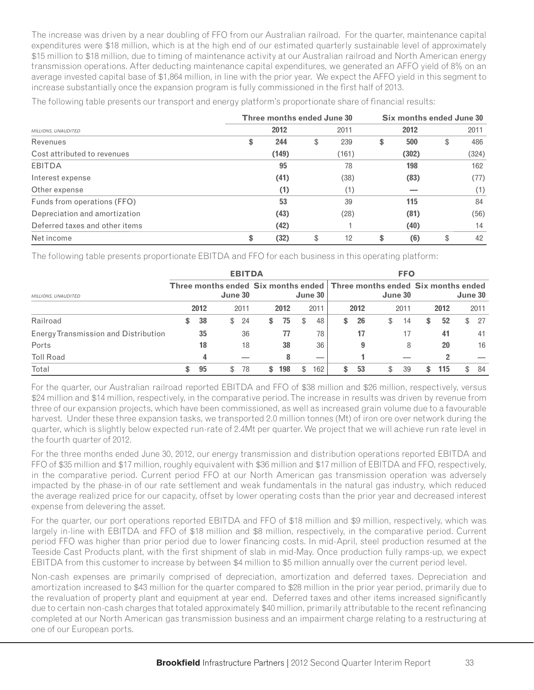The increase was driven by a near doubling of FFO from our Australian railroad. For the quarter, maintenance capital expenditures were \$18 million, which is at the high end of our estimated quarterly sustainable level of approximately \$15 million to \$18 million, due to timing of maintenance activity at our Australian railroad and North American energy transmission operations. After deducting maintenance capital expenditures, we generated an AFFO yield of 8% on an average invested capital base of \$1,864 million, in line with the prior year. We expect the AFFO yield in this segment to increase substantially once the expansion program is fully commissioned in the first half of 2013.

|                                | Three months ended June 30 | Six months ended June 30 |    |       |    |       |  |
|--------------------------------|----------------------------|--------------------------|----|-------|----|-------|--|
| MILLIONS, UNAUDITED            | 2012                       | 2011                     |    | 2012  |    | 2011  |  |
| Revenues                       | \$<br>244                  | \$<br>239                | \$ | 500   | \$ | 486   |  |
| Cost attributed to revenues    | (149)                      | (161)                    |    | (302) |    | (324) |  |
| <b>EBITDA</b>                  | 95                         | 78                       |    | 198   |    | 162   |  |
| Interest expense               | (41)                       | (38)                     |    | (83)  |    | (77)  |  |
| Other expense                  | (1)                        | (1)                      |    |       |    | (1)   |  |
| Funds from operations (FFO)    | 53                         | 39                       |    | 115   |    | 84    |  |
| Depreciation and amortization  | (43)                       | (28)                     |    | (81)  |    | (56)  |  |
| Deferred taxes and other items | (42)                       |                          |    | (40)  |    | 14    |  |
| Net income                     | \$<br>(32)                 | \$<br>12                 | \$ | (6)   | \$ | 42    |  |

The following table presents our transport and energy platform's proportionate share of financial results:

The following table presents proportionate EBITDA and FFO for each business in this operating platform:

|                                             |          |                                                                                    |      | <b>EBITDA</b> |      |           |          | <b>FFO</b> |     |      |         |      |
|---------------------------------------------|----------|------------------------------------------------------------------------------------|------|---------------|------|-----------|----------|------------|-----|------|---------|------|
| <b>MILLIONS, UNAUDITED</b>                  |          | Three months ended Six months ended Three months ended Six months ended<br>June 30 |      |               |      | June 30   |          | June 30    |     |      | June 30 |      |
|                                             | 2012     |                                                                                    | 2011 |               | 2012 | 2011      | 2012     | 2011       |     | 2012 |         | 2011 |
| Railroad                                    | \$<br>38 | $\mathbb{S}^-$                                                                     | 24   | \$            | 75   | \$<br>48  | \$<br>26 | \$<br>14   | \$  | 52   | \$      | 27   |
| <b>Energy Transmission and Distribution</b> | 35       |                                                                                    | 36   |               | 77   | 78        | 17       | 17         |     | 41   |         | 41   |
| Ports                                       | 18       |                                                                                    | 18   |               | 38   | 36        | 9        | 8          |     | 20   |         | 16   |
| <b>Toll Road</b>                            | 4        |                                                                                    |      |               | 8    | __        |          |            |     | 2    |         |      |
| Total                                       | \$<br>95 | \$                                                                                 | 78   | S             | 198  | \$<br>162 | \$<br>53 | \$<br>-39  | \$. | 115  | \$      | -84  |

For the quarter, our Australian railroad reported EBITDA and FFO of \$38 million and \$26 million, respectively, versus \$24 million and \$14 million, respectively, in the comparative period. The increase in results was driven by revenue from three of our expansion projects, which have been commissioned, as well as increased grain volume due to a favourable harvest. Under these three expansion tasks, we transported 2.0 million tonnes (Mt) of iron ore over network during the quarter, which is slightly below expected run-rate of 2.4Mt per quarter. We project that we will achieve run rate level in the fourth quarter of 2012.

For the three months ended June 30, 2012, our energy transmission and distribution operations reported EBITDA and FFO of \$35 million and \$17 million, roughly equivalent with \$36 million and \$17 million of EBITDA and FFO, respectively, in the comparative period. Current period FFO at our North American gas transmission operation was adversely impacted by the phase-in of our rate settlement and weak fundamentals in the natural gas industry, which reduced the average realized price for our capacity, offset by lower operating costs than the prior year and decreased interest expense from delevering the asset.

For the quarter, our port operations reported EBITDA and FFO of \$18 million and \$9 million, respectively, which was largely in-line with EBITDA and FFO of \$18 million and \$8 million, respectively, in the comparative period. Current period FFO was higher than prior period due to lower financing costs. In mid-April, steel production resumed at the Teeside Cast Products plant, with the first shipment of slab in mid-May. Once production fully ramps-up, we expect EBITDA from this customer to increase by between \$4 million to \$5 million annually over the current period level.

Non-cash expenses are primarily comprised of depreciation, amortization and deferred taxes. Depreciation and amortization increased to \$43 million for the quarter compared to \$28 million in the prior year period, primarily due to the revaluation of property plant and equipment at year end. Deferred taxes and other items increased significantly due to certain non-cash charges that totaled approximately \$40 million, primarily attributable to the recent refinancing completed at our North American gas transmission business and an impairment charge relating to a restructuring at one of our European ports.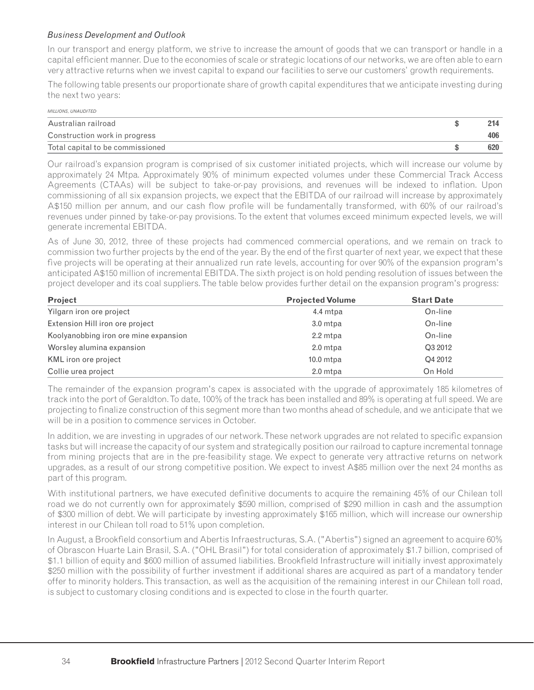### *Business Development and Outlook*

In our transport and energy platform, we strive to increase the amount of goods that we can transport or handle in a capital efficient manner. Due to the economies of scale or strategic locations of our networks, we are often able to earn very attractive returns when we invest capital to expand our facilities to serve our customers' growth requirements.

The following table presents our proportionate share of growth capital expenditures that we anticipate investing during the next two years:

| <b>MILLIONS, UNAUDITED</b>       |     |
|----------------------------------|-----|
| Australian railroad              |     |
| Construction work in progress    | 406 |
| Total capital to be commissioned | 620 |

Our railroad's expansion program is comprised of six customer initiated projects, which will increase our volume by approximately 24 Mtpa. Approximately 90% of minimum expected volumes under these Commercial Track Access Agreements (CTAAs) will be subject to take-or-pay provisions, and revenues will be indexed to inflation. Upon commissioning of all six expansion projects, we expect that the EBITDA of our railroad will increase by approximately A\$150 million per annum, and our cash flow profile will be fundamentally transformed, with 60% of our railroad's revenues under pinned by take-or-pay provisions. To the extent that volumes exceed minimum expected levels, we will generate incremental EBITDA.

As of June 30, 2012, three of these projects had commenced commercial operations, and we remain on track to commission two further projects by the end of the year. By the end of the first quarter of next year, we expect that these five projects will be operating at their annualized run rate levels, accounting for over 90% of the expansion program's anticipated A\$150 million of incremental EBITDA. The sixth project is on hold pending resolution of issues between the project developer and its coal suppliers. The table below provides further detail on the expansion program's progress:

| <b>Project</b>                        | <b>Projected Volume</b> | <b>Start Date</b> |
|---------------------------------------|-------------------------|-------------------|
| Yilgarn iron ore project              | 4.4 mtpa                | On-line           |
| Extension Hill iron ore project       | 3.0 mtpa                | On-line           |
| Koolyanobbing iron ore mine expansion | 2.2 mtpa                | On-line           |
| Worsley alumina expansion             | 2.0 mtpa                | Q3 2012           |
| KML iron ore project                  | $10.0$ mtpa             | Q4 2012           |
| Collie urea project                   | 2.0 mtpa                | On Hold           |

The remainder of the expansion program's capex is associated with the upgrade of approximately 185 kilometres of track into the port of Geraldton. To date, 100% of the track has been installed and 89% is operating at full speed. We are projecting to finalize construction of this segment more than two months ahead of schedule, and we anticipate that we will be in a position to commence services in October.

In addition, we are investing in upgrades of our network. These network upgrades are not related to specific expansion tasks but will increase the capacity of our system and strategically position our railroad to capture incremental tonnage from mining projects that are in the pre-feasibility stage. We expect to generate very attractive returns on network upgrades, as a result of our strong competitive position. We expect to invest A\$85 million over the next 24 months as part of this program.

With institutional partners, we have executed definitive documents to acquire the remaining 45% of our Chilean toll road we do not currently own for approximately \$590 million, comprised of \$290 million in cash and the assumption of \$300 million of debt. We will participate by investing approximately \$165 million, which will increase our ownership interest in our Chilean toll road to 51% upon completion.

In August, a Brookfield consortium and Abertis Infraestructuras, S.A. ("Abertis") signed an agreement to acquire 60% of Obrascon Huarte Lain Brasil, S.A. ("OHL Brasil") for total consideration of approximately \$1.7 billion, comprised of \$1.1 billion of equity and \$600 million of assumed liabilities. Brookfield Infrastructure will initially invest approximately \$250 million with the possibility of further investment if additional shares are acquired as part of a mandatory tender offer to minority holders. This transaction, as well as the acquisition of the remaining interest in our Chilean toll road, is subject to customary closing conditions and is expected to close in the fourth quarter.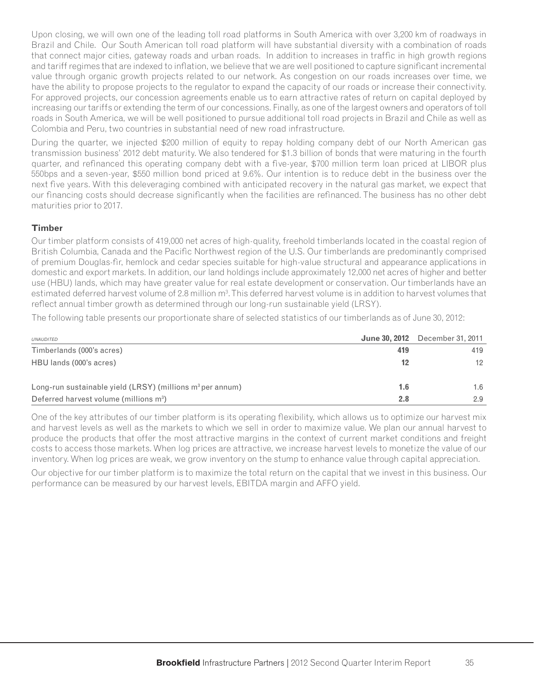Upon closing, we will own one of the leading toll road platforms in South America with over 3,200 km of roadways in Brazil and Chile. Our South American toll road platform will have substantial diversity with a combination of roads that connect major cities, gateway roads and urban roads. In addition to increases in traffic in high growth regions and tariff regimes that are indexed to inflation, we believe that we are well positioned to capture significant incremental value through organic growth projects related to our network. As congestion on our roads increases over time, we have the ability to propose projects to the regulator to expand the capacity of our roads or increase their connectivity. For approved projects, our concession agreements enable us to earn attractive rates of return on capital deployed by increasing our tariffs or extending the term of our concessions. Finally, as one of the largest owners and operators of toll roads in South America, we will be well positioned to pursue additional toll road projects in Brazil and Chile as well as Colombia and Peru, two countries in substantial need of new road infrastructure.

During the quarter, we injected \$200 million of equity to repay holding company debt of our North American gas transmission business' 2012 debt maturity. We also tendered for \$1.3 billion of bonds that were maturing in the fourth quarter, and refinanced this operating company debt with a five-year, \$700 million term loan priced at LIBOR plus 550bps and a seven-year, \$550 million bond priced at 9.6%. Our intention is to reduce debt in the business over the next five years. With this deleveraging combined with anticipated recovery in the natural gas market, we expect that our financing costs should decrease significantly when the facilities are refinanced. The business has no other debt maturities prior to 2017.

#### **Timber**

Our timber platform consists of 419,000 net acres of high-quality, freehold timberlands located in the coastal region of British Columbia, Canada and the Pacific Northwest region of the U.S. Our timberlands are predominantly comprised of premium Douglas-fir, hemlock and cedar species suitable for high-value structural and appearance applications in domestic and export markets. In addition, our land holdings include approximately 12,000 net acres of higher and better use (HBU) lands, which may have greater value for real estate development or conservation. Our timberlands have an estimated deferred harvest volume of 2.8 million m<sup>3</sup>. This deferred harvest volume is in addition to harvest volumes that reflect annual timber growth as determined through our long-run sustainable yield (LRSY).

The following table presents our proportionate share of selected statistics of our timberlands as of June 30, 2012:

| UNAUDITED                                                     |     | <b>June 30, 2012</b> December 31, 2011 |
|---------------------------------------------------------------|-----|----------------------------------------|
| Timberlands (000's acres)                                     | 419 | 419                                    |
| HBU lands (000's acres)                                       | 12  | 12 <sup>2</sup>                        |
| Long-run sustainable yield $(LRSY)$ (millions $m3$ per annum) | 1.6 | 1.6                                    |
| Deferred harvest volume (millions $m^3$ )                     | 2.8 | 2.9                                    |

One of the key attributes of our timber platform is its operating flexibility, which allows us to optimize our harvest mix and harvest levels as well as the markets to which we sell in order to maximize value. We plan our annual harvest to produce the products that offer the most attractive margins in the context of current market conditions and freight costs to access those markets. When log prices are attractive, we increase harvest levels to monetize the value of our inventory. When log prices are weak, we grow inventory on the stump to enhance value through capital appreciation.

Our objective for our timber platform is to maximize the total return on the capital that we invest in this business. Our performance can be measured by our harvest levels, EBITDA margin and AFFO yield.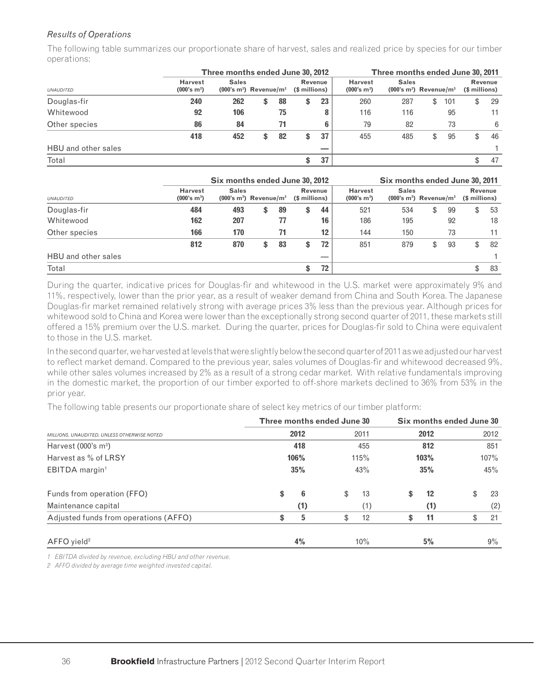### *Results of Operations*

The following table summarizes our proportionate share of harvest, sales and realized price by species for our timber operations:

|                     |                                           | Three months ended June 30, 2012 |    |                                                                 |    | Three months ended June 30, 2011 |     |                                           |                                                     |     |    |               |         |
|---------------------|-------------------------------------------|----------------------------------|----|-----------------------------------------------------------------|----|----------------------------------|-----|-------------------------------------------|-----------------------------------------------------|-----|----|---------------|---------|
| <b>UNAUDITED</b>    | <b>Harvest</b><br>(000's m <sup>3</sup> ) | <b>Sales</b>                     |    | Revenue<br>$(000's m3)$ Revenue/m <sup>3</sup><br>(\$ millions) |    |                                  |     | <b>Harvest</b><br>(000's m <sup>3</sup> ) | <b>Sales</b><br>$(000's m3)$ Revenue/m <sup>3</sup> |     |    | (\$ millions) | Revenue |
| Douglas-fir         | 240                                       | 262                              | \$ | 88                                                              | \$ | 23                               | 260 | 287                                       | \$                                                  | 101 | \$ | 29            |         |
| Whitewood           | 92                                        | 106                              |    | 75                                                              |    | 8                                | 116 | 116                                       |                                                     | 95  |    | 11            |         |
| Other species       | 86                                        | 84                               |    | 71                                                              |    | 6                                | 79  | 82                                        |                                                     | 73  |    | 6             |         |
|                     | 418                                       | 452                              | \$ | 82                                                              | \$ | 37                               | 455 | 485                                       | \$                                                  | 95  | \$ | 46            |         |
| HBU and other sales |                                           |                                  |    |                                                                 |    |                                  |     |                                           |                                                     |     |    |               |         |
| Total               |                                           |                                  |    |                                                                 | \$ | 37                               |     |                                           |                                                     |     |    | 47            |         |

|                     |                                           | Six months ended June 30, 2012                                                  | Six months ended June 30, 2011 |                                           |                                                     |     |     |    |                          |    |    |
|---------------------|-------------------------------------------|---------------------------------------------------------------------------------|--------------------------------|-------------------------------------------|-----------------------------------------------------|-----|-----|----|--------------------------|----|----|
| <b>UNAUDITED</b>    | <b>Harvest</b><br>(000's m <sup>3</sup> ) | <b>Sales</b><br>Revenue<br>$(000's m3)$ Revenue/m <sup>3</sup><br>(\$ millions) |                                | <b>Harvest</b><br>(000's m <sup>3</sup> ) | <b>Sales</b><br>$(000's m3)$ Revenue/m <sup>3</sup> |     |     |    | Revenue<br>(\$ millions) |    |    |
| Douglas-fir         | 484                                       | 493                                                                             | \$                             | 89                                        | \$<br>44                                            | 521 | 534 | \$ | 99                       | \$ | 53 |
| Whitewood           | 162                                       | 207                                                                             |                                | 77                                        | 16                                                  | 186 | 195 |    | 92                       |    | 18 |
| Other species       | 166                                       | 170                                                                             |                                | 71                                        | $12 \,$                                             | 144 | 150 |    | 73                       |    | 11 |
|                     | 812                                       | 870                                                                             | \$                             | 83                                        | \$<br>72                                            | 851 | 879 | \$ | 93                       | \$ | 82 |
| HBU and other sales |                                           |                                                                                 |                                |                                           |                                                     |     |     |    |                          |    |    |
| Total               |                                           |                                                                                 |                                |                                           | \$<br>72                                            |     |     |    |                          | \$ | 83 |

During the quarter, indicative prices for Douglas-fir and whitewood in the U.S. market were approximately 9% and 11%, respectively, lower than the prior year, as a result of weaker demand from China and South Korea. The Japanese Douglas-fir market remained relatively strong with average prices 3% less than the previous year. Although prices for whitewood sold to China and Korea were lower than the exceptionally strong second quarter of 2011, these markets still offered a 15% premium over the U.S. market. During the quarter, prices for Douglas-fir sold to China were equivalent to those in the U.S. market.

In the second quarter, we harvested at levels that were slightly below the second quarter of 2011 as we adjusted our harvest to reflect market demand. Compared to the previous year, sales volumes of Douglas-fir and whitewood decreased 9%, while other sales volumes increased by 2% as a result of a strong cedar market. With relative fundamentals improving in the domestic market, the proportion of our timber exported to off-shore markets declined to 36% from 53% in the prior year.

The following table presents our proportionate share of select key metrics of our timber platform:

|                                             | Three months ended June 30 |      |      | Six months ended June 30 |      |      |      |       |  |
|---------------------------------------------|----------------------------|------|------|--------------------------|------|------|------|-------|--|
| MILLIONS, UNAUDITED, UNLESS OTHERWISE NOTED |                            | 2012 |      | 2011                     |      | 2012 | 2012 |       |  |
| Harvest $(000's m3)$                        | 418                        |      | 455  |                          |      | 812  |      | 851   |  |
| Harvest as % of LRSY                        |                            | 106% | 115% |                          | 103% |      | 107% |       |  |
| EBITDA margin <sup>1</sup>                  |                            | 35%  | 43%  |                          |      | 35%  | 45%  |       |  |
| Funds from operation (FFO)                  | \$                         | 6    | \$   | 13                       | \$   | 12   | \$   | 23    |  |
| Maintenance capital                         |                            | (1)  |      | (1)                      |      | (1)  |      | (2)   |  |
| Adjusted funds from operations (AFFO)       | \$                         | 5    | \$   | 12                       |      | 11   | \$   | 21    |  |
| $AFFO$ yield <sup>2</sup>                   |                            | 4%   |      | 10%                      |      | 5%   |      | $9\%$ |  |

*1 EBITDA divided by revenue, excluding HBU and other revenue.*

*2 AFFO divided by average time weighted invested capital.*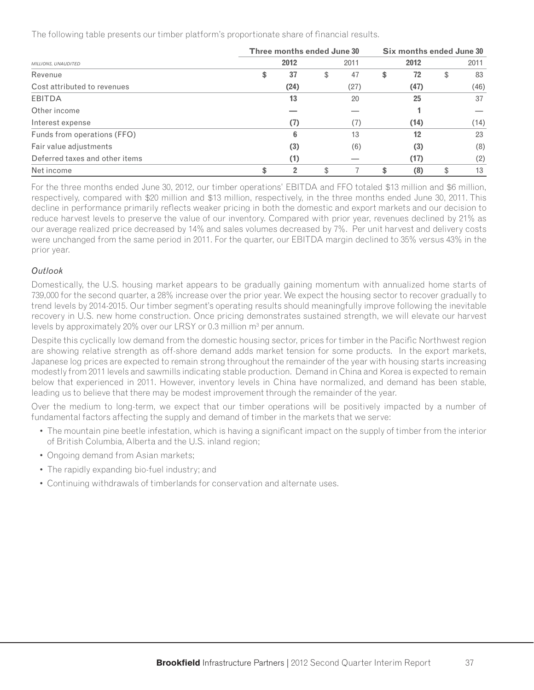The following table presents our timber platform's proportionate share of financial results.

|                                |    | Three months ended June 30 |          | Six months ended June 30 |    |      |  |  |  |
|--------------------------------|----|----------------------------|----------|--------------------------|----|------|--|--|--|
| MILLIONS, UNAUDITED            |    | 2012                       | 2011     | 2012                     |    | 2011 |  |  |  |
| Revenue                        |    | 37                         | \$<br>47 | \$<br>72                 | \$ | 83   |  |  |  |
| Cost attributed to revenues    |    | (24)                       | (27)     | (47)                     |    | (46) |  |  |  |
| EBITDA                         |    | 13                         | 20       | 25                       |    | 37   |  |  |  |
| Other income                   |    |                            |          |                          |    |      |  |  |  |
| Interest expense               |    | (7)                        | (7)      | (14)                     |    | (14) |  |  |  |
| Funds from operations (FFO)    |    | 6                          | 13       | 12                       |    | 23   |  |  |  |
| Fair value adjustments         |    | (3)                        | (6)      | (3)                      |    | (8)  |  |  |  |
| Deferred taxes and other items |    | (1)                        |          | (17)                     |    | (2)  |  |  |  |
| Net income                     | \$ |                            | \$       | \$<br>(8)                | \$ | 13   |  |  |  |

For the three months ended June 30, 2012, our timber operations' EBITDA and FFO totaled \$13 million and \$6 million, respectively, compared with \$20 million and \$13 million, respectively, in the three months ended June 30, 2011. This decline in performance primarily reflects weaker pricing in both the domestic and export markets and our decision to reduce harvest levels to preserve the value of our inventory. Compared with prior year, revenues declined by 21% as our average realized price decreased by 14% and sales volumes decreased by 7%. Per unit harvest and delivery costs were unchanged from the same period in 2011. For the quarter, our EBITDA margin declined to 35% versus 43% in the prior year.

### *Outlook*

Domestically, the U.S. housing market appears to be gradually gaining momentum with annualized home starts of 739,000 for the second quarter, a 28% increase over the prior year. We expect the housing sector to recover gradually to trend levels by 2014-2015. Our timber segment's operating results should meaningfully improve following the inevitable recovery in U.S. new home construction. Once pricing demonstrates sustained strength, we will elevate our harvest levels by approximately 20% over our LRSY or 0.3 million  $m<sup>3</sup>$  per annum.

Despite this cyclically low demand from the domestic housing sector, prices for timber in the Pacific Northwest region are showing relative strength as off-shore demand adds market tension for some products. In the export markets, Japanese log prices are expected to remain strong throughout the remainder of the year with housing starts increasing modestly from 2011 levels and sawmills indicating stable production. Demand in China and Korea is expected to remain below that experienced in 2011. However, inventory levels in China have normalized, and demand has been stable, leading us to believe that there may be modest improvement through the remainder of the year.

Over the medium to long-term, we expect that our timber operations will be positively impacted by a number of fundamental factors affecting the supply and demand of timber in the markets that we serve:

- The mountain pine beetle infestation, which is having a significant impact on the supply of timber from the interior of British Columbia, Alberta and the U.S. inland region;
- Ongoing demand from Asian markets;
- The rapidly expanding bio-fuel industry; and
- Continuing withdrawals of timberlands for conservation and alternate uses.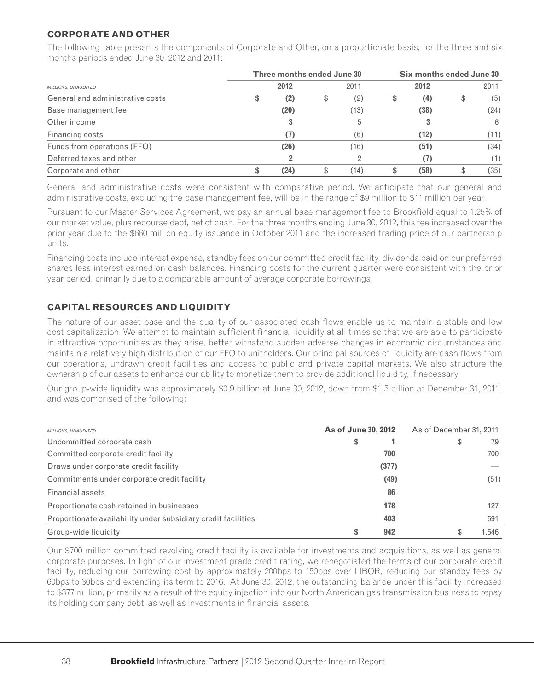### **CORPORATE AND OTHER**

The following table presents the components of Corporate and Other, on a proportionate basis, for the three and six months periods ended June 30, 2012 and 2011:

|                                  | Three months ended June 30 |           | Six months ended June 30 |      |    |      |  |
|----------------------------------|----------------------------|-----------|--------------------------|------|----|------|--|
| MILLIONS, UNAUDITED              | 2012                       | 2011      |                          | 2012 |    |      |  |
| General and administrative costs | \$<br>(2)                  | \$<br>(2) | \$                       | (4)  | \$ | (5)  |  |
| Base management fee              | (20)                       | (13)      |                          | (38) |    | (24) |  |
| Other income                     | 3                          |           |                          | 3    |    | 6    |  |
| Financing costs                  | (7)                        | (6)       |                          | (12) |    | (11) |  |
| Funds from operations (FFO)      | (26)                       | (16)      |                          | (51) |    | (34) |  |
| Deferred taxes and other         |                            |           |                          | (7)  |    | (1)  |  |
| Corporate and other              | (24)                       | (14)      |                          | (58) |    | (35) |  |

General and administrative costs were consistent with comparative period. We anticipate that our general and administrative costs, excluding the base management fee, will be in the range of \$9 million to \$11 million per year.

Pursuant to our Master Services Agreement, we pay an annual base management fee to Brookfield equal to 1.25% of our market value, plus recourse debt, net of cash. For the three months ending June 30, 2012, this fee increased over the prior year due to the \$660 million equity issuance in October 2011 and the increased trading price of our partnership units.

Financing costs include interest expense, standby fees on our committed credit facility, dividends paid on our preferred shares less interest earned on cash balances. Financing costs for the current quarter were consistent with the prior year period, primarily due to a comparable amount of average corporate borrowings.

### **CAPITAL RESOURCES AND LIQUIDITY**

The nature of our asset base and the quality of our associated cash flows enable us to maintain a stable and low cost capitalization. We attempt to maintain sufficient financial liquidity at all times so that we are able to participate in attractive opportunities as they arise, better withstand sudden adverse changes in economic circumstances and maintain a relatively high distribution of our FFO to unitholders. Our principal sources of liquidity are cash flows from our operations, undrawn credit facilities and access to public and private capital markets. We also structure the ownership of our assets to enhance our ability to monetize them to provide additional liquidity, if necessary.

Our group-wide liquidity was approximately \$0.9 billion at June 30, 2012, down from \$1.5 billion at December 31, 2011, and was comprised of the following:

| MILLIONS, UNAUDITED                                           | As of June 30, 2012 |       | As of December 31, 2011 |       |  |  |
|---------------------------------------------------------------|---------------------|-------|-------------------------|-------|--|--|
| Uncommitted corporate cash                                    | \$                  |       | \$                      | 79    |  |  |
| Committed corporate credit facility                           |                     | 700   |                         | 700   |  |  |
| Draws under corporate credit facility                         |                     | (377) |                         |       |  |  |
| Commitments under corporate credit facility                   |                     | (49)  |                         | (51)  |  |  |
| Financial assets                                              |                     | 86    |                         |       |  |  |
| Proportionate cash retained in businesses                     |                     | 178   |                         | 127   |  |  |
| Proportionate availability under subsidiary credit facilities |                     | 403   |                         | 691   |  |  |
| Group-wide liquidity                                          | \$                  | 942   | \$                      | 1.546 |  |  |

Our \$700 million committed revolving credit facility is available for investments and acquisitions, as well as general corporate purposes. In light of our investment grade credit rating, we renegotiated the terms of our corporate credit facility, reducing our borrowing cost by approximately 200bps to 150bps over LIBOR, reducing our standby fees by 60bps to 30bps and extending its term to 2016. At June 30, 2012, the outstanding balance under this facility increased to \$377 million, primarily as a result of the equity injection into our North American gas transmission business to repay its holding company debt, as well as investments in financial assets.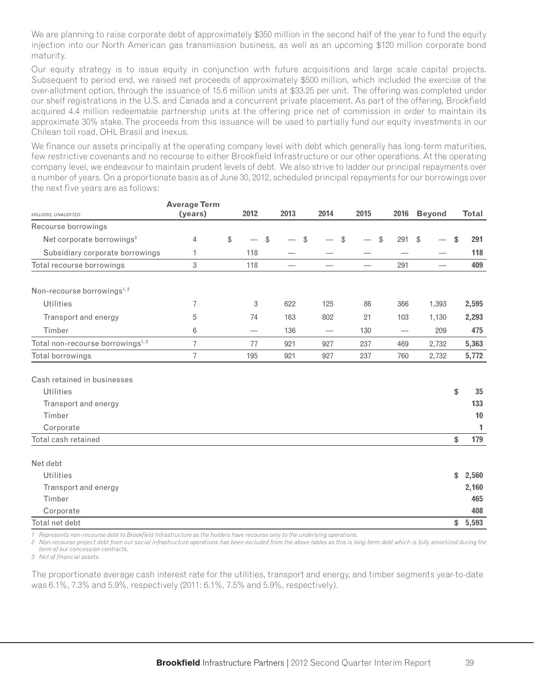We are planning to raise corporate debt of approximately \$350 million in the second half of the year to fund the equity injection into our North American gas transmission business, as well as an upcoming \$120 million corporate bond maturity.

Our equity strategy is to issue equity in conjunction with future acquisitions and large scale capital projects. Subsequent to period end, we raised net proceeds of approximately \$500 million, which included the exercise of the over-allotment option, through the issuance of 15.6 million units at \$33.25 per unit. The offering was completed under our shelf registrations in the U.S. and Canada and a concurrent private placement. As part of the offering, Brookfield acquired 4.4 million redeemable partnership units at the offering price net of commission in order to maintain its approximate 30% stake. The proceeds from this issuance will be used to partially fund our equity investments in our Chilean toll road, OHL Brasil and Inexus.

We finance our assets principally at the operating company level with debt which generally has long-term maturities, few restrictive covenants and no recourse to either Brookfield Infrastructure or our other operations. At the operating company level, we endeavour to maintain prudent levels of debt. We also strive to ladder our principal repayments over a number of years. On a proportionate basis as of June 30, 2012, scheduled principal repayments for our borrowings over the next five years are as follows:

|                                              | <b>Average Term</b> |                          |               |                                   |                                  |      |           |               |               |              |
|----------------------------------------------|---------------------|--------------------------|---------------|-----------------------------------|----------------------------------|------|-----------|---------------|---------------|--------------|
| MILLIONS, UNAUDITED                          | (years)             | 2012                     |               | 2013                              | 2014                             | 2015 | 2016      |               | <b>Beyond</b> | <b>Total</b> |
| Recourse borrowings                          |                     |                          |               |                                   |                                  |      |           |               |               |              |
| Net corporate borrowings <sup>3</sup>        | 4                   | \$                       | $\mathcal{L}$ |                                   | \$                               | \$   | \$<br>291 | $\mathcal{L}$ |               | \$<br>291    |
| Subsidiary corporate borrowings              | 1                   | 118                      |               |                                   |                                  |      |           |               |               | 118          |
| Total recourse borrowings                    | 3                   | 118                      |               | $\overbrace{\phantom{123221111}}$ |                                  |      | 291       |               |               | 409          |
| Non-recourse borrowings <sup>1,2</sup>       |                     |                          |               |                                   |                                  |      |           |               |               |              |
| Utilities                                    | 7                   |                          | 3             | 622                               | 125                              | 86   | 366       |               | 1,393         | 2,595        |
| Transport and energy                         | 5                   | 74                       |               | 163                               | 802                              | 21   | 103       |               | 1,130         | 2,293        |
| Timber                                       | 6                   | $\overline{\phantom{0}}$ |               | 136                               | $\overbrace{\phantom{12322111}}$ | 130  |           |               | 209           | 475          |
| Total non-recourse borrowings <sup>1,2</sup> | 7                   | 77                       |               | 921                               | 927                              | 237  | 469       |               | 2,732         | 5,363        |
| Total borrowings                             | 7                   | 195                      |               | 921                               | 927                              | 237  | 760       |               | 2,732         | 5,772        |
| Cash retained in businesses                  |                     |                          |               |                                   |                                  |      |           |               |               |              |
| <b>Utilities</b>                             |                     |                          |               |                                   |                                  |      |           |               |               | \$<br>35     |
| Transport and energy                         |                     |                          |               |                                   |                                  |      |           |               |               | 133          |
| Timber                                       |                     |                          |               |                                   |                                  |      |           |               |               | 10           |
| Corporate                                    |                     |                          |               |                                   |                                  |      |           |               |               | 1            |
| Total cash retained                          |                     |                          |               |                                   |                                  |      |           |               |               | \$<br>179    |
| Net debt                                     |                     |                          |               |                                   |                                  |      |           |               |               |              |
| <b>Utilities</b>                             |                     |                          |               |                                   |                                  |      |           |               |               | \$<br>2,560  |
| Transport and energy                         |                     |                          |               |                                   |                                  |      |           |               |               | 2,160        |
| Timber                                       |                     |                          |               |                                   |                                  |      |           |               |               | 465          |
| Corporate                                    |                     |                          |               |                                   |                                  |      |           |               |               | 408          |
| Total net debt                               |                     |                          |               |                                   |                                  |      |           |               |               | \$5,593      |

1 Represents non-recourse debt to Brookfield Infrastructure as the holders have recourse only to the underlying operations.

*2 Non-recourse project debt from our social infrastructure operations has been excluded from the above tables as this is long-term debt which is fully amortized during the term of our concession contracts.*

3 Net of financial assets.

The proportionate average cash interest rate for the utilities, transport and energy, and timber segments year-to-date was 6.1%, 7.3% and 5.9%, respectively (2011: 6.1%, 7.5% and 5.9%, respectively).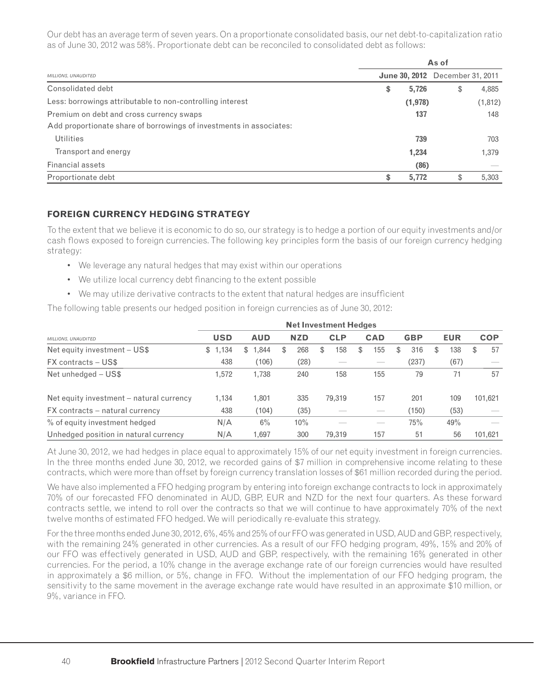Our debt has an average term of seven years. On a proportionate consolidated basis, our net debt-to-capitalization ratio as of June 30, 2012 was 58%. Proportionate debt can be reconciled to consolidated debt as follows:

|                                                                     |    | As of   |                                        |          |  |  |  |  |  |
|---------------------------------------------------------------------|----|---------|----------------------------------------|----------|--|--|--|--|--|
| MILLIONS, UNAUDITED                                                 |    |         | <b>June 30, 2012</b> December 31, 2011 |          |  |  |  |  |  |
| Consolidated debt                                                   | \$ | 5,726   | \$                                     | 4,885    |  |  |  |  |  |
| Less: borrowings attributable to non-controlling interest           |    | (1,978) |                                        | (1, 812) |  |  |  |  |  |
| Premium on debt and cross currency swaps                            |    | 137     |                                        | 148      |  |  |  |  |  |
| Add proportionate share of borrowings of investments in associates: |    |         |                                        |          |  |  |  |  |  |
| Utilities                                                           |    | 739     |                                        | 703      |  |  |  |  |  |
| Transport and energy                                                |    | 1,234   |                                        | 1,379    |  |  |  |  |  |
| <b>Financial assets</b>                                             |    | (86)    |                                        |          |  |  |  |  |  |
| Proportionate debt                                                  | \$ | 5,772   | \$                                     | 5,303    |  |  |  |  |  |

### **FOREIGN CURRENCY HEDGING STRATEGY**

To the extent that we believe it is economic to do so, our strategy is to hedge a portion of our equity investments and/or cash flows exposed to foreign currencies. The following key principles form the basis of our foreign currency hedging strategy:

- We leverage any natural hedges that may exist within our operations
- We utilize local currency debt financing to the extent possible
- We may utilize derivative contracts to the extent that natural hedges are insufficient

The following table presents our hedged position in foreign currencies as of June 30, 2012:

|                                          | <b>Net Investment Hedges</b> |            |   |            |   |            |   |            |   |            |    |            |   |            |
|------------------------------------------|------------------------------|------------|---|------------|---|------------|---|------------|---|------------|----|------------|---|------------|
| MILLIONS, UNAUDITED                      | <b>USD</b>                   | <b>AUD</b> |   | <b>NZD</b> |   | <b>CLP</b> |   | <b>CAD</b> |   | <b>GBP</b> |    | <b>EUR</b> |   | <b>COP</b> |
| Net equity investment - US\$             | 1,134<br>\$                  | 1,844<br>S | S | 268        | S | 158        | S | 155        | S | 316        | S. | 138        | S | 57         |
| <b>FX</b> contracts – US\$               | 438                          | (106)      |   | (28)       |   |            |   |            |   | (237)      |    | (67)       |   |            |
| Net unhedged - US\$                      | 1.572                        | 1,738      |   | 240        |   | 158        |   | 155        |   | 79         |    | 71         |   | 57         |
| Net equity investment – natural currency | 1,134                        | 1,801      |   | 335        |   | 79,319     |   | 157        |   | 201        |    | 109        |   | 101,621    |
| FX contracts – natural currency          | 438                          | (104)      |   | (35)       |   |            |   | __         |   | (150)      |    | (53)       |   |            |
| % of equity investment hedged            | N/A                          | $6\%$      |   | 10%        |   |            |   | ___        |   | 75%        |    | 49%        |   |            |
| Unhedged position in natural currency    | N/A                          | 1.697      |   | 300        |   | 79.319     |   | 157        |   | 51         |    | 56         |   | 101.621    |

At June 30, 2012, we had hedges in place equal to approximately 15% of our net equity investment in foreign currencies. In the three months ended June 30, 2012, we recorded gains of \$7 million in comprehensive income relating to these contracts, which were more than offset by foreign currency translation losses of \$61 million recorded during the period.

We have also implemented a FFO hedging program by entering into foreign exchange contracts to lock in approximately 70% of our forecasted FFO denominated in AUD, GBP, EUR and NZD for the next four quarters. As these forward contracts settle, we intend to roll over the contracts so that we will continue to have approximately 70% of the next twelve months of estimated FFO hedged. We will periodically re-evaluate this strategy.

For the three months ended June 30, 2012, 6%, 45% and 25% of our FFO was generated in USD, AUD and GBP, respectively, with the remaining 24% generated in other currencies. As a result of our FFO hedging program, 49%, 15% and 20% of our FFO was effectively generated in USD, AUD and GBP, respectively, with the remaining 16% generated in other currencies. For the period, a 10% change in the average exchange rate of our foreign currencies would have resulted in approximately a \$6 million, or 5%, change in FFO. Without the implementation of our FFO hedging program, the sensitivity to the same movement in the average exchange rate would have resulted in an approximate \$10 million, or 9%, variance in FFO.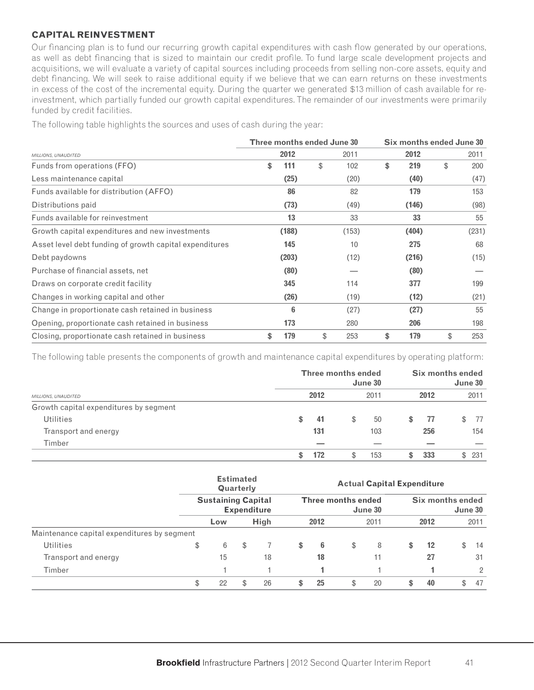#### **CAPITAL REINVESTMENT**

Our financing plan is to fund our recurring growth capital expenditures with cash flow generated by our operations, as well as debt financing that is sized to maintain our credit profile. To fund large scale development projects and acquisitions, we will evaluate a variety of capital sources including proceeds from selling non-core assets, equity and debt financing. We will seek to raise additional equity if we believe that we can earn returns on these investments in excess of the cost of the incremental equity. During the quarter we generated \$13 million of cash available for reinvestment, which partially funded our growth capital expenditures. The remainder of our investments were primarily funded by credit facilities.

The following table highlights the sources and uses of cash during the year:

|                                                         | Three months ended June 30 |       |           |           | Six months ended June 30 |       |  |  |  |
|---------------------------------------------------------|----------------------------|-------|-----------|-----------|--------------------------|-------|--|--|--|
| MILLIONS, UNAUDITED                                     |                            | 2012  | 2011      | 2012      |                          | 2011  |  |  |  |
| Funds from operations (FFO)                             | \$                         | 111   | \$<br>102 | \$<br>219 | \$                       | 200   |  |  |  |
| Less maintenance capital                                |                            | (25)  | (20)      | (40)      |                          | (47)  |  |  |  |
| Funds available for distribution (AFFO)                 |                            | 86    | 82        | 179       |                          | 153   |  |  |  |
| Distributions paid                                      |                            | (73)  | (49)      | (146)     |                          | (98)  |  |  |  |
| Funds available for reinvestment                        |                            | 13    | 33        | 33        |                          | 55    |  |  |  |
| Growth capital expenditures and new investments         |                            | (188) | (153)     | (404)     |                          | (231) |  |  |  |
| Asset level debt funding of growth capital expenditures |                            | 145   | 10        | 275       |                          | 68    |  |  |  |
| Debt paydowns                                           |                            | (203) | (12)      | (216)     |                          | (15)  |  |  |  |
| Purchase of financial assets, net                       |                            | (80)  |           | (80)      |                          |       |  |  |  |
| Draws on corporate credit facility                      |                            | 345   | 114       | 377       |                          | 199   |  |  |  |
| Changes in working capital and other                    |                            | (26)  | (19)      | (12)      |                          | (21)  |  |  |  |
| Change in proportionate cash retained in business       |                            | 6     | (27)      | (27)      |                          | 55    |  |  |  |
| Opening, proportionate cash retained in business        |                            | 173   | 280       | 206       |                          | 198   |  |  |  |
| Closing, proportionate cash retained in business        | \$                         | 179   | \$<br>253 | \$<br>179 | \$                       | 253   |  |  |  |

The following table presents the components of growth and maintenance capital expenditures by operating platform:

|                                        | <b>Three months ended</b> |    | June 30 | Six months ended<br>June 30 |      |    |      |
|----------------------------------------|---------------------------|----|---------|-----------------------------|------|----|------|
| MILLIONS, UNAUDITED                    | 2012                      |    | 2011    |                             | 2012 |    | 2011 |
| Growth capital expenditures by segment |                           |    |         |                             |      |    |      |
| <b>Utilities</b>                       | \$<br>41                  | S. | 50      | S                           | 77   | \$ | -77  |
| Transport and energy                   | 131                       |    | 103     |                             | 256  |    | 154  |
| Timber                                 |                           |    |         |                             |      |    |      |
|                                        | 172                       | Ъ  | 153     | S                           | 333  | S. | 231  |

|                                             | <b>Estimated</b><br>Quarterly<br><b>Sustaining Capital</b><br><b>Expenditure</b> |     |   | <b>Actual Capital Expenditure</b>    |              |    |                             |    |    |                   |    |                |
|---------------------------------------------|----------------------------------------------------------------------------------|-----|---|--------------------------------------|--------------|----|-----------------------------|----|----|-------------------|----|----------------|
|                                             |                                                                                  |     |   | <b>Three months ended</b><br>June 30 |              |    | Six months ended<br>June 30 |    |    |                   |    |                |
|                                             |                                                                                  | Low |   | High                                 | 2012<br>2011 |    | 2012                        |    |    | 2011              |    |                |
| Maintenance capital expenditures by segment |                                                                                  |     |   |                                      |              |    |                             |    |    |                   |    |                |
| <b>Utilities</b>                            | \$                                                                               | 6   | S |                                      | \$           | 6  | \$                          | 8  | \$ | $12 \overline{ }$ | \$ | 14             |
| Transport and energy                        |                                                                                  | 15  |   | 18                                   |              | 18 |                             | 11 |    | 27                |    | 31             |
| Timber                                      |                                                                                  |     |   |                                      |              |    |                             |    |    |                   |    | $\overline{2}$ |
|                                             | \$                                                                               | 22  |   | 26                                   | \$           | 25 | \$                          | 20 | \$ | 40                | \$ | 47             |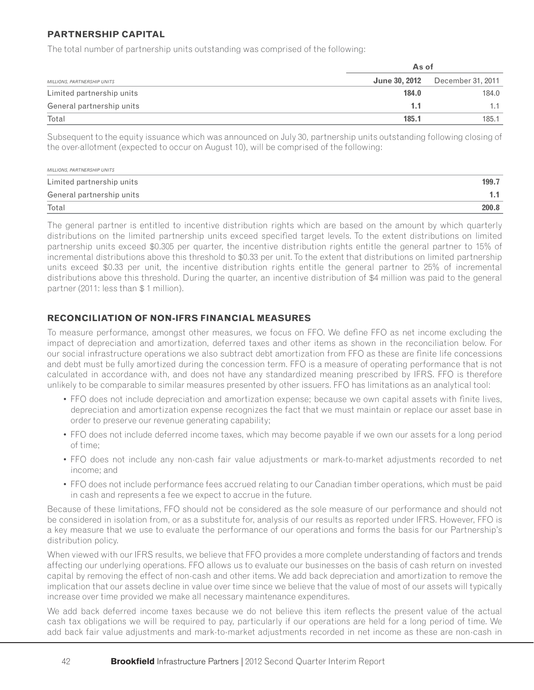### **PARTNERSHIP CAPITAL**

The total number of partnership units outstanding was comprised of the following:

|                             |       | As of                                  |  |  |  |
|-----------------------------|-------|----------------------------------------|--|--|--|
| MILLIONS, PARTNERSHIP UNITS |       | <b>June 30, 2012</b> December 31, 2011 |  |  |  |
| Limited partnership units   | 184.0 | 184.0                                  |  |  |  |
| General partnership units   | 1.1   |                                        |  |  |  |
| Total                       | 185.1 | 185.1                                  |  |  |  |

Subsequent to the equity issuance which was announced on July 30, partnership units outstanding following closing of the over-allotment (expected to occur on August 10), will be comprised of the following:

| MILLIONS, PARTNERSHIP UNITS |       |
|-----------------------------|-------|
| Limited partnership units   | 199.7 |
| General partnership units   |       |
| Total                       | 200.8 |

The general partner is entitled to incentive distribution rights which are based on the amount by which quarterly distributions on the limited partnership units exceed specified target levels. To the extent distributions on limited partnership units exceed \$0.305 per quarter, the incentive distribution rights entitle the general partner to 15% of incremental distributions above this threshold to \$0.33 per unit. To the extent that distributions on limited partnership units exceed \$0.33 per unit, the incentive distribution rights entitle the general partner to 25% of incremental distributions above this threshold. During the quarter, an incentive distribution of \$4 million was paid to the general partner (2011: less than \$ 1 million).

### **RECONCILIATION OF NON-IFRS FINANCIAL MEASURES**

To measure performance, amongst other measures, we focus on FFO. We define FFO as net income excluding the impact of depreciation and amortization, deferred taxes and other items as shown in the reconciliation below. For our social infrastructure operations we also subtract debt amortization from FFO as these are finite life concessions and debt must be fully amortized during the concession term. FFO is a measure of operating performance that is not calculated in accordance with, and does not have any standardized meaning prescribed by IFRS. FFO is therefore unlikely to be comparable to similar measures presented by other issuers. FFO has limitations as an analytical tool:

- FFO does not include depreciation and amortization expense; because we own capital assets with finite lives, depreciation and amortization expense recognizes the fact that we must maintain or replace our asset base in order to preserve our revenue generating capability;
- FFO does not include deferred income taxes, which may become payable if we own our assets for a long period of time;
- FFO does not include any non-cash fair value adjustments or mark-to-market adjustments recorded to net income; and
- FFO does not include performance fees accrued relating to our Canadian timber operations, which must be paid in cash and represents a fee we expect to accrue in the future.

Because of these limitations, FFO should not be considered as the sole measure of our performance and should not be considered in isolation from, or as a substitute for, analysis of our results as reported under IFRS. However, FFO is a key measure that we use to evaluate the performance of our operations and forms the basis for our Partnership's distribution policy.

When viewed with our IFRS results, we believe that FFO provides a more complete understanding of factors and trends affecting our underlying operations. FFO allows us to evaluate our businesses on the basis of cash return on invested capital by removing the effect of non-cash and other items. We add back depreciation and amortization to remove the implication that our assets decline in value over time since we believe that the value of most of our assets will typically increase over time provided we make all necessary maintenance expenditures.

We add back deferred income taxes because we do not believe this item reflects the present value of the actual cash tax obligations we will be required to pay, particularly if our operations are held for a long period of time. We add back fair value adjustments and mark-to-market adjustments recorded in net income as these are non-cash in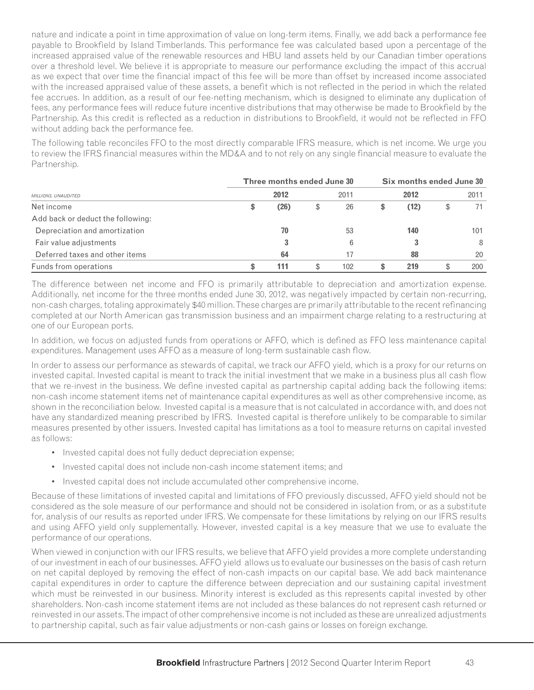nature and indicate a point in time approximation of value on long-term items. Finally, we add back a performance fee payable to Brookfield by Island Timberlands. This performance fee was calculated based upon a percentage of the increased appraised value of the renewable resources and HBU land assets held by our Canadian timber operations over a threshold level. We believe it is appropriate to measure our performance excluding the impact of this accrual as we expect that over time the financial impact of this fee will be more than offset by increased income associated with the increased appraised value of these assets, a benefit which is not reflected in the period in which the related fee accrues. In addition, as a result of our fee-netting mechanism, which is designed to eliminate any duplication of fees, any performance fees will reduce future incentive distributions that may otherwise be made to Brookfield by the Partnership. As this credit is reflected as a reduction in distributions to Brookfield, it would not be reflected in FFO without adding back the performance fee.

The following table reconciles FFO to the most directly comparable IFRS measure, which is net income. We urge you to review the IFRS financial measures within the MD&A and to not rely on any single financial measure to evaluate the Partnership.

|                                   | Three months ended June 30 |      |      |     | Six months ended June 30 |      |      |     |  |
|-----------------------------------|----------------------------|------|------|-----|--------------------------|------|------|-----|--|
| MILLIONS, UNAUDITED               | 2012                       |      | 2011 |     | 2012                     |      | 2011 |     |  |
| Net income                        | \$                         | (26) | \$   | 26  | \$                       | (12) | \$   | 71  |  |
| Add back or deduct the following: |                            |      |      |     |                          |      |      |     |  |
| Depreciation and amortization     |                            | 70   |      | 53  |                          | 140  |      | 101 |  |
| Fair value adjustments            |                            | 3    |      | 6   |                          |      |      | 8   |  |
| Deferred taxes and other items    |                            | 64   |      | 17  |                          | 88   |      | 20  |  |
| Funds from operations             | \$                         | 111  |      | 102 | S                        | 219  | \$   | 200 |  |

The difference between net income and FFO is primarily attributable to depreciation and amortization expense. Additionally, net income for the three months ended June 30, 2012, was negatively impacted by certain non-recurring, non-cash charges, totaling approximately \$40 million. These charges are primarily attributable to the recent refinancing completed at our North American gas transmission business and an impairment charge relating to a restructuring at one of our European ports.

In addition, we focus on adjusted funds from operations or AFFO, which is defined as FFO less maintenance capital expenditures. Management uses AFFO as a measure of long-term sustainable cash flow.

In order to assess our performance as stewards of capital, we track our AFFO yield, which is a proxy for our returns on invested capital. Invested capital is meant to track the initial investment that we make in a business plus all cash flow that we re-invest in the business. We define invested capital as partnership capital adding back the following items: non-cash income statement items net of maintenance capital expenditures as well as other comprehensive income, as shown in the reconciliation below. Invested capital is a measure that is not calculated in accordance with, and does not have any standardized meaning prescribed by IFRS. Invested capital is therefore unlikely to be comparable to similar measures presented by other issuers. Invested capital has limitations as a tool to measure returns on capital invested as follows:

- Invested capital does not fully deduct depreciation expense;
- Invested capital does not include non-cash income statement items; and
- Invested capital does not include accumulated other comprehensive income.

Because of these limitations of invested capital and limitations of FFO previously discussed, AFFO yield should not be considered as the sole measure of our performance and should not be considered in isolation from, or as a substitute for, analysis of our results as reported under IFRS. We compensate for these limitations by relying on our IFRS results and using AFFO yield only supplementally. However, invested capital is a key measure that we use to evaluate the performance of our operations.

When viewed in conjunction with our IFRS results, we believe that AFFO yield provides a more complete understanding of our investment in each of our businesses. AFFO yield allows us to evaluate our businesses on the basis of cash return on net capital deployed by removing the effect of non-cash impacts on our capital base. We add back maintenance capital expenditures in order to capture the difference between depreciation and our sustaining capital investment which must be reinvested in our business. Minority interest is excluded as this represents capital invested by other shareholders. Non-cash income statement items are not included as these balances do not represent cash returned or reinvested in our assets. The impact of other comprehensive income is not included as these are unrealized adjustments to partnership capital, such as fair value adjustments or non-cash gains or losses on foreign exchange.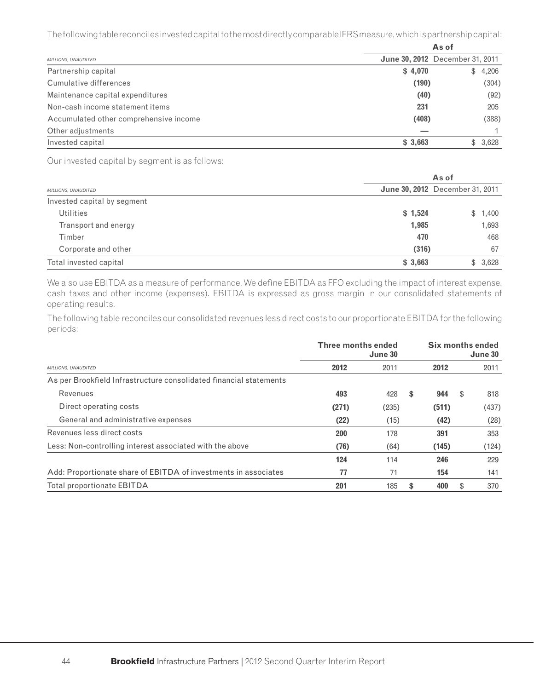The following table reconciles invested capital to the most directly comparable IFRS measure, which is partnership capital:

|                                        | As of   |                                        |  |  |  |  |
|----------------------------------------|---------|----------------------------------------|--|--|--|--|
| <b>MILLIONS, UNAUDITED</b>             |         | <b>June 30, 2012</b> December 31, 2011 |  |  |  |  |
| Partnership capital                    | \$4,070 | \$4,206                                |  |  |  |  |
| Cumulative differences                 | (190)   | (304)                                  |  |  |  |  |
| Maintenance capital expenditures       | (40)    | (92)                                   |  |  |  |  |
| Non-cash income statement items        | 231     | 205                                    |  |  |  |  |
| Accumulated other comprehensive income | (408)   | (388)                                  |  |  |  |  |
| Other adjustments                      |         |                                        |  |  |  |  |
| Invested capital                       | \$3,663 | \$3,628                                |  |  |  |  |

Our invested capital by segment is as follows:

|                             | As of   |                                        |  |  |  |  |
|-----------------------------|---------|----------------------------------------|--|--|--|--|
| <b>MILLIONS, UNAUDITED</b>  |         | <b>June 30, 2012</b> December 31, 2011 |  |  |  |  |
| Invested capital by segment |         |                                        |  |  |  |  |
| <b>Utilities</b>            | \$1,524 | \$1,400                                |  |  |  |  |
| Transport and energy        | 1,985   | 1,693                                  |  |  |  |  |
| Timber                      | 470     | 468                                    |  |  |  |  |
| Corporate and other         | (316)   | 67                                     |  |  |  |  |
| Total invested capital      | \$3,663 | \$3,628                                |  |  |  |  |

We also use EBITDA as a measure of performance. We define EBITDA as FFO excluding the impact of interest expense, cash taxes and other income (expenses). EBITDA is expressed as gross margin in our consolidated statements of operating results.

The following table reconciles our consolidated revenues less direct costs to our proportionate EBITDA for the following periods:

|                                                                    | <b>Three months ended</b><br>June 30 |       |    | Six months ended<br>June 30 |    |       |  |
|--------------------------------------------------------------------|--------------------------------------|-------|----|-----------------------------|----|-------|--|
| MILLIONS, UNAUDITED                                                | 2012                                 | 2011  |    | 2012                        |    | 2011  |  |
| As per Brookfield Infrastructure consolidated financial statements |                                      |       |    |                             |    |       |  |
| Revenues                                                           | 493                                  | 428   | \$ | 944                         | \$ | 818   |  |
| Direct operating costs                                             | (271)                                | (235) |    | (511)                       |    | (437) |  |
| General and administrative expenses                                | (22)                                 | (15)  |    | (42)                        |    | (28)  |  |
| Revenues less direct costs                                         | 200                                  | 178   |    | 391                         |    | 353   |  |
| Less: Non-controlling interest associated with the above           | (76)                                 | (64)  |    | (145)                       |    | (124) |  |
|                                                                    | 124                                  | 114   |    | 246                         |    | 229   |  |
| Add: Proportionate share of EBITDA of investments in associates    | 77                                   | 71    |    | 154                         |    | 141   |  |
| <b>Total proportionate EBITDA</b>                                  | 201                                  | 185   | \$ | 400                         | \$ | 370   |  |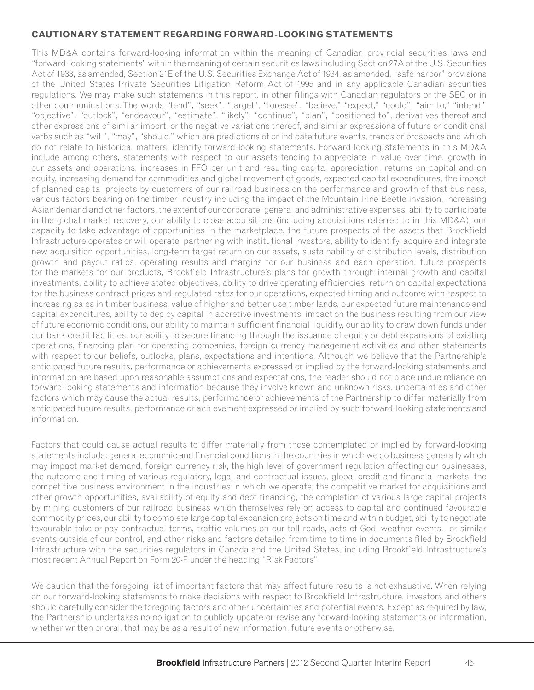### **CAUTIONARY STATEMENT REGARDING FORWARD-LOOKING STATEMENTS**

This MD&A contains forward-looking information within the meaning of Canadian provincial securities laws and "forward-looking statements" within the meaning of certain securities laws including Section 27A of the U.S. Securities Act of 1933, as amended, Section 21E of the U.S. Securities Exchange Act of 1934, as amended, "safe harbor" provisions of the United States Private Securities Litigation Reform Act of 1995 and in any applicable Canadian securities regulations. We may make such statements in this report, in other filings with Canadian regulators or the SEC or in other communications. The words "tend", "seek", "target", "foresee", "believe," "expect," "could", "aim to," "intend," "objective", "outlook", "endeavour", "estimate", "likely", "continue", "plan", "positioned to", derivatives thereof and other expressions of similar import, or the negative variations thereof, and similar expressions of future or conditional verbs such as "will", "may", "should," which are predictions of or indicate future events, trends or prospects and which do not relate to historical matters, identify forward-looking statements. Forward-looking statements in this MD&A include among others, statements with respect to our assets tending to appreciate in value over time, growth in our assets and operations, increases in FFO per unit and resulting capital appreciation, returns on capital and on equity, increasing demand for commodities and global movement of goods, expected capital expenditures, the impact of planned capital projects by customers of our railroad business on the performance and growth of that business, various factors bearing on the timber industry including the impact of the Mountain Pine Beetle invasion, increasing Asian demand and other factors, the extent of our corporate, general and administrative expenses, ability to participate in the global market recovery, our ability to close acquisitions (including acquisitions referred to in this MD&A), our capacity to take advantage of opportunities in the marketplace, the future prospects of the assets that Brookfield Infrastructure operates or will operate, partnering with institutional investors, ability to identify, acquire and integrate new acquisition opportunities, long-term target return on our assets, sustainability of distribution levels, distribution growth and payout ratios, operating results and margins for our business and each operation, future prospects for the markets for our products, Brookfield Infrastructure's plans for growth through internal growth and capital investments, ability to achieve stated objectives, ability to drive operating efficiencies, return on capital expectations for the business contract prices and regulated rates for our operations, expected timing and outcome with respect to increasing sales in timber business, value of higher and better use timber lands, our expected future maintenance and capital expenditures, ability to deploy capital in accretive investments, impact on the business resulting from our view of future economic conditions, our ability to maintain sufficient financial liquidity, our ability to draw down funds under our bank credit facilities, our ability to secure financing through the issuance of equity or debt expansions of existing operations, financing plan for operating companies, foreign currency management activities and other statements with respect to our beliefs, outlooks, plans, expectations and intentions. Although we believe that the Partnership's anticipated future results, performance or achievements expressed or implied by the forward-looking statements and information are based upon reasonable assumptions and expectations, the reader should not place undue reliance on forward-looking statements and information because they involve known and unknown risks, uncertainties and other factors which may cause the actual results, performance or achievements of the Partnership to differ materially from anticipated future results, performance or achievement expressed or implied by such forward-looking statements and information.

Factors that could cause actual results to differ materially from those contemplated or implied by forward-looking statements include: general economic and financial conditions in the countries in which we do business generally which may impact market demand, foreign currency risk, the high level of government regulation affecting our businesses, the outcome and timing of various regulatory, legal and contractual issues, global credit and financial markets, the competitive business environment in the industries in which we operate, the competitive market for acquisitions and other growth opportunities, availability of equity and debt financing, the completion of various large capital projects by mining customers of our railroad business which themselves rely on access to capital and continued favourable commodity prices, our ability to complete large capital expansion projects on time and within budget, ability to negotiate favourable take-or-pay contractual terms, traffic volumes on our toll roads, acts of God, weather events, or similar events outside of our control, and other risks and factors detailed from time to time in documents filed by Brookfield Infrastructure with the securities regulators in Canada and the United States, including Brookfield Infrastructure's most recent Annual Report on Form 20-F under the heading "Risk Factors".

We caution that the foregoing list of important factors that may affect future results is not exhaustive. When relying on our forward-looking statements to make decisions with respect to Brookfield Infrastructure, investors and others should carefully consider the foregoing factors and other uncertainties and potential events. Except as required by law, the Partnership undertakes no obligation to publicly update or revise any forward-looking statements or information, whether written or oral, that may be as a result of new information, future events or otherwise.